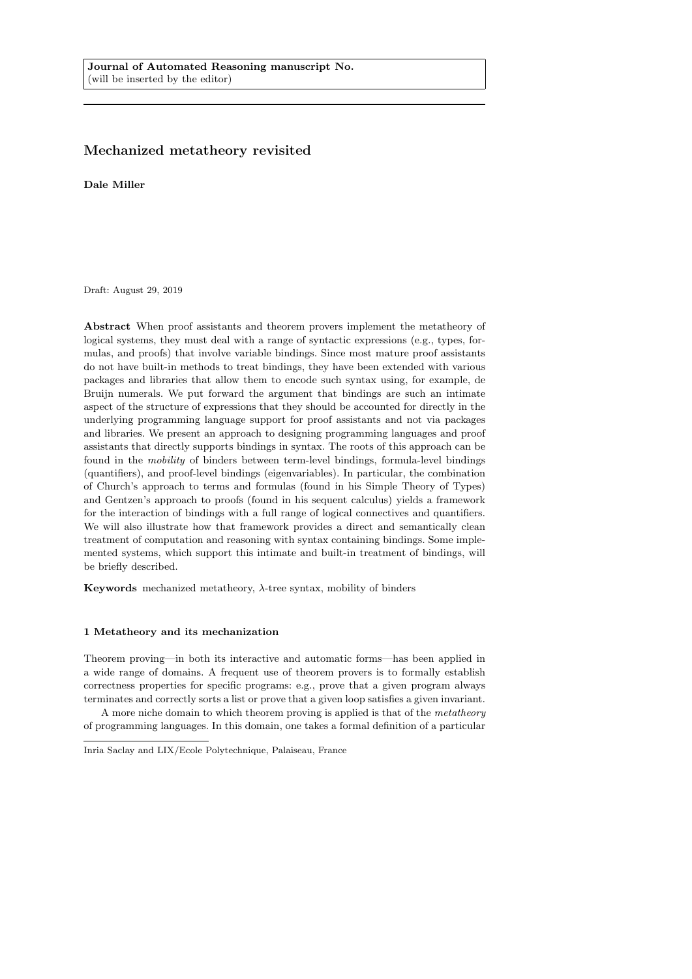# Mechanized metatheory revisited

Dale Miller

Draft: August 29, 2019

Abstract When proof assistants and theorem provers implement the metatheory of logical systems, they must deal with a range of syntactic expressions (e.g., types, formulas, and proofs) that involve variable bindings. Since most mature proof assistants do not have built-in methods to treat bindings, they have been extended with various packages and libraries that allow them to encode such syntax using, for example, de Bruijn numerals. We put forward the argument that bindings are such an intimate aspect of the structure of expressions that they should be accounted for directly in the underlying programming language support for proof assistants and not via packages and libraries. We present an approach to designing programming languages and proof assistants that directly supports bindings in syntax. The roots of this approach can be found in the mobility of binders between term-level bindings, formula-level bindings (quantifiers), and proof-level bindings (eigenvariables). In particular, the combination of Church's approach to terms and formulas (found in his Simple Theory of Types) and Gentzen's approach to proofs (found in his sequent calculus) yields a framework for the interaction of bindings with a full range of logical connectives and quantifiers. We will also illustrate how that framework provides a direct and semantically clean treatment of computation and reasoning with syntax containing bindings. Some implemented systems, which support this intimate and built-in treatment of bindings, will be briefly described.

Keywords mechanized metatheory,  $\lambda$ -tree syntax, mobility of binders

# 1 Metatheory and its mechanization

Theorem proving—in both its interactive and automatic forms—has been applied in a wide range of domains. A frequent use of theorem provers is to formally establish correctness properties for specific programs: e.g., prove that a given program always terminates and correctly sorts a list or prove that a given loop satisfies a given invariant.

A more niche domain to which theorem proving is applied is that of the metatheory of programming languages. In this domain, one takes a formal definition of a particular

Inria Saclay and LIX/Ecole Polytechnique, Palaiseau, France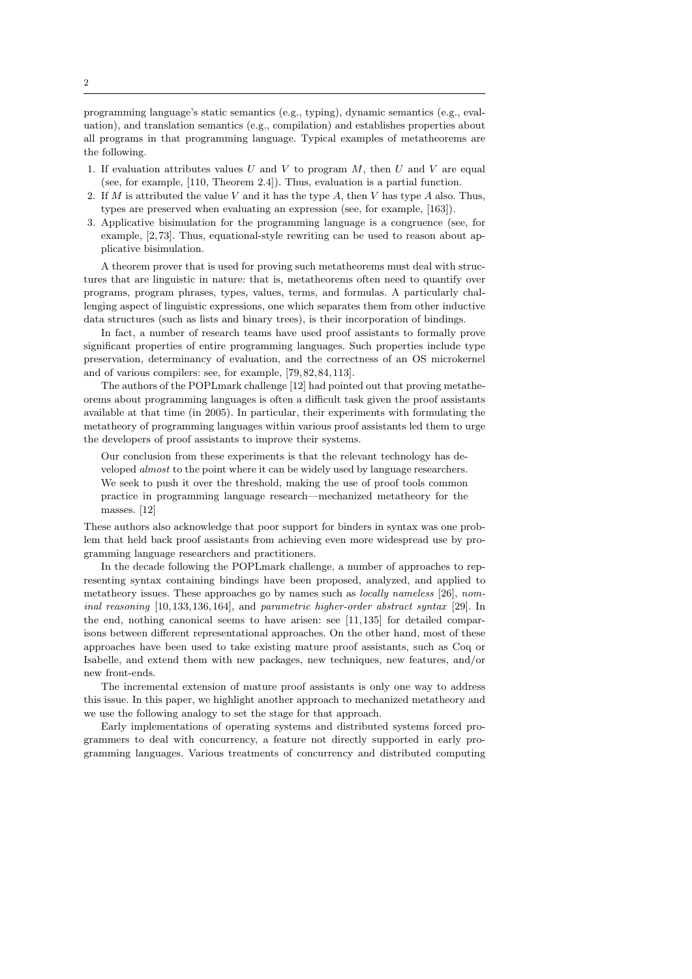programming language's static semantics (e.g., typing), dynamic semantics (e.g., evaluation), and translation semantics (e.g., compilation) and establishes properties about all programs in that programming language. Typical examples of metatheorems are the following.

- 1. If evaluation attributes values U and V to program  $M$ , then U and V are equal (see, for example, [110, Theorem 2.4]). Thus, evaluation is a partial function.
- 2. If M is attributed the value V and it has the type A, then V has type A also. Thus, types are preserved when evaluating an expression (see, for example, [163]).
- 3. Applicative bisimulation for the programming language is a congruence (see, for example, [2, 73]. Thus, equational-style rewriting can be used to reason about applicative bisimulation.

A theorem prover that is used for proving such metatheorems must deal with structures that are linguistic in nature: that is, metatheorems often need to quantify over programs, program phrases, types, values, terms, and formulas. A particularly challenging aspect of linguistic expressions, one which separates them from other inductive data structures (such as lists and binary trees), is their incorporation of bindings.

In fact, a number of research teams have used proof assistants to formally prove significant properties of entire programming languages. Such properties include type preservation, determinancy of evaluation, and the correctness of an OS microkernel and of various compilers: see, for example, [79,82, 84, 113].

The authors of the POPLmark challenge [12] had pointed out that proving metatheorems about programming languages is often a difficult task given the proof assistants available at that time (in 2005). In particular, their experiments with formulating the metatheory of programming languages within various proof assistants led them to urge the developers of proof assistants to improve their systems.

Our conclusion from these experiments is that the relevant technology has developed almost to the point where it can be widely used by language researchers. We seek to push it over the threshold, making the use of proof tools common practice in programming language research—mechanized metatheory for the masses. [12]

These authors also acknowledge that poor support for binders in syntax was one problem that held back proof assistants from achieving even more widespread use by programming language researchers and practitioners.

In the decade following the POPLmark challenge, a number of approaches to representing syntax containing bindings have been proposed, analyzed, and applied to metatheory issues. These approaches go by names such as locally nameless [26], nominal reasoning [10, 133, 136, 164], and parametric higher-order abstract syntax [29]. In the end, nothing canonical seems to have arisen: see [11, 135] for detailed comparisons between different representational approaches. On the other hand, most of these approaches have been used to take existing mature proof assistants, such as Coq or Isabelle, and extend them with new packages, new techniques, new features, and/or new front-ends.

The incremental extension of mature proof assistants is only one way to address this issue. In this paper, we highlight another approach to mechanized metatheory and we use the following analogy to set the stage for that approach.

Early implementations of operating systems and distributed systems forced programmers to deal with concurrency, a feature not directly supported in early programming languages. Various treatments of concurrency and distributed computing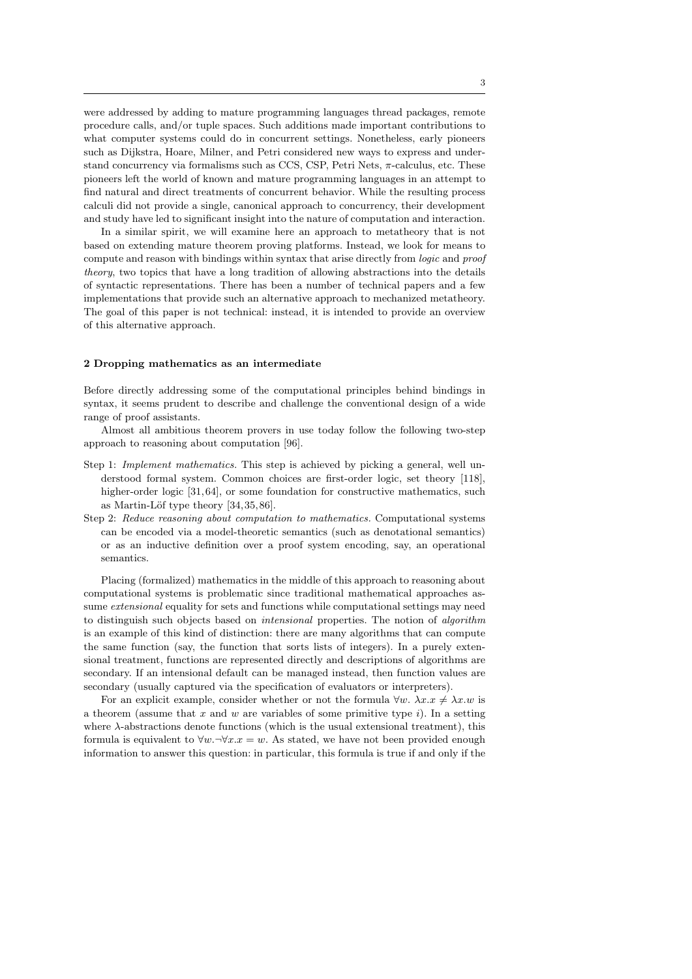were addressed by adding to mature programming languages thread packages, remote procedure calls, and/or tuple spaces. Such additions made important contributions to what computer systems could do in concurrent settings. Nonetheless, early pioneers such as Dijkstra, Hoare, Milner, and Petri considered new ways to express and understand concurrency via formalisms such as CCS, CSP, Petri Nets,  $\pi$ -calculus, etc. These pioneers left the world of known and mature programming languages in an attempt to find natural and direct treatments of concurrent behavior. While the resulting process calculi did not provide a single, canonical approach to concurrency, their development and study have led to significant insight into the nature of computation and interaction.

In a similar spirit, we will examine here an approach to metatheory that is not based on extending mature theorem proving platforms. Instead, we look for means to compute and reason with bindings within syntax that arise directly from *logic* and *proof* theory, two topics that have a long tradition of allowing abstractions into the details of syntactic representations. There has been a number of technical papers and a few implementations that provide such an alternative approach to mechanized metatheory. The goal of this paper is not technical: instead, it is intended to provide an overview of this alternative approach.

#### 2 Dropping mathematics as an intermediate

Before directly addressing some of the computational principles behind bindings in syntax, it seems prudent to describe and challenge the conventional design of a wide range of proof assistants.

Almost all ambitious theorem provers in use today follow the following two-step approach to reasoning about computation [96].

- Step 1: Implement mathematics. This step is achieved by picking a general, well understood formal system. Common choices are first-order logic, set theory [118], higher-order logic [31, 64], or some foundation for constructive mathematics, such as Martin-Löf type theory  $[34, 35, 86]$ .
- Step 2: Reduce reasoning about computation to mathematics. Computational systems can be encoded via a model-theoretic semantics (such as denotational semantics) or as an inductive definition over a proof system encoding, say, an operational semantics.

Placing (formalized) mathematics in the middle of this approach to reasoning about computational systems is problematic since traditional mathematical approaches assume *extensional* equality for sets and functions while computational settings may need to distinguish such objects based on intensional properties. The notion of algorithm is an example of this kind of distinction: there are many algorithms that can compute the same function (say, the function that sorts lists of integers). In a purely extensional treatment, functions are represented directly and descriptions of algorithms are secondary. If an intensional default can be managed instead, then function values are secondary (usually captured via the specification of evaluators or interpreters).

For an explicit example, consider whether or not the formula  $\forall w$ .  $\lambda x.x \neq \lambda x.w$  is a theorem (assume that x and w are variables of some primitive type  $i$ ). In a setting where  $\lambda$ -abstractions denote functions (which is the usual extensional treatment), this formula is equivalent to  $\forall w.\neg \forall x.x = w$ . As stated, we have not been provided enough information to answer this question: in particular, this formula is true if and only if the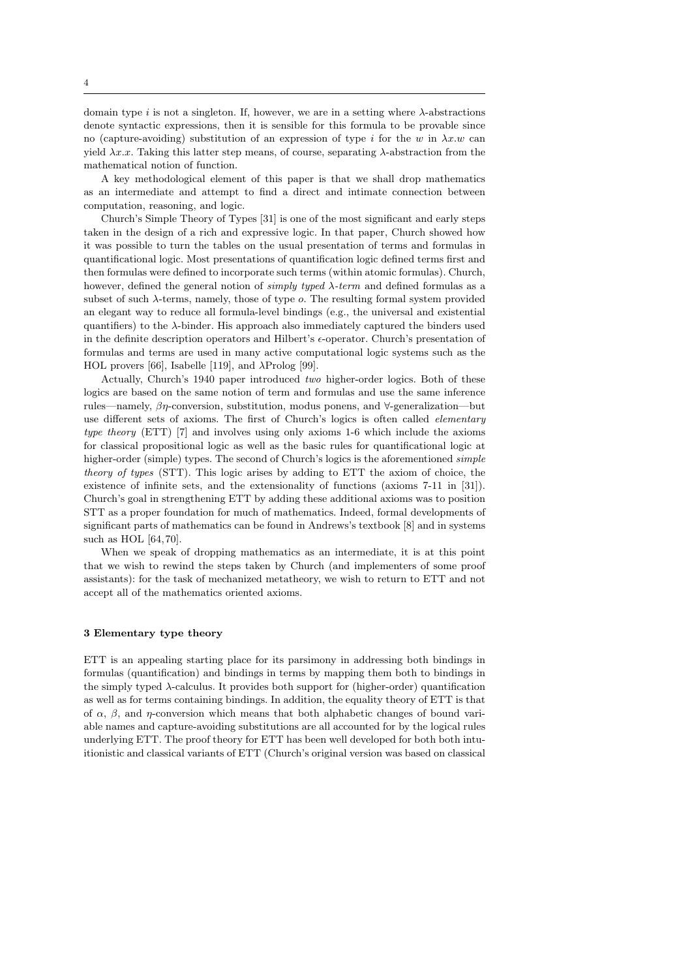domain type  $i$  is not a singleton. If, however, we are in a setting where  $\lambda$ -abstractions denote syntactic expressions, then it is sensible for this formula to be provable since no (capture-avoiding) substitution of an expression of type i for the w in  $\lambda x.w$  can yield  $\lambda x.x$ . Taking this latter step means, of course, separating  $\lambda$ -abstraction from the mathematical notion of function.

A key methodological element of this paper is that we shall drop mathematics as an intermediate and attempt to find a direct and intimate connection between computation, reasoning, and logic.

Church's Simple Theory of Types [31] is one of the most significant and early steps taken in the design of a rich and expressive logic. In that paper, Church showed how it was possible to turn the tables on the usual presentation of terms and formulas in quantificational logic. Most presentations of quantification logic defined terms first and then formulas were defined to incorporate such terms (within atomic formulas). Church, however, defined the general notion of simply typed  $\lambda$ -term and defined formulas as a subset of such  $\lambda$ -terms, namely, those of type  $o$ . The resulting formal system provided an elegant way to reduce all formula-level bindings (e.g., the universal and existential quantifiers) to the λ-binder. His approach also immediately captured the binders used in the definite description operators and Hilbert's  $\epsilon$ -operator. Church's presentation of formulas and terms are used in many active computational logic systems such as the HOL provers [66], Isabelle [119], and  $\lambda$ Prolog [99].

Actually, Church's 1940 paper introduced two higher-order logics. Both of these logics are based on the same notion of term and formulas and use the same inference rules—namely,  $\beta\eta$ -conversion, substitution, modus ponens, and  $\forall$ -generalization—but use different sets of axioms. The first of Church's logics is often called *elementary* type theory (ETT) [7] and involves using only axioms 1-6 which include the axioms for classical propositional logic as well as the basic rules for quantificational logic at higher-order (simple) types. The second of Church's logics is the aforementioned *simple* theory of types (STT). This logic arises by adding to ETT the axiom of choice, the existence of infinite sets, and the extensionality of functions (axioms 7-11 in [31]). Church's goal in strengthening ETT by adding these additional axioms was to position STT as a proper foundation for much of mathematics. Indeed, formal developments of significant parts of mathematics can be found in Andrews's textbook [8] and in systems such as HOL [64, 70].

When we speak of dropping mathematics as an intermediate, it is at this point that we wish to rewind the steps taken by Church (and implementers of some proof assistants): for the task of mechanized metatheory, we wish to return to ETT and not accept all of the mathematics oriented axioms.

### 3 Elementary type theory

ETT is an appealing starting place for its parsimony in addressing both bindings in formulas (quantification) and bindings in terms by mapping them both to bindings in the simply typed  $\lambda$ -calculus. It provides both support for (higher-order) quantification as well as for terms containing bindings. In addition, the equality theory of ETT is that of  $\alpha$ ,  $\beta$ , and  $\eta$ -conversion which means that both alphabetic changes of bound variable names and capture-avoiding substitutions are all accounted for by the logical rules underlying ETT. The proof theory for ETT has been well developed for both both intuitionistic and classical variants of ETT (Church's original version was based on classical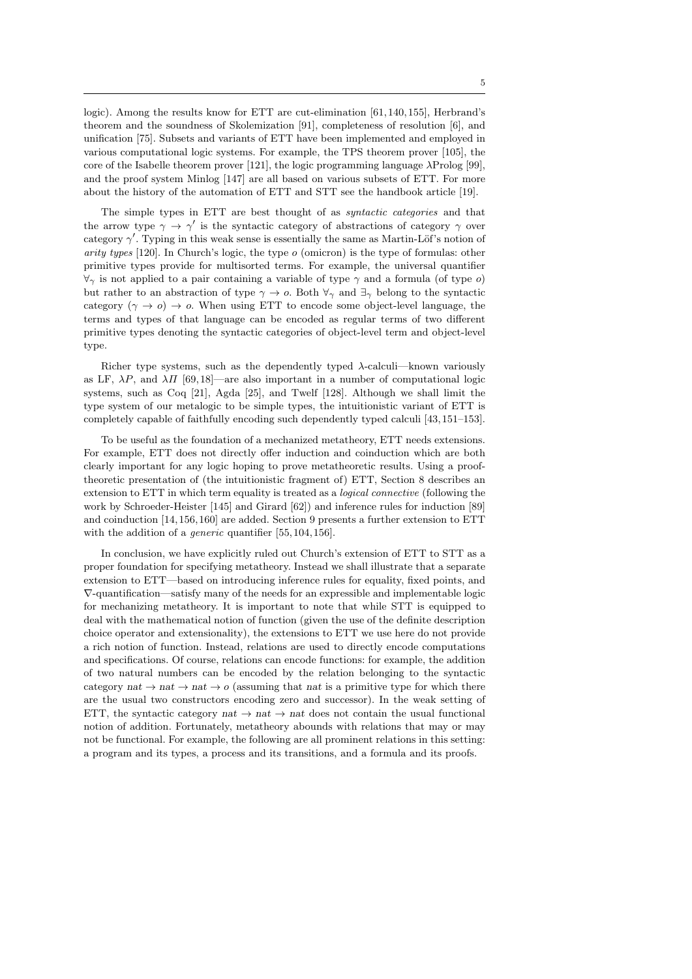logic). Among the results know for ETT are cut-elimination [61, 140, 155], Herbrand's theorem and the soundness of Skolemization [91], completeness of resolution [6], and unification [75]. Subsets and variants of ETT have been implemented and employed in various computational logic systems. For example, the TPS theorem prover [105], the core of the Isabelle theorem prover [121], the logic programming language λProlog [99], and the proof system Minlog [147] are all based on various subsets of ETT. For more about the history of the automation of ETT and STT see the handbook article [19].

The simple types in ETT are best thought of as syntactic categories and that the arrow type  $\gamma \to \gamma'$  is the syntactic category of abstractions of category  $\gamma$  over category  $\gamma'$ . Typing in this weak sense is essentially the same as Martin-Löf's notion of arity types  $[120]$ . In Church's logic, the type  $o$  (omicron) is the type of formulas: other primitive types provide for multisorted terms. For example, the universal quantifier  $\forall_{\gamma}$  is not applied to a pair containing a variable of type  $\gamma$  and a formula (of type o) but rather to an abstraction of type  $\gamma \to o$ . Both  $\forall_{\gamma}$  and  $\exists_{\gamma}$  belong to the syntactic category  $(\gamma \to o) \to o$ . When using ETT to encode some object-level language, the terms and types of that language can be encoded as regular terms of two different primitive types denoting the syntactic categories of object-level term and object-level type.

Richer type systems, such as the dependently typed  $\lambda$ -calculi—known variously as LF,  $\lambda P$ , and  $\lambda \Pi$  [69, 18]—are also important in a number of computational logic systems, such as Coq [21], Agda [25], and Twelf [128]. Although we shall limit the type system of our metalogic to be simple types, the intuitionistic variant of ETT is completely capable of faithfully encoding such dependently typed calculi [43, 151–153].

To be useful as the foundation of a mechanized metatheory, ETT needs extensions. For example, ETT does not directly offer induction and coinduction which are both clearly important for any logic hoping to prove metatheoretic results. Using a prooftheoretic presentation of (the intuitionistic fragment of) ETT, Section 8 describes an extension to ETT in which term equality is treated as a logical connective (following the work by Schroeder-Heister [145] and Girard [62]) and inference rules for induction [89] and coinduction [14, 156, 160] are added. Section 9 presents a further extension to ETT with the addition of a *generic* quantifier [55, 104, 156].

In conclusion, we have explicitly ruled out Church's extension of ETT to STT as a proper foundation for specifying metatheory. Instead we shall illustrate that a separate extension to ETT—based on introducing inference rules for equality, fixed points, and ∇-quantification—satisfy many of the needs for an expressible and implementable logic for mechanizing metatheory. It is important to note that while STT is equipped to deal with the mathematical notion of function (given the use of the definite description choice operator and extensionality), the extensions to ETT we use here do not provide a rich notion of function. Instead, relations are used to directly encode computations and specifications. Of course, relations can encode functions: for example, the addition of two natural numbers can be encoded by the relation belonging to the syntactic category nat  $\rightarrow$  nat  $\rightarrow$  nat  $\rightarrow$  o (assuming that nat is a primitive type for which there are the usual two constructors encoding zero and successor). In the weak setting of ETT, the syntactic category nat  $\rightarrow$  nat  $\rightarrow$  nat does not contain the usual functional notion of addition. Fortunately, metatheory abounds with relations that may or may not be functional. For example, the following are all prominent relations in this setting: a program and its types, a process and its transitions, and a formula and its proofs.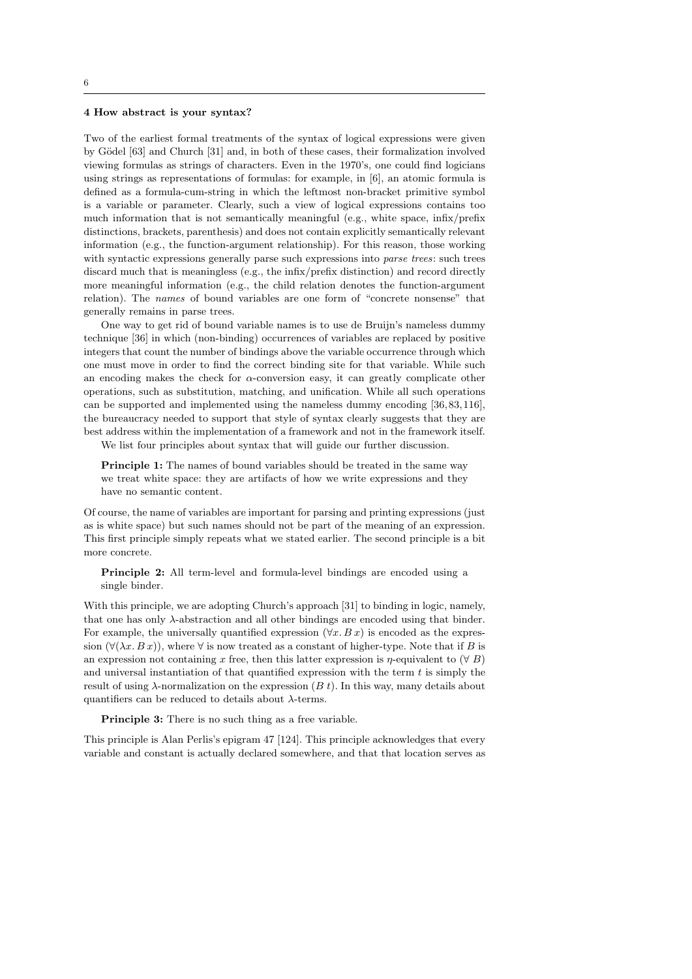### 4 How abstract is your syntax?

Two of the earliest formal treatments of the syntax of logical expressions were given by Gödel [63] and Church [31] and, in both of these cases, their formalization involved viewing formulas as strings of characters. Even in the 1970's, one could find logicians using strings as representations of formulas: for example, in [6], an atomic formula is defined as a formula-cum-string in which the leftmost non-bracket primitive symbol is a variable or parameter. Clearly, such a view of logical expressions contains too much information that is not semantically meaningful (e.g., white space, infix/prefix distinctions, brackets, parenthesis) and does not contain explicitly semantically relevant information (e.g., the function-argument relationship). For this reason, those working with syntactic expressions generally parse such expressions into parse trees: such trees discard much that is meaningless (e.g., the infix/prefix distinction) and record directly more meaningful information (e.g., the child relation denotes the function-argument relation). The names of bound variables are one form of "concrete nonsense" that generally remains in parse trees.

One way to get rid of bound variable names is to use de Bruijn's nameless dummy technique [36] in which (non-binding) occurrences of variables are replaced by positive integers that count the number of bindings above the variable occurrence through which one must move in order to find the correct binding site for that variable. While such an encoding makes the check for  $\alpha$ -conversion easy, it can greatly complicate other operations, such as substitution, matching, and unification. While all such operations can be supported and implemented using the nameless dummy encoding [36, 83, 116], the bureaucracy needed to support that style of syntax clearly suggests that they are best address within the implementation of a framework and not in the framework itself.

We list four principles about syntax that will guide our further discussion.

**Principle 1:** The names of bound variables should be treated in the same way we treat white space: they are artifacts of how we write expressions and they have no semantic content.

Of course, the name of variables are important for parsing and printing expressions (just as is white space) but such names should not be part of the meaning of an expression. This first principle simply repeats what we stated earlier. The second principle is a bit more concrete.

Principle 2: All term-level and formula-level bindings are encoded using a single binder.

With this principle, we are adopting Church's approach [31] to binding in logic, namely, that one has only  $\lambda$ -abstraction and all other bindings are encoded using that binder. For example, the universally quantified expression  $(\forall x. B x)$  is encoded as the expression  $(\forall (\lambda x. B x))$ , where  $\forall$  is now treated as a constant of higher-type. Note that if B is an expression not containing x free, then this latter expression is  $\eta$ -equivalent to ( $\forall B$ ) and universal instantiation of that quantified expression with the term  $t$  is simply the result of using  $\lambda$ -normalization on the expression  $(B t)$ . In this way, many details about quantifiers can be reduced to details about  $\lambda$ -terms.

Principle 3: There is no such thing as a free variable.

This principle is Alan Perlis's epigram 47 [124]. This principle acknowledges that every variable and constant is actually declared somewhere, and that that location serves as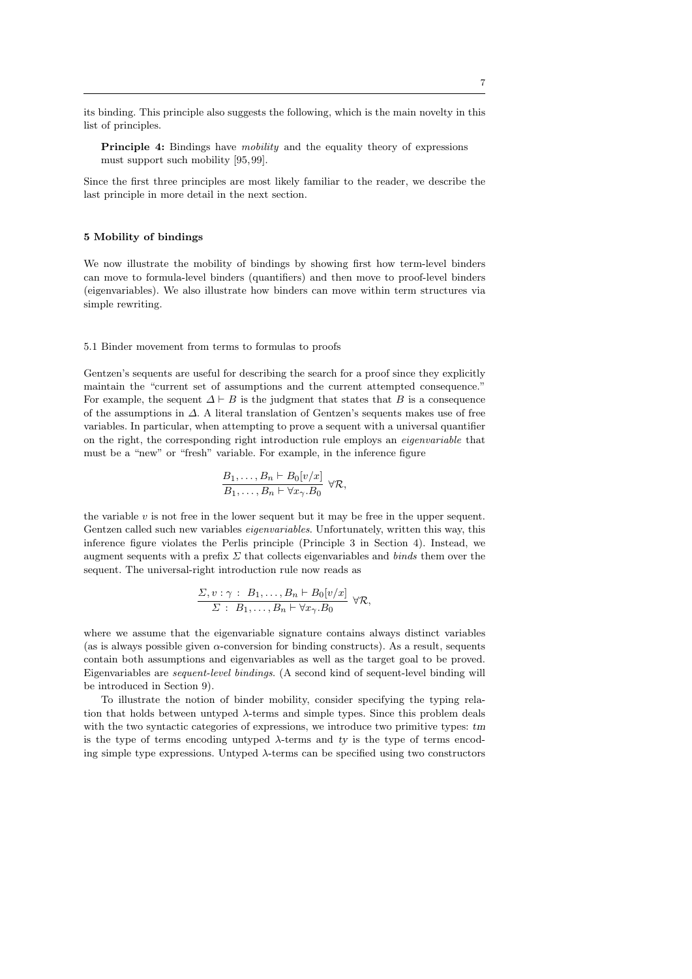its binding. This principle also suggests the following, which is the main novelty in this list of principles.

Principle 4: Bindings have mobility and the equality theory of expressions must support such mobility [95, 99].

Since the first three principles are most likely familiar to the reader, we describe the last principle in more detail in the next section.

### 5 Mobility of bindings

We now illustrate the mobility of bindings by showing first how term-level binders can move to formula-level binders (quantifiers) and then move to proof-level binders (eigenvariables). We also illustrate how binders can move within term structures via simple rewriting.

### 5.1 Binder movement from terms to formulas to proofs

Gentzen's sequents are useful for describing the search for a proof since they explicitly maintain the "current set of assumptions and the current attempted consequence." For example, the sequent  $\Delta \vdash B$  is the judgment that states that B is a consequence of the assumptions in ∆. A literal translation of Gentzen's sequents makes use of free variables. In particular, when attempting to prove a sequent with a universal quantifier on the right, the corresponding right introduction rule employs an eigenvariable that must be a "new" or "fresh" variable. For example, in the inference figure

$$
\frac{B_1,\ldots,B_n\vdash B_0[v/x]}{B_1,\ldots,B_n\vdash \forall x_{\gamma}.B_0}\,\,\forall \mathcal{R},
$$

the variable  $v$  is not free in the lower sequent but it may be free in the upper sequent. Gentzen called such new variables *eigenvariables*. Unfortunately, written this way, this inference figure violates the Perlis principle (Principle 3 in Section 4). Instead, we augment sequents with a prefix  $\Sigma$  that collects eigenvariables and binds them over the sequent. The universal-right introduction rule now reads as

$$
\frac{\Sigma, v : \gamma : B_1, \ldots, B_n \vdash B_0[v/x]}{\Sigma : B_1, \ldots, B_n \vdash \forall x_\gamma \ldotp B_0} \ \forall \mathcal{R},
$$

where we assume that the eigenvariable signature contains always distinct variables (as is always possible given  $\alpha$ -conversion for binding constructs). As a result, sequents contain both assumptions and eigenvariables as well as the target goal to be proved. Eigenvariables are sequent-level bindings. (A second kind of sequent-level binding will be introduced in Section 9).

To illustrate the notion of binder mobility, consider specifying the typing relation that holds between untyped  $\lambda$ -terms and simple types. Since this problem deals with the two syntactic categories of expressions, we introduce two primitive types: tm is the type of terms encoding untyped  $\lambda$ -terms and ty is the type of terms encoding simple type expressions. Untyped  $\lambda$ -terms can be specified using two constructors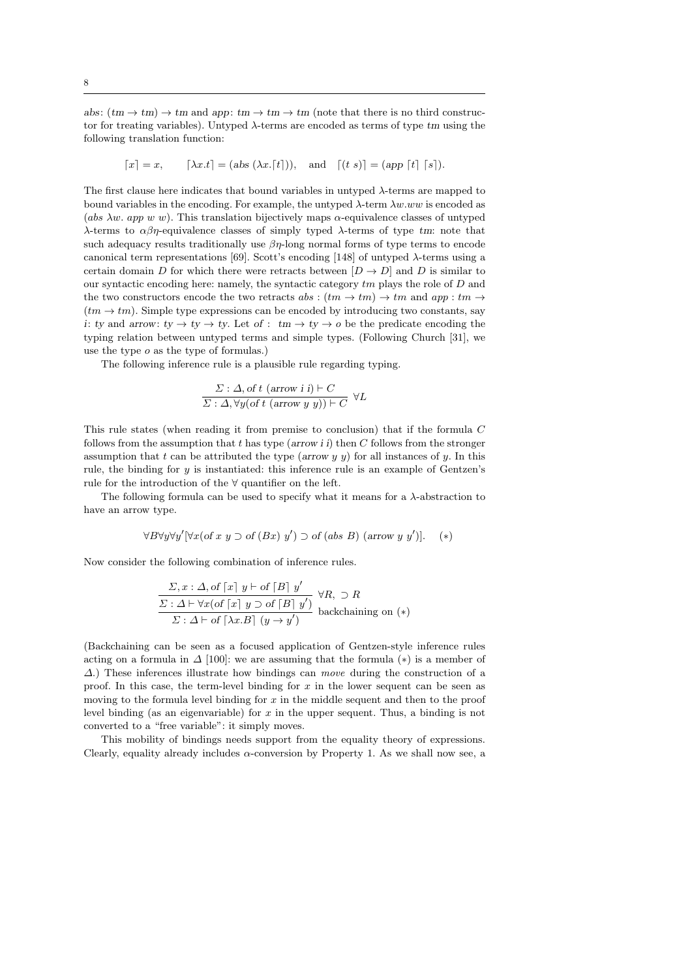abs:  $(tm \rightarrow tm) \rightarrow tm$  and app:  $tm \rightarrow tm \rightarrow tm$  (note that there is no third constructor for treating variables). Untyped  $\lambda$ -terms are encoded as terms of type tm using the following translation function:

$$
\lceil x \rceil = x, \qquad \lceil \lambda x.t \rceil = (abs (\lambda x. \lceil t \rceil)), \quad \text{and} \quad \lceil (t \ s) \rceil = (app \lceil t \rceil \lceil s \rceil).
$$

The first clause here indicates that bound variables in untyped  $\lambda$ -terms are mapped to bound variables in the encoding. For example, the untyped  $\lambda$ -term  $\lambda w.ww$  is encoded as (abs  $\lambda w$ . app w w). This translation bijectively maps  $\alpha$ -equivalence classes of untyped λ-terms to αβη-equivalence classes of simply typed λ-terms of type tm: note that such adequacy results traditionally use  $\beta\eta$ -long normal forms of type terms to encode canonical term representations [69]. Scott's encoding [148] of untyped  $\lambda$ -terms using a certain domain D for which there were retracts between  $[D \to D]$  and D is similar to our syntactic encoding here: namely, the syntactic category  $tm$  plays the role of  $D$  and the two constructors encode the two retracts  $abs : (tm \rightarrow tm) \rightarrow tm$  and  $app : tm \rightarrow$  $(tm \rightarrow tm)$ . Simple type expressions can be encoded by introducing two constants, say i: ty and arrow:  $ty \rightarrow ty \rightarrow ty$ . Let of :  $tm \rightarrow ty \rightarrow o$  be the predicate encoding the typing relation between untyped terms and simple types. (Following Church [31], we use the type o as the type of formulas.)

The following inference rule is a plausible rule regarding typing.

$$
\frac{\Sigma : \Delta, \text{ of } t \text{ (arrow i i)} \vdash C}{\Sigma : \Delta, \forall y (\text{of } t \text{ (arrow } y \text{ y})) \vdash C} \ \forall L
$$

This rule states (when reading it from premise to conclusion) that if the formula C follows from the assumption that t has type (arrow  $i$  i) then C follows from the stronger assumption that t can be attributed the type (arrow y y) for all instances of y. In this rule, the binding for  $y$  is instantiated: this inference rule is an example of Gentzen's rule for the introduction of the ∀ quantifier on the left.

The following formula can be used to specify what it means for a  $\lambda$ -abstraction to have an arrow type.

$$
\forall B \forall y \forall y' [\forall x (\text{of } x \ y \supset \text{of } (Bx) \ y') \supset \text{of } (\text{abs } B) \ (\text{arrow } y \ y')]. (*)
$$

Now consider the following combination of inference rules.

$$
\frac{\Sigma, x : \Delta, \text{of } [x] \ y \vdash \text{of } [B] \ y'}{\Sigma : \Delta \vdash \forall x (\text{of } [x] \ y \supset \text{of } [B] \ y')} \ \forall R, \supset R
$$
\n
$$
\frac{\Sigma : \Delta \vdash \forall x (\text{of } [x] \ y \supset \text{of } [B] \ y')}{\Sigma : \Delta \vdash \text{of } [\lambda x. B] \ (y \to y')}
$$
backchaining on (\*)

(Backchaining can be seen as a focused application of Gentzen-style inference rules acting on a formula in  $\Delta$  [100]: we are assuming that the formula (\*) is a member of  $\Delta$ .) These inferences illustrate how bindings can *move* during the construction of a proof. In this case, the term-level binding for  $x$  in the lower sequent can be seen as moving to the formula level binding for  $x$  in the middle sequent and then to the proof level binding (as an eigenvariable) for  $x$  in the upper sequent. Thus, a binding is not converted to a "free variable": it simply moves.

This mobility of bindings needs support from the equality theory of expressions. Clearly, equality already includes  $\alpha$ -conversion by Property 1. As we shall now see, a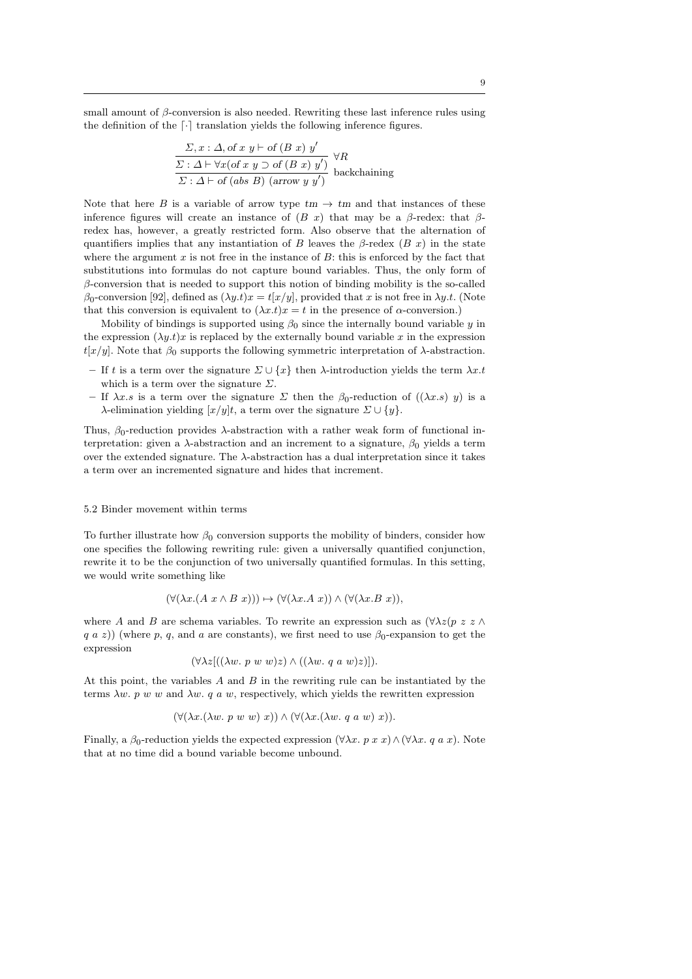small amount of  $\beta$ -conversion is also needed. Rewriting these last inference rules using the definition of the  $\lceil \cdot \rceil$  translation yields the following inference figures.

$$
\frac{\Sigma, x : \Delta, \text{of } x y \vdash \text{of } (B \ x) \ y'}{\Sigma : \Delta \vdash \forall x (\text{of } x \ y \supset \text{of } (B \ x) \ y')} \ \forall R
$$
  

$$
\Sigma : \Delta \vdash \text{of } (abs \ B) \ (arrow \ y \ y')
$$
backchaining

Note that here B is a variable of arrow type  $tm \to tm$  and that instances of these inference figures will create an instance of  $(B\ x)$  that may be a  $\beta$ -redex: that  $\beta$ redex has, however, a greatly restricted form. Also observe that the alternation of quantifiers implies that any instantiation of B leaves the  $\beta$ -redex (B x) in the state where the argument  $x$  is not free in the instance of  $B$ : this is enforced by the fact that substitutions into formulas do not capture bound variables. Thus, the only form of  $\beta$ -conversion that is needed to support this notion of binding mobility is the so-called  $\beta_0$ -conversion [92], defined as  $(\lambda y.t)x = t[x/y]$ , provided that x is not free in  $\lambda y.t$ . (Note that this conversion is equivalent to  $(\lambda x.t)x = t$  in the presence of  $\alpha$ -conversion.)

Mobility of bindings is supported using  $\beta_0$  since the internally bound variable  $y$  in the expression  $(\lambda y. t)x$  is replaced by the externally bound variable x in the expression  $t[x/y]$ . Note that  $\beta_0$  supports the following symmetric interpretation of  $\lambda$ -abstraction.

- If t is a term over the signature  $\Sigma \cup \{x\}$  then  $\lambda$ -introduction yields the term  $\lambda x.t$ which is a term over the signature  $\Sigma$ .
- If  $\lambda x.s$  is a term over the signature Σ then the β<sub>0</sub>-reduction of (( $\lambda x.s$ ) y) is a λ-elimination yielding  $[x/y]t$ , a term over the signature  $Σ ∪ {y}$ .

Thus,  $\beta_0$ -reduction provides  $\lambda$ -abstraction with a rather weak form of functional interpretation: given a  $\lambda$ -abstraction and an increment to a signature,  $\beta_0$  yields a term over the extended signature. The λ-abstraction has a dual interpretation since it takes a term over an incremented signature and hides that increment.

### 5.2 Binder movement within terms

To further illustrate how  $\beta_0$  conversion supports the mobility of binders, consider how one specifies the following rewriting rule: given a universally quantified conjunction, rewrite it to be the conjunction of two universally quantified formulas. In this setting, we would write something like

$$
(\forall(\lambda x. (A x \land B x))) \mapsto (\forall(\lambda x. A x)) \land (\forall(\lambda x. B x)),
$$

where A and B are schema variables. To rewrite an expression such as  $(\forall \lambda z (p \ z \ z \land \lambda))$ q a z)) (where p, q, and a are constants), we first need to use  $\beta_0$ -expansion to get the expression

$$
(\forall \lambda z [((\lambda w. p w w)z) \wedge ((\lambda w. q a w)z)]).
$$

At this point, the variables  $A$  and  $B$  in the rewriting rule can be instantiated by the terms  $\lambda w$ . p w w and  $\lambda w$ . q a w, respectively, which yields the rewritten expression

$$
(\forall (\lambda x.(\lambda w. p w w) x)) \land (\forall (\lambda x.(\lambda w. q a w) x)).
$$

Finally, a  $\beta_0$ -reduction yields the expected expression  $(\forall \lambda x. p \ x \ x) \land (\forall \lambda x. q \ a \ x)$ . Note that at no time did a bound variable become unbound.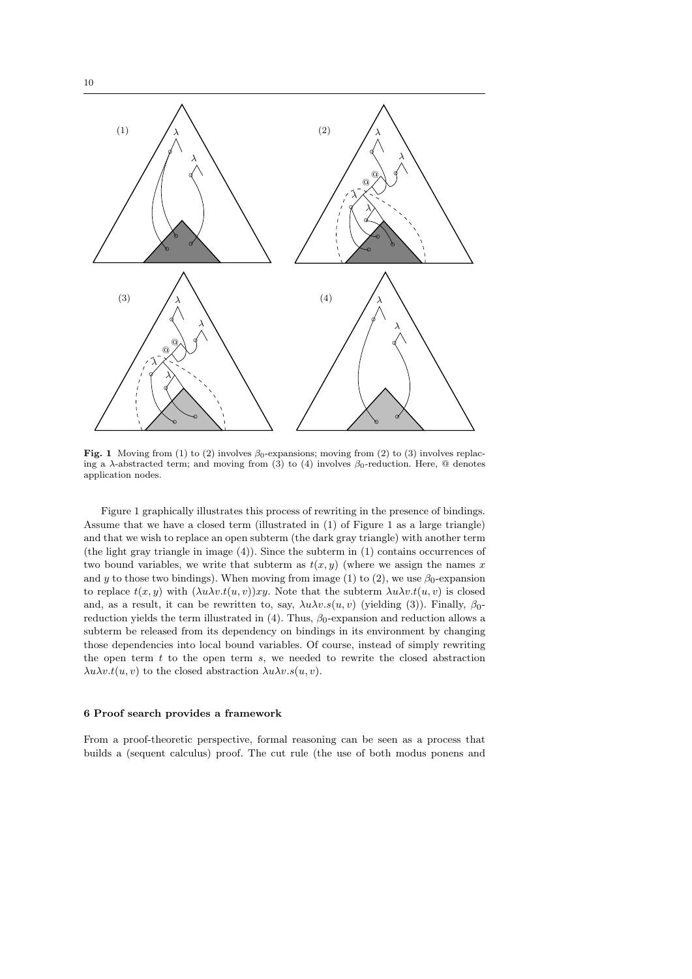

Fig. 1 Moving from (1) to (2) involves  $\beta_0$ -expansions; moving from (2) to (3) involves replacing a  $\lambda$ -abstracted term; and moving from (3) to (4) involves  $\beta_0$ -reduction. Here, @ denotes application nodes.

Figure 1 graphically illustrates this process of rewriting in the presence of bindings. Assume that we have a closed term (illustrated in (1) of Figure 1 as a large triangle) and that we wish to replace an open subterm (the dark gray triangle) with another term (the light gray triangle in image (4)). Since the subterm in (1) contains occurrences of two bound variables, we write that subterm as  $t(x, y)$  (where we assign the names x and y to those two bindings). When moving from image (1) to (2), we use  $\beta_0$ -expansion to replace  $t(x, y)$  with  $(\lambda u \lambda v.t(u, v))xy$ . Note that the subterm  $\lambda u \lambda v.t(u, v)$  is closed and, as a result, it can be rewritten to, say,  $\lambda u \lambda v.s(u, v)$  (yielding (3)). Finally,  $\beta_0$ reduction yields the term illustrated in (4). Thus,  $\beta_0$ -expansion and reduction allows a subterm be released from its dependency on bindings in its environment by changing those dependencies into local bound variables. Of course, instead of simply rewriting the open term  $t$  to the open term  $s$ , we needed to rewrite the closed abstraction  $\lambda u \lambda v.t(u, v)$  to the closed abstraction  $\lambda u \lambda v.s(u, v)$ .

#### 6 Proof search provides a framework

From a proof-theoretic perspective, formal reasoning can be seen as a process that builds a (sequent calculus) proof. The cut rule (the use of both modus ponens and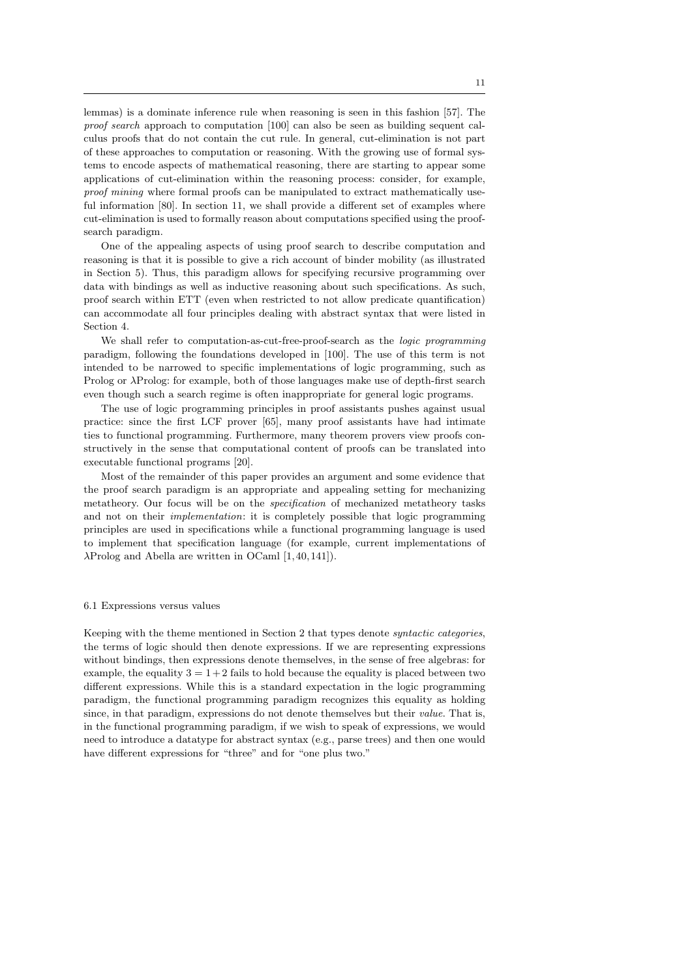lemmas) is a dominate inference rule when reasoning is seen in this fashion [57]. The proof search approach to computation [100] can also be seen as building sequent calculus proofs that do not contain the cut rule. In general, cut-elimination is not part of these approaches to computation or reasoning. With the growing use of formal systems to encode aspects of mathematical reasoning, there are starting to appear some applications of cut-elimination within the reasoning process: consider, for example, proof mining where formal proofs can be manipulated to extract mathematically useful information [80]. In section 11, we shall provide a different set of examples where cut-elimination is used to formally reason about computations specified using the proofsearch paradigm.

One of the appealing aspects of using proof search to describe computation and reasoning is that it is possible to give a rich account of binder mobility (as illustrated in Section 5). Thus, this paradigm allows for specifying recursive programming over data with bindings as well as inductive reasoning about such specifications. As such, proof search within ETT (even when restricted to not allow predicate quantification) can accommodate all four principles dealing with abstract syntax that were listed in Section 4.

We shall refer to computation-as-cut-free-proof-search as the *logic programming* paradigm, following the foundations developed in [100]. The use of this term is not intended to be narrowed to specific implementations of logic programming, such as Prolog or λProlog: for example, both of those languages make use of depth-first search even though such a search regime is often inappropriate for general logic programs.

The use of logic programming principles in proof assistants pushes against usual practice: since the first LCF prover [65], many proof assistants have had intimate ties to functional programming. Furthermore, many theorem provers view proofs constructively in the sense that computational content of proofs can be translated into executable functional programs [20].

Most of the remainder of this paper provides an argument and some evidence that the proof search paradigm is an appropriate and appealing setting for mechanizing metatheory. Our focus will be on the specification of mechanized metatheory tasks and not on their implementation: it is completely possible that logic programming principles are used in specifications while a functional programming language is used to implement that specification language (for example, current implementations of  $\lambda$ Prolog and Abella are written in OCaml [1,40,141]).

### 6.1 Expressions versus values

Keeping with the theme mentioned in Section 2 that types denote syntactic categories, the terms of logic should then denote expressions. If we are representing expressions without bindings, then expressions denote themselves, in the sense of free algebras: for example, the equality  $3 = 1+2$  fails to hold because the equality is placed between two different expressions. While this is a standard expectation in the logic programming paradigm, the functional programming paradigm recognizes this equality as holding since, in that paradigm, expressions do not denote themselves but their value. That is, in the functional programming paradigm, if we wish to speak of expressions, we would need to introduce a datatype for abstract syntax (e.g., parse trees) and then one would have different expressions for "three" and for "one plus two."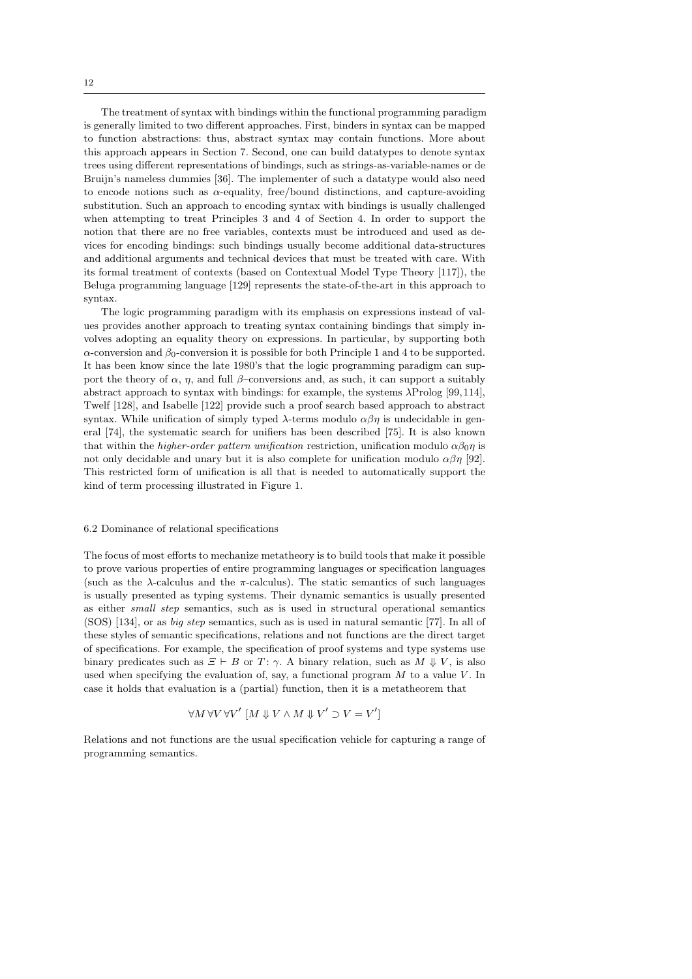The treatment of syntax with bindings within the functional programming paradigm is generally limited to two different approaches. First, binders in syntax can be mapped to function abstractions: thus, abstract syntax may contain functions. More about this approach appears in Section 7. Second, one can build datatypes to denote syntax trees using different representations of bindings, such as strings-as-variable-names or de Bruijn's nameless dummies [36]. The implementer of such a datatype would also need to encode notions such as  $\alpha$ -equality, free/bound distinctions, and capture-avoiding substitution. Such an approach to encoding syntax with bindings is usually challenged when attempting to treat Principles 3 and 4 of Section 4. In order to support the notion that there are no free variables, contexts must be introduced and used as devices for encoding bindings: such bindings usually become additional data-structures and additional arguments and technical devices that must be treated with care. With its formal treatment of contexts (based on Contextual Model Type Theory [117]), the Beluga programming language [129] represents the state-of-the-art in this approach to syntax.

The logic programming paradigm with its emphasis on expressions instead of values provides another approach to treating syntax containing bindings that simply involves adopting an equality theory on expressions. In particular, by supporting both  $\alpha$ -conversion and  $\beta_0$ -conversion it is possible for both Principle 1 and 4 to be supported. It has been know since the late 1980's that the logic programming paradigm can support the theory of  $\alpha$ ,  $\eta$ , and full  $\beta$ -conversions and, as such, it can support a suitably abstract approach to syntax with bindings: for example, the systems  $\lambda$ Prolog [99, 114], Twelf [128], and Isabelle [122] provide such a proof search based approach to abstract syntax. While unification of simply typed  $\lambda$ -terms modulo  $\alpha\beta\eta$  is undecidable in general [74], the systematic search for unifiers has been described [75]. It is also known that within the *higher-order pattern unification* restriction, unification modulo  $\alpha\beta_0\eta$  is not only decidable and unary but it is also complete for unification modulo  $\alpha\beta\eta$  [92]. This restricted form of unification is all that is needed to automatically support the kind of term processing illustrated in Figure 1.

### 6.2 Dominance of relational specifications

The focus of most efforts to mechanize metatheory is to build tools that make it possible to prove various properties of entire programming languages or specification languages (such as the  $\lambda$ -calculus and the  $\pi$ -calculus). The static semantics of such languages is usually presented as typing systems. Their dynamic semantics is usually presented as either small step semantics, such as is used in structural operational semantics (SOS) [134], or as big step semantics, such as is used in natural semantic [77]. In all of these styles of semantic specifications, relations and not functions are the direct target of specifications. For example, the specification of proof systems and type systems use binary predicates such as  $\mathcal{Z} \vdash B$  or  $T : \gamma$ . A binary relation, such as  $M \Downarrow V$ , is also used when specifying the evaluation of, say, a functional program  $M$  to a value  $V$ . In case it holds that evaluation is a (partial) function, then it is a metatheorem that

$$
\forall M \forall V \forall V' [M \Downarrow V \land M \Downarrow V' \supset V = V']
$$

Relations and not functions are the usual specification vehicle for capturing a range of programming semantics.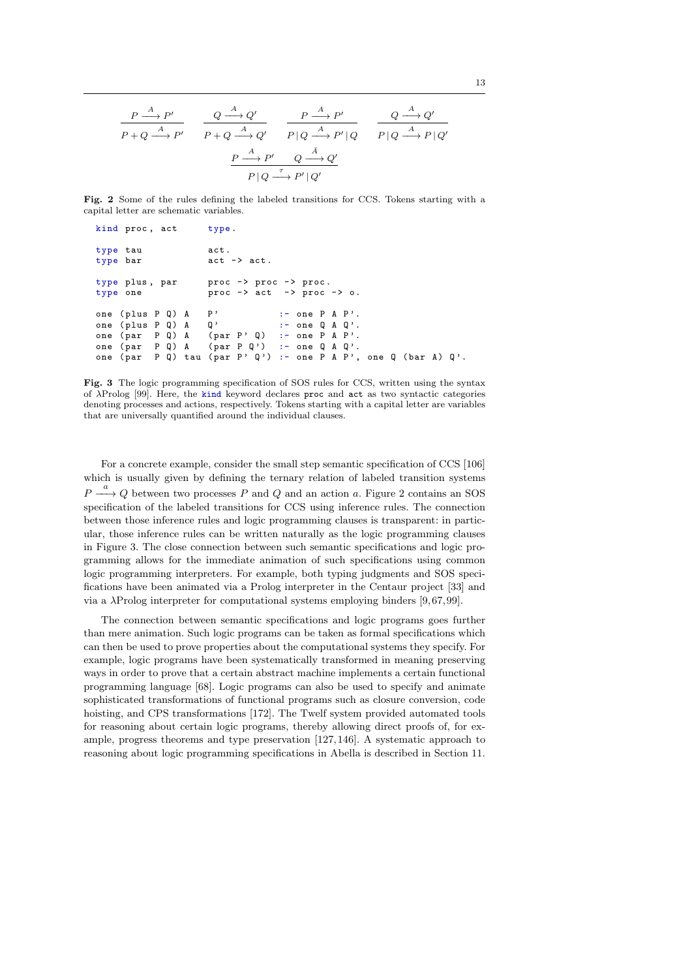$$
\frac{P \xrightarrow{A} P'}{P+Q \xrightarrow{A} P'} \qquad \frac{Q \xrightarrow{A} Q'}{P+Q \xrightarrow{A} Q'} \qquad \frac{P \xrightarrow{A} P'}{P|Q \xrightarrow{A} P'|Q} \qquad \frac{Q \xrightarrow{A} Q'}{P|Q \xrightarrow{A} P|Q'}
$$
\n
$$
\frac{P \xrightarrow{A} P'}{P|Q \xrightarrow{\tau} P'|Q'}
$$

Fig. 2 Some of the rules defining the labeled transitions for CCS. Tokens starting with a capital letter are schematic variables.

|                            | kind proc, act type.  |  |  |  |                                                                                                           |                                                                |                   |  |  |  |  |
|----------------------------|-----------------------|--|--|--|-----------------------------------------------------------------------------------------------------------|----------------------------------------------------------------|-------------------|--|--|--|--|
| type tau                   | type bar              |  |  |  | act.                                                                                                      | act -> act.                                                    |                   |  |  |  |  |
| type plus, par<br>type one |                       |  |  |  | proc $\rightarrow$ proc $\rightarrow$ proc.<br>proc $\rightarrow$ act $\rightarrow$ proc $\rightarrow$ o. |                                                                |                   |  |  |  |  |
|                            | one (plus P Q) $A$ P' |  |  |  |                                                                                                           |                                                                | $:$ - one P A P'. |  |  |  |  |
|                            | one (plus P Q) $A$ Q' |  |  |  |                                                                                                           |                                                                | $:$ - one Q A Q'. |  |  |  |  |
|                            |                       |  |  |  |                                                                                                           | one (par P Q) A (par P' Q) :- one P A P'.                      |                   |  |  |  |  |
|                            |                       |  |  |  |                                                                                                           | one (par P Q) A (par P Q') :- one Q A Q'.                      |                   |  |  |  |  |
|                            |                       |  |  |  |                                                                                                           | one (par P Q) tau (par P' Q') :- one P A P', one Q (bar A) Q'. |                   |  |  |  |  |

Fig. 3 The logic programming specification of SOS rules for CCS, written using the syntax of λProlog [99]. Here, the kind keyword declares proc and act as two syntactic categories denoting processes and actions, respectively. Tokens starting with a capital letter are variables that are universally quantified around the individual clauses.

For a concrete example, consider the small step semantic specification of CCS [106] which is usually given by defining the ternary relation of labeled transition systems  $P \xrightarrow{a} Q$  between two processes P and Q and an action a. Figure 2 contains an SOS specification of the labeled transitions for CCS using inference rules. The connection between those inference rules and logic programming clauses is transparent: in particular, those inference rules can be written naturally as the logic programming clauses in Figure 3. The close connection between such semantic specifications and logic programming allows for the immediate animation of such specifications using common logic programming interpreters. For example, both typing judgments and SOS specifications have been animated via a Prolog interpreter in the Centaur project [33] and via a  $\lambda$ Prolog interpreter for computational systems employing binders [9,67,99].

The connection between semantic specifications and logic programs goes further than mere animation. Such logic programs can be taken as formal specifications which can then be used to prove properties about the computational systems they specify. For example, logic programs have been systematically transformed in meaning preserving ways in order to prove that a certain abstract machine implements a certain functional programming language [68]. Logic programs can also be used to specify and animate sophisticated transformations of functional programs such as closure conversion, code hoisting, and CPS transformations [172]. The Twelf system provided automated tools for reasoning about certain logic programs, thereby allowing direct proofs of, for example, progress theorems and type preservation [127, 146]. A systematic approach to reasoning about logic programming specifications in Abella is described in Section 11.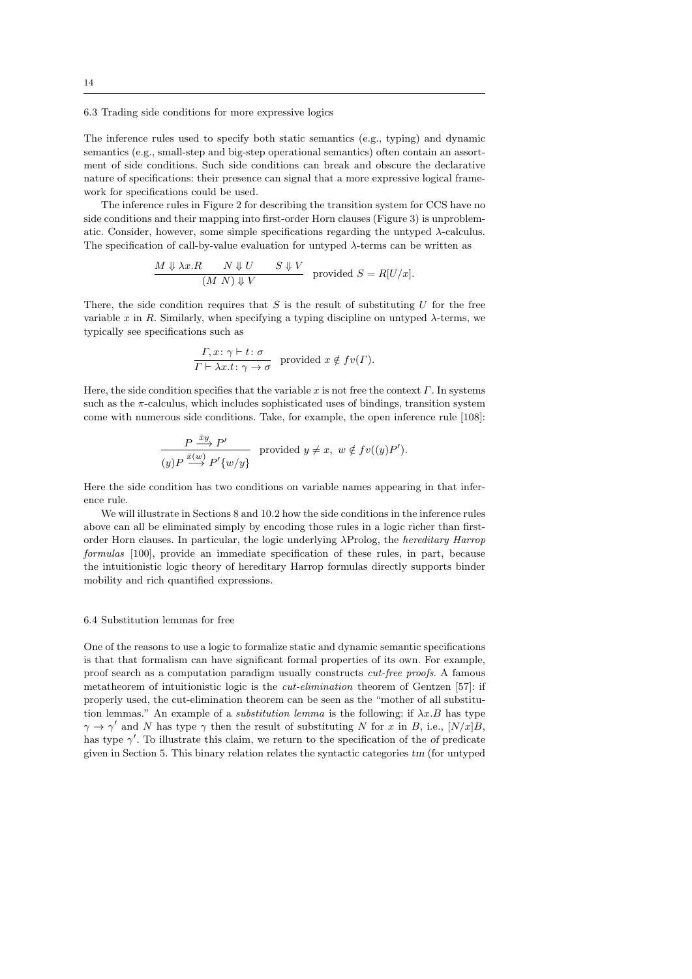6.3 Trading side conditions for more expressive logics

The inference rules used to specify both static semantics (e.g., typing) and dynamic semantics (e.g., small-step and big-step operational semantics) often contain an assortment of side conditions. Such side conditions can break and obscure the declarative nature of specifications: their presence can signal that a more expressive logical framework for specifications could be used.

The inference rules in Figure 2 for describing the transition system for CCS have no side conditions and their mapping into first-order Horn clauses (Figure 3) is unproblematic. Consider, however, some simple specifications regarding the untyped  $\lambda$ -calculus. The specification of call-by-value evaluation for untyped  $\lambda$ -terms can be written as

$$
\frac{M\Downarrow \lambda x.R \qquad N\Downarrow U \qquad S\Downarrow V}{(M\ N)\Downarrow V} \quad \text{provided } S = R[U/x].
$$

There, the side condition requires that  $S$  is the result of substituting  $U$  for the free variable x in R. Similarly, when specifying a typing discipline on untyped  $\lambda$ -terms, we typically see specifications such as

$$
\frac{\Gamma, x \colon \gamma \vdash t : \sigma}{\Gamma \vdash \lambda x. t : \gamma \to \sigma} \text{ provided } x \notin fv(\Gamma).
$$

Here, the side condition specifies that the variable x is not free the context  $\Gamma$ . In systems such as the  $\pi$ -calculus, which includes sophisticated uses of bindings, transition system come with numerous side conditions. Take, for example, the open inference rule [108]:

$$
\frac{P \stackrel{\bar{x}y}{\longrightarrow} P'}{(y)P \stackrel{\bar{x}(\underline{w})}{\longrightarrow} P'\{w/y\}} \text{ provided } y \neq x, \ w \notin fv((y)P').
$$

Here the side condition has two conditions on variable names appearing in that inference rule.

We will illustrate in Sections 8 and 10.2 how the side conditions in the inference rules above can all be eliminated simply by encoding those rules in a logic richer than firstorder Horn clauses. In particular, the logic underlying λProlog, the hereditary Harrop formulas [100], provide an immediate specification of these rules, in part, because the intuitionistic logic theory of hereditary Harrop formulas directly supports binder mobility and rich quantified expressions.

# 6.4 Substitution lemmas for free

One of the reasons to use a logic to formalize static and dynamic semantic specifications is that that formalism can have significant formal properties of its own. For example, proof search as a computation paradigm usually constructs cut-free proofs. A famous metatheorem of intuitionistic logic is the cut-elimination theorem of Gentzen [57]: if properly used, the cut-elimination theorem can be seen as the "mother of all substitution lemmas." An example of a *substitution lemma* is the following: if  $\lambda x.B$  has type  $\gamma \to \gamma'$  and N has type  $\gamma$  then the result of substituting N for x in B, i.e.,  $[N/x]B$ , has type  $\gamma'$ . To illustrate this claim, we return to the specification of the of predicate given in Section 5. This binary relation relates the syntactic categories tm (for untyped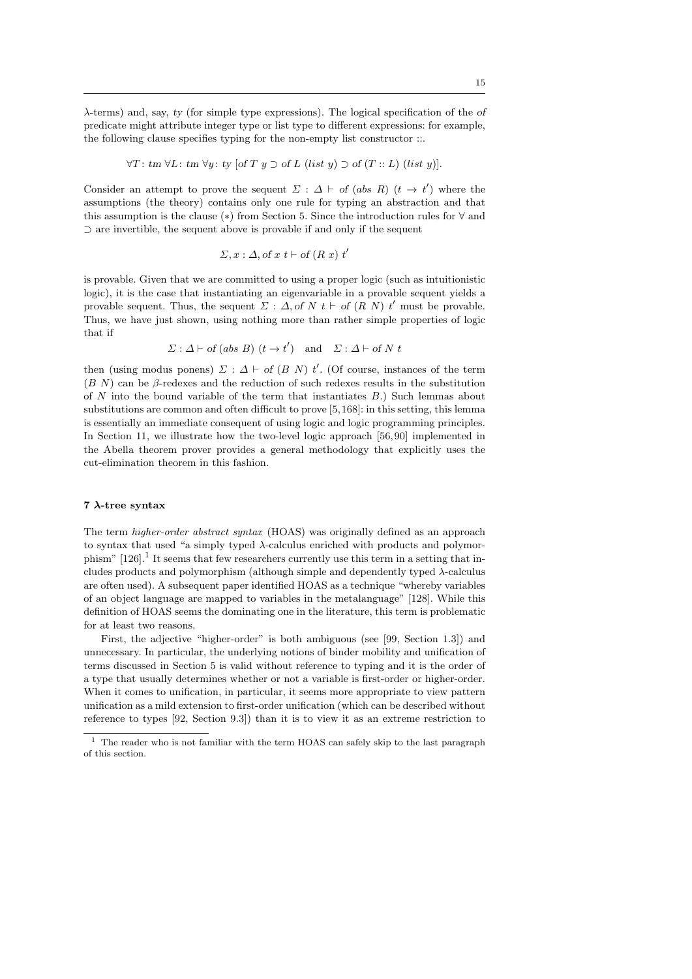$\lambda$ -terms) and, say, ty (for simple type expressions). The logical specification of the of predicate might attribute integer type or list type to different expressions: for example, the following clause specifies typing for the non-empty list constructor ::.

$$
\forall T: \text{tm } \forall L: \text{tm } \forall y: \text{ty } [\text{of } T \ y \supset \text{of } L \ (\text{list } y) \supset \text{of } (T :: L) \ (\text{list } y)].
$$

Consider an attempt to prove the sequent  $\Sigma : \Delta \vdash of (abs \ R)$   $(t \rightarrow t')$  where the assumptions (the theory) contains only one rule for typing an abstraction and that this assumption is the clause (∗) from Section 5. Since the introduction rules for ∀ and ⊃ are invertible, the sequent above is provable if and only if the sequent

$$
\Sigma, x : \Delta, \text{of } x \text{ } t \vdash \text{of } (R \ x) \text{ } t'
$$

is provable. Given that we are committed to using a proper logic (such as intuitionistic logic), it is the case that instantiating an eigenvariable in a provable sequent yields a provable sequent. Thus, the sequent  $\Sigma : \Delta$ , of  $N$  t  $\vdash$  of  $(R N)$  t' must be provable. Thus, we have just shown, using nothing more than rather simple properties of logic that if

$$
\Sigma : \Delta \vdash \text{of } (abs \ B) \ (t \to t')
$$
 and  $\Sigma : \Delta \vdash \text{of } N \ t$ 

then (using modus ponens)  $\Sigma : \Delta \vdash of (B \ N) t'$ . (Of course, instances of the term  $(B\ N)$  can be  $\beta$ -redexes and the reduction of such redexes results in the substitution of N into the bound variable of the term that instantiates B.) Such lemmas about substitutions are common and often difficult to prove [5,168]: in this setting, this lemma is essentially an immediate consequent of using logic and logic programming principles. In Section 11, we illustrate how the two-level logic approach [56,90] implemented in the Abella theorem prover provides a general methodology that explicitly uses the cut-elimination theorem in this fashion.

### 7  $\lambda$ -tree syntax

The term higher-order abstract syntax (HOAS) was originally defined as an approach to syntax that used "a simply typed  $\lambda$ -calculus enriched with products and polymorphism"  $[126]$ .<sup>1</sup> It seems that few researchers currently use this term in a setting that includes products and polymorphism (although simple and dependently typed λ-calculus are often used). A subsequent paper identified HOAS as a technique "whereby variables of an object language are mapped to variables in the metalanguage" [128]. While this definition of HOAS seems the dominating one in the literature, this term is problematic for at least two reasons.

First, the adjective "higher-order" is both ambiguous (see [99, Section 1.3]) and unnecessary. In particular, the underlying notions of binder mobility and unification of terms discussed in Section 5 is valid without reference to typing and it is the order of a type that usually determines whether or not a variable is first-order or higher-order. When it comes to unification, in particular, it seems more appropriate to view pattern unification as a mild extension to first-order unification (which can be described without reference to types [92, Section 9.3]) than it is to view it as an extreme restriction to

 $^{\rm 1}$  The reader who is not familiar with the term HOAS can safely skip to the last paragraph of this section.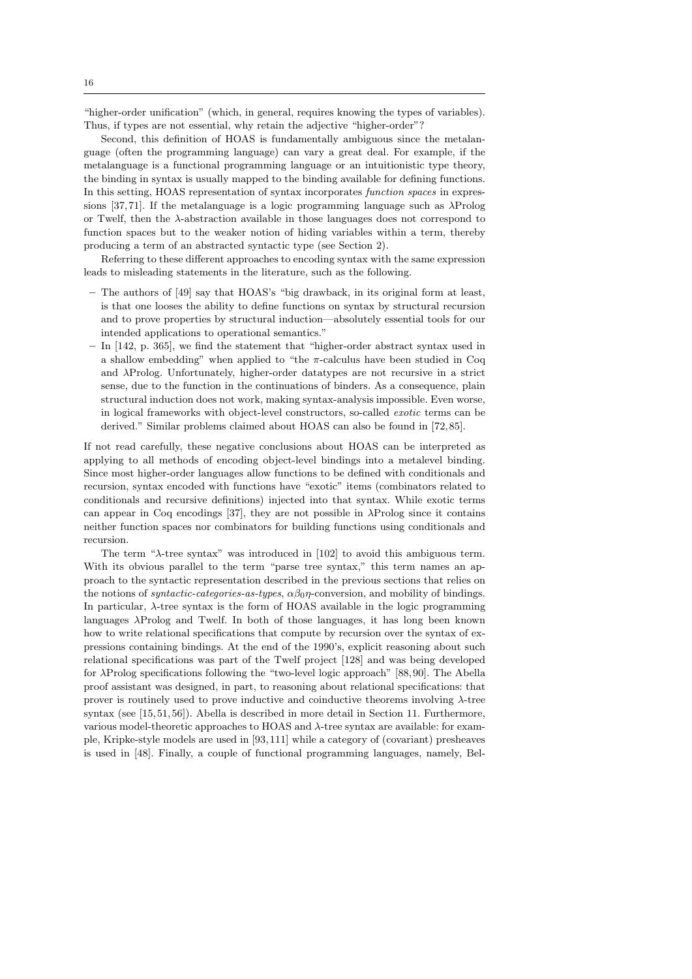"higher-order unification" (which, in general, requires knowing the types of variables). Thus, if types are not essential, why retain the adjective "higher-order"?

Second, this definition of HOAS is fundamentally ambiguous since the metalanguage (often the programming language) can vary a great deal. For example, if the metalanguage is a functional programming language or an intuitionistic type theory, the binding in syntax is usually mapped to the binding available for defining functions. In this setting, HOAS representation of syntax incorporates function spaces in expressions [37,71]. If the metalanguage is a logic programming language such as  $\lambda$ Prolog or Twelf, then the  $\lambda$ -abstraction available in those languages does not correspond to function spaces but to the weaker notion of hiding variables within a term, thereby producing a term of an abstracted syntactic type (see Section 2).

Referring to these different approaches to encoding syntax with the same expression leads to misleading statements in the literature, such as the following.

- The authors of [49] say that HOAS's "big drawback, in its original form at least, is that one looses the ability to define functions on syntax by structural recursion and to prove properties by structural induction—absolutely essential tools for our intended applications to operational semantics."
- In [142, p. 365], we find the statement that "higher-order abstract syntax used in a shallow embedding" when applied to "the  $\pi$ -calculus have been studied in Coq and λProlog. Unfortunately, higher-order datatypes are not recursive in a strict sense, due to the function in the continuations of binders. As a consequence, plain structural induction does not work, making syntax-analysis impossible. Even worse, in logical frameworks with object-level constructors, so-called exotic terms can be derived." Similar problems claimed about HOAS can also be found in [72,85].

If not read carefully, these negative conclusions about HOAS can be interpreted as applying to all methods of encoding object-level bindings into a metalevel binding. Since most higher-order languages allow functions to be defined with conditionals and recursion, syntax encoded with functions have "exotic" items (combinators related to conditionals and recursive definitions) injected into that syntax. While exotic terms can appear in Coq encodings [37], they are not possible in  $\lambda$ Prolog since it contains neither function spaces nor combinators for building functions using conditionals and recursion.

The term "λ-tree syntax" was introduced in [102] to avoid this ambiguous term. With its obvious parallel to the term "parse tree syntax," this term names an approach to the syntactic representation described in the previous sections that relies on the notions of *syntactic-categories-as-types*,  $\alpha\beta_0\eta$ -conversion, and mobility of bindings. In particular, λ-tree syntax is the form of HOAS available in the logic programming languages λProlog and Twelf. In both of those languages, it has long been known how to write relational specifications that compute by recursion over the syntax of expressions containing bindings. At the end of the 1990's, explicit reasoning about such relational specifications was part of the Twelf project [128] and was being developed for λProlog specifications following the "two-level logic approach" [88, 90]. The Abella proof assistant was designed, in part, to reasoning about relational specifications: that prover is routinely used to prove inductive and coinductive theorems involving  $\lambda$ -tree syntax (see [15, 51, 56]). Abella is described in more detail in Section 11. Furthermore, various model-theoretic approaches to HOAS and  $\lambda$ -tree syntax are available: for example, Kripke-style models are used in [93, 111] while a category of (covariant) presheaves is used in [48]. Finally, a couple of functional programming languages, namely, Bel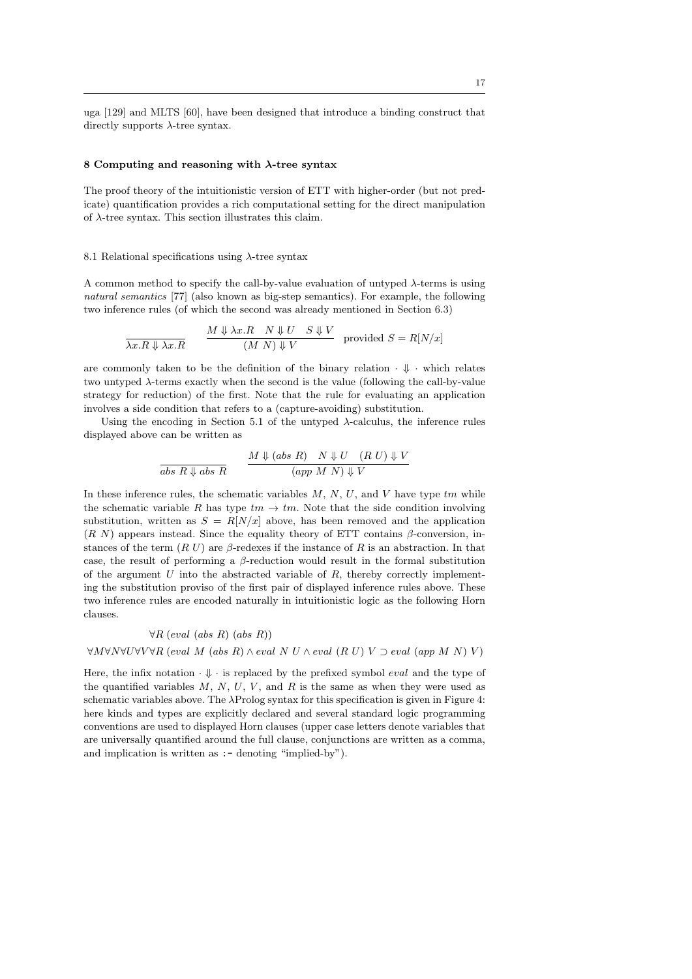uga [129] and MLTS [60], have been designed that introduce a binding construct that directly supports  $\lambda$ -tree syntax.

#### 8 Computing and reasoning with λ-tree syntax

The proof theory of the intuitionistic version of ETT with higher-order (but not predicate) quantification provides a rich computational setting for the direct manipulation of  $\lambda$ -tree syntax. This section illustrates this claim.

### 8.1 Relational specifications using  $\lambda$ -tree syntax

A common method to specify the call-by-value evaluation of untyped  $\lambda$ -terms is using natural semantics [77] (also known as big-step semantics). For example, the following two inference rules (of which the second was already mentioned in Section 6.3)

$$
\frac{M \Downarrow \lambda x.R}{\lambda x.R} \qquad \frac{M \Downarrow \lambda x.R \quad N \Downarrow U \quad S \Downarrow V}{(M \ N) \Downarrow V} \quad \text{provided } S = R[N/x]
$$

are commonly taken to be the definition of the binary relation  $\cdot \Downarrow \cdot$  which relates two untyped  $\lambda$ -terms exactly when the second is the value (following the call-by-value strategy for reduction) of the first. Note that the rule for evaluating an application involves a side condition that refers to a (capture-avoiding) substitution.

Using the encoding in Section 5.1 of the untyped  $\lambda$ -calculus, the inference rules displayed above can be written as

$$
\frac{M \Downarrow (abs \ R) \quad N \Downarrow U \quad (R \ U) \Downarrow V}{(app \ M \ N) \Downarrow V}
$$

In these inference rules, the schematic variables  $M, N, U$ , and V have type  $tm$  while the schematic variable R has type  $tm \to tm$ . Note that the side condition involving substitution, written as  $S = R[N/x]$  above, has been removed and the application  $(R N)$  appears instead. Since the equality theory of ETT contains  $\beta$ -conversion, instances of the term  $(R U)$  are  $\beta$ -redexes if the instance of R is an abstraction. In that case, the result of performing a  $\beta$ -reduction would result in the formal substitution of the argument  $U$  into the abstracted variable of  $R$ , thereby correctly implementing the substitution proviso of the first pair of displayed inference rules above. These two inference rules are encoded naturally in intuitionistic logic as the following Horn clauses.

$$
\forall R \ (eval \ (abs \ R) \ (abs \ R))
$$

 $\forall M \forall N \forall U \forall V \forall R$  (eval M (abs R)  $\land$  eval N U  $\land$  eval (R U) V  $\supset$  eval (app M N) V)

Here, the infix notation  $\cdot \Downarrow \cdot$  is replaced by the prefixed symbol eval and the type of the quantified variables  $M, N, U, V$ , and  $R$  is the same as when they were used as schematic variables above. The  $\lambda$ Prolog syntax for this specification is given in Figure 4: here kinds and types are explicitly declared and several standard logic programming conventions are used to displayed Horn clauses (upper case letters denote variables that are universally quantified around the full clause, conjunctions are written as a comma, and implication is written as :-denoting "implied-by").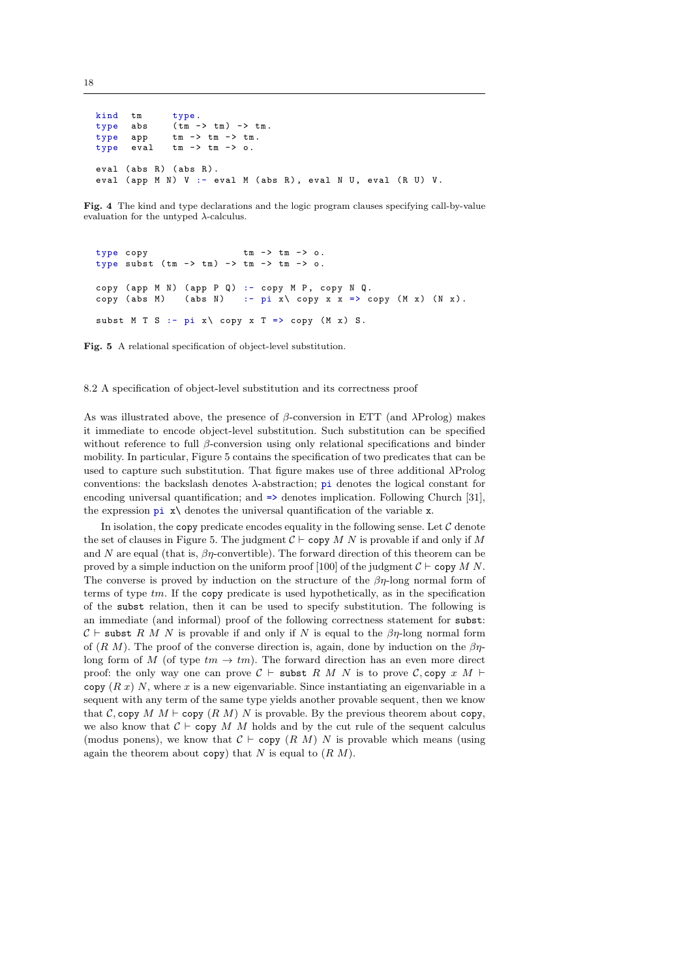```
kind tm type.
type abs (tm \rightarrow tm) \rightarrow tm.<br>type app tm \rightarrow tm \rightarrow tm.
                    tm \rightarrow tm \rightarrow tm.
type eval tm \rightarrow tm \rightarrow o.
eval (abs R) (abs R).
eval (app M N) V :- eval M (abs R), eval N U, eval (R U) V.
```
Fig. 4 The kind and type declarations and the logic program clauses specifying call-by-value evaluation for the untyped  $\lambda$ -calculus.

```
type copy tm \rightarrow tm \rightarrow c.
type subst (tm \rightarrow tm) \rightarrow tm \rightarrow tm \rightarrow.
copy (app M N) (app P Q) :- copy M P, copy N Q.
copy (abs M) (abs N) :- pi x\ copy x x => copy (M x) (N x).
subst M T S := pi x \cup copy x T => copy (M x) S.
```
Fig. 5 A relational specification of object-level substitution.

8.2 A specification of object-level substitution and its correctness proof

As was illustrated above, the presence of  $\beta$ -conversion in ETT (and  $\lambda$ Prolog) makes it immediate to encode object-level substitution. Such substitution can be specified without reference to full β-conversion using only relational specifications and binder mobility. In particular, Figure 5 contains the specification of two predicates that can be used to capture such substitution. That figure makes use of three additional  $\lambda$ Prolog conventions: the backslash denotes  $\lambda$ -abstraction; pi denotes the logical constant for encoding universal quantification; and  $\Rightarrow$  denotes implication. Following Church [31], the expression  $pi \times \delta$  denotes the universal quantification of the variable x.

In isolation, the copy predicate encodes equality in the following sense. Let  $\mathcal C$  denote the set of clauses in Figure 5. The judgment  $C \vdash \text{copy } M N$  is provable if and only if M and N are equal (that is,  $\beta\eta$ -convertible). The forward direction of this theorem can be proved by a simple induction on the uniform proof [100] of the judgment  $C \vdash \text{copy } M \ N$ . The converse is proved by induction on the structure of the  $\beta\eta$ -long normal form of terms of type  $tm$ . If the copy predicate is used hypothetically, as in the specification of the subst relation, then it can be used to specify substitution. The following is an immediate (and informal) proof of the following correctness statement for subst:  $C \vdash$  subst R M N is provable if and only if N is equal to the  $\beta$ n-long normal form of  $(R M)$ . The proof of the converse direction is, again, done by induction on the  $\beta\eta$ long form of M (of type  $tm \to tm$ ). The forward direction has an even more direct proof: the only way one can prove  $C \vdash$  subst R M N is to prove C, copy x M  $\vdash$ copy  $(R x)$  N, where x is a new eigenvariable. Since instantiating an eigenvariable in a sequent with any term of the same type yields another provable sequent, then we know that C, copy  $M M \vdash$  copy  $(R M) N$  is provable. By the previous theorem about copy, we also know that  $C \vdash \text{copy } M \ M$  holds and by the cut rule of the sequent calculus (modus ponens), we know that  $C \vdash \text{copy } (R \ M) \ N$  is provable which means (using again the theorem about copy) that N is equal to  $(R\ M)$ .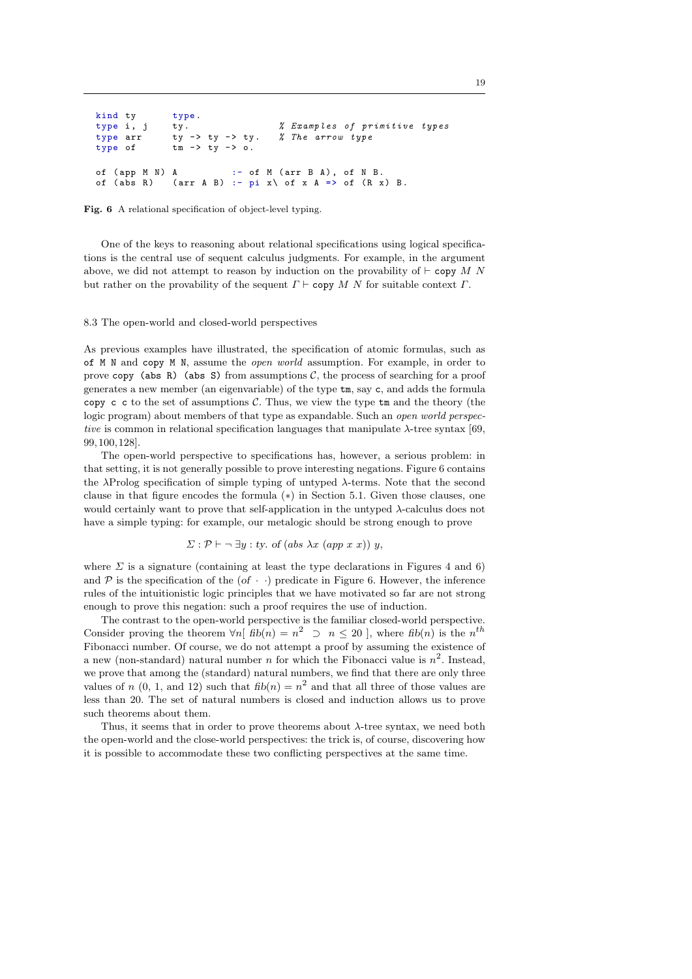```
kind ty<br>type i, j ty.
type i, j ty. \frac{y}{x} Examples of primitive types<br>type arr ty -> ty -> ty. \frac{x}{x} The arrow type
                       ty.<br>
ty \rightarrow ty \rightarrow ty.type of tm \rightarrow ty \rightarrow o.of (app M N) A :- of M (arr B A), of N B.<br>of (abs R) (arr A B) :- pi x \ of x A => of (R x
                       \text{(arr A B)} := \pi i x \cdot \text{of } x A = \text{of } (R x) B.
```
Fig. 6 A relational specification of object-level typing.

One of the keys to reasoning about relational specifications using logical specifications is the central use of sequent calculus judgments. For example, in the argument above, we did not attempt to reason by induction on the provability of  $\vdash$  copy M N but rather on the provability of the sequent  $\Gamma \vdash$  copy M N for suitable context  $\Gamma$ .

### 8.3 The open-world and closed-world perspectives

As previous examples have illustrated, the specification of atomic formulas, such as of M N and copy M N, assume the open world assumption. For example, in order to prove copy (abs R) (abs S) from assumptions  $C$ , the process of searching for a proof generates a new member (an eigenvariable) of the type tm, say c, and adds the formula copy c c to the set of assumptions  $\mathcal{C}$ . Thus, we view the type  $\tan$  and the theory (the logic program) about members of that type as expandable. Such an *open world perspec*tive is common in relational specification languages that manipulate  $\lambda$ -tree syntax [69, 99, 100,128].

The open-world perspective to specifications has, however, a serious problem: in that setting, it is not generally possible to prove interesting negations. Figure 6 contains the  $\lambda$ Prolog specification of simple typing of untyped  $\lambda$ -terms. Note that the second clause in that figure encodes the formula  $(*)$  in Section 5.1. Given those clauses, one would certainly want to prove that self-application in the untyped  $\lambda$ -calculus does not have a simple typing: for example, our metalogic should be strong enough to prove

$$
\Sigma: \mathcal{P} \vdash \neg \exists y : ty. \text{ of } (abs \lambda x (app x x)) y,
$$

where  $\Sigma$  is a signature (containing at least the type declarations in Figures 4 and 6) and  $\mathcal P$  is the specification of the (of  $\cdot \cdot$ ) predicate in Figure 6. However, the inference rules of the intuitionistic logic principles that we have motivated so far are not strong enough to prove this negation: such a proof requires the use of induction.

The contrast to the open-world perspective is the familiar closed-world perspective. Consider proving the theorem  $\forall n | f$  is  $h(n) = n^2 \supset n \leq 20$ , where  $f h(n)$  is the  $n^{th}$ Fibonacci number. Of course, we do not attempt a proof by assuming the existence of a new (non-standard) natural number *n* for which the Fibonacci value is  $n^2$ . Instead, we prove that among the (standard) natural numbers, we find that there are only three values of n (0, 1, and 12) such that  $fib(n) = n^2$  and that all three of those values are less than 20. The set of natural numbers is closed and induction allows us to prove such theorems about them.

Thus, it seems that in order to prove theorems about λ-tree syntax, we need both the open-world and the close-world perspectives: the trick is, of course, discovering how it is possible to accommodate these two conflicting perspectives at the same time.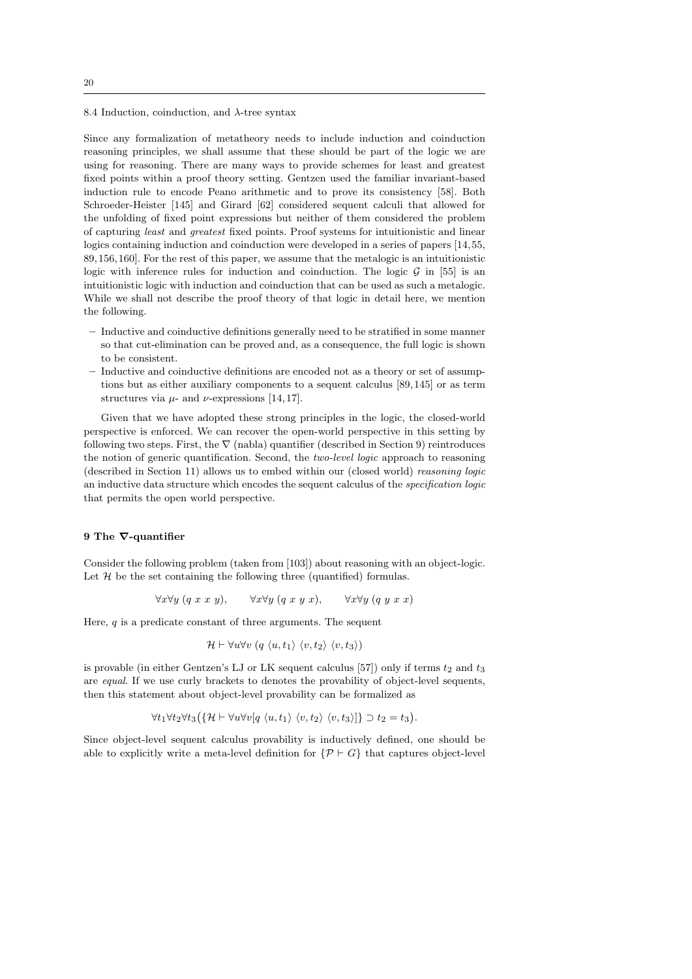8.4 Induction, coinduction, and  $\lambda$ -tree syntax

Since any formalization of metatheory needs to include induction and coinduction reasoning principles, we shall assume that these should be part of the logic we are using for reasoning. There are many ways to provide schemes for least and greatest fixed points within a proof theory setting. Gentzen used the familiar invariant-based induction rule to encode Peano arithmetic and to prove its consistency [58]. Both Schroeder-Heister [145] and Girard [62] considered sequent calculi that allowed for the unfolding of fixed point expressions but neither of them considered the problem of capturing least and greatest fixed points. Proof systems for intuitionistic and linear logics containing induction and coinduction were developed in a series of papers [14, 55, 89, 156,160]. For the rest of this paper, we assume that the metalogic is an intuitionistic logic with inference rules for induction and coinduction. The logic  $G$  in [55] is an intuitionistic logic with induction and coinduction that can be used as such a metalogic. While we shall not describe the proof theory of that logic in detail here, we mention the following.

- Inductive and coinductive definitions generally need to be stratified in some manner so that cut-elimination can be proved and, as a consequence, the full logic is shown to be consistent.
- Inductive and coinductive definitions are encoded not as a theory or set of assumptions but as either auxiliary components to a sequent calculus [89,145] or as term structures via  $\mu$ - and  $\nu$ -expressions [14, 17].

Given that we have adopted these strong principles in the logic, the closed-world perspective is enforced. We can recover the open-world perspective in this setting by following two steps. First, the  $\nabla$  (nabla) quantifier (described in Section 9) reintroduces the notion of generic quantification. Second, the two-level logic approach to reasoning (described in Section 11) allows us to embed within our (closed world) reasoning logic an inductive data structure which encodes the sequent calculus of the specification logic that permits the open world perspective.

#### 9 The  $∇$ -quantifier

Consider the following problem (taken from [103]) about reasoning with an object-logic. Let  $H$  be the set containing the following three (quantified) formulas.

$$
\forall x \forall y (q \; x \; x \; y), \qquad \forall x \forall y (q \; x \; y \; x), \qquad \forall x \forall y (q \; y \; x \; x)
$$

Here,  $q$  is a predicate constant of three arguments. The sequent

$$
\mathcal{H} \vdash \forall u \forall v \ (q \ \langle u, t_1 \rangle \ \langle v, t_2 \rangle \ \langle v, t_3 \rangle)
$$

is provable (in either Gentzen's LJ or LK sequent calculus [57]) only if terms  $t_2$  and  $t_3$ are equal. If we use curly brackets to denotes the provability of object-level sequents, then this statement about object-level provability can be formalized as

$$
\forall t_1 \forall t_2 \forall t_3 \big( \{\mathcal{H} \vdash \forall u \forall v [q \langle u, t_1 \rangle \langle v, t_2 \rangle \langle v, t_3 \rangle] \} \supset t_2 = t_3 \big).
$$

Since object-level sequent calculus provability is inductively defined, one should be able to explicitly write a meta-level definition for  $\{\mathcal{P} \vdash G\}$  that captures object-level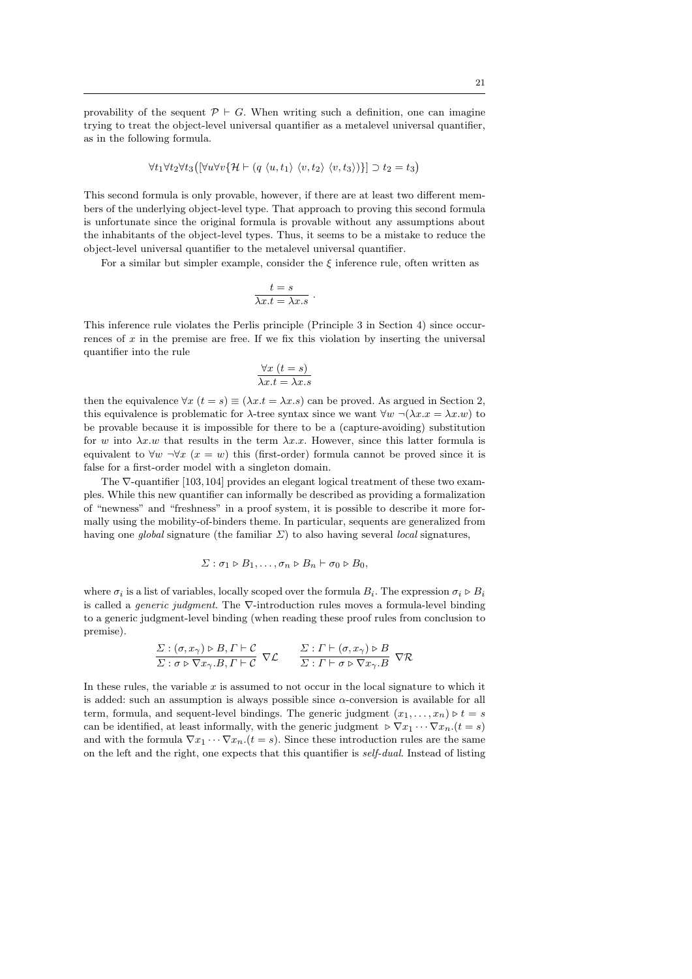provability of the sequent  $\mathcal{P} \vdash G$ . When writing such a definition, one can imagine trying to treat the object-level universal quantifier as a metalevel universal quantifier, as in the following formula.

$$
\forall t_1 \forall t_2 \forall t_3 \big( [\forall u \forall v \{ \mathcal{H} \vdash (q \langle u, t_1 \rangle \langle v, t_2 \rangle \langle v, t_3 \rangle) \} ] \supset t_2 = t_3 \big)
$$

This second formula is only provable, however, if there are at least two different members of the underlying object-level type. That approach to proving this second formula is unfortunate since the original formula is provable without any assumptions about the inhabitants of the object-level types. Thus, it seems to be a mistake to reduce the object-level universal quantifier to the metalevel universal quantifier.

For a similar but simpler example, consider the  $\xi$  inference rule, often written as

$$
\frac{t=s}{\lambda x.t = \lambda x.s} .
$$

This inference rule violates the Perlis principle (Principle 3 in Section 4) since occurrences of  $x$  in the premise are free. If we fix this violation by inserting the universal quantifier into the rule

$$
\frac{\forall x \ (t=s)}{\lambda x.t = \lambda x.s}
$$

then the equivalence  $\forall x (t = s) \equiv (\lambda x.t = \lambda x.s)$  can be proved. As argued in Section 2, this equivalence is problematic for  $\lambda$ -tree syntax since we want  $\forall w \neg (\lambda x.x = \lambda x.w)$  to be provable because it is impossible for there to be a (capture-avoiding) substitution for w into  $\lambda x.w$  that results in the term  $\lambda x.x$ . However, since this latter formula is equivalent to  $\forall w \ \neg \forall x \ (x = w)$  this (first-order) formula cannot be proved since it is false for a first-order model with a singleton domain.

The  $∇$ -quantifier [103, 104] provides an elegant logical treatment of these two examples. While this new quantifier can informally be described as providing a formalization of "newness" and "freshness" in a proof system, it is possible to describe it more formally using the mobility-of-binders theme. In particular, sequents are generalized from having one global signature (the familiar  $\Sigma$ ) to also having several local signatures,

$$
\Sigma : \sigma_1 \triangleright B_1, \ldots, \sigma_n \triangleright B_n \vdash \sigma_0 \triangleright B_0,
$$

where  $\sigma_i$  is a list of variables, locally scoped over the formula  $B_i$ . The expression  $\sigma_i \triangleright B_i$ is called a generic judgment. The ∇-introduction rules moves a formula-level binding to a generic judgment-level binding (when reading these proof rules from conclusion to premise).

$$
\frac{\Sigma : (\sigma, x_{\gamma}) \triangleright B, \Gamma \vdash \mathcal{C}}{\Sigma : \sigma \triangleright \nabla x_{\gamma}.B, \Gamma \vdash \mathcal{C}} \nabla \mathcal{L} \qquad \frac{\Sigma : \Gamma \vdash (\sigma, x_{\gamma}) \triangleright B}{\Sigma : \Gamma \vdash \sigma \triangleright \nabla x_{\gamma}.B} \nabla \mathcal{R}
$$

In these rules, the variable  $x$  is assumed to not occur in the local signature to which it is added: such an assumption is always possible since  $\alpha$ -conversion is available for all term, formula, and sequent-level bindings. The generic judgment  $(x_1, \ldots, x_n) \triangleright t = s$ can be identified, at least informally, with the generic judgment  $\rhd \nabla x_1 \cdots \nabla x_n.(t = s)$ and with the formula  $\nabla x_1 \cdots \nabla x_n$ .  $(t = s)$ . Since these introduction rules are the same on the left and the right, one expects that this quantifier is self-dual. Instead of listing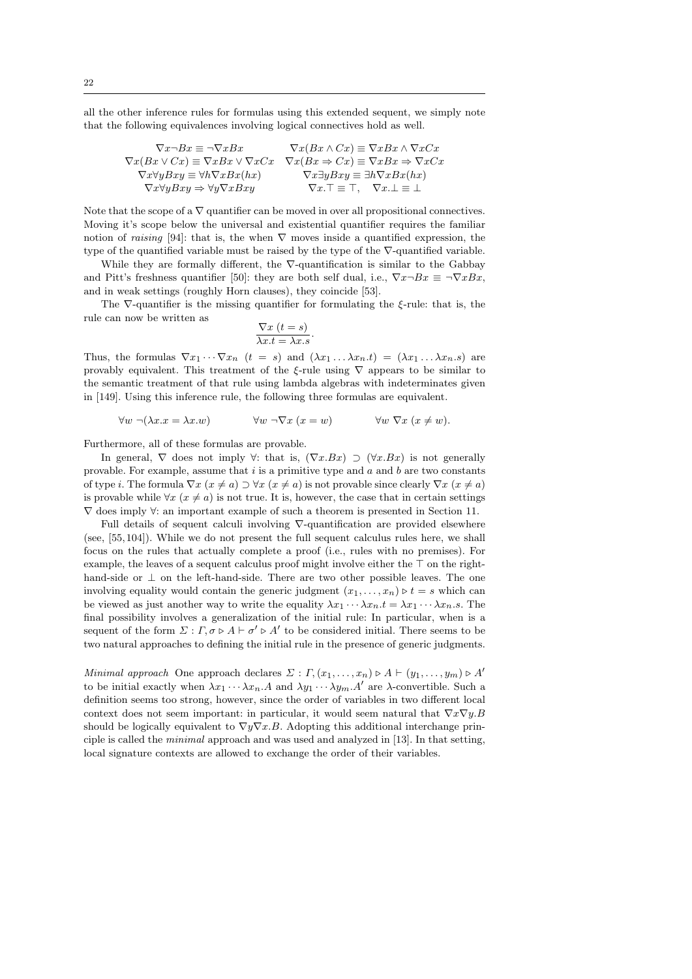all the other inference rules for formulas using this extended sequent, we simply note that the following equivalences involving logical connectives hold as well.

$$
\nabla x \neg Bx \equiv \neg \nabla x Bx \qquad \nabla x (Bx \wedge Cx) \equiv \nabla x Bx \wedge \nabla x Cx
$$
  
\n
$$
\nabla x (Bx \vee Cx) \equiv \nabla x Bx \vee \nabla x Cx \qquad \nabla x (Bx \Rightarrow Cx) \equiv \nabla x Bx \Rightarrow \nabla x Cx
$$
  
\n
$$
\nabla x \forall y Bxy \equiv \forall h \nabla x Bx (hx) \qquad \nabla x \exists y Bxy \equiv \exists h \nabla x Bx (hx)
$$
  
\n
$$
\nabla x \forall y Bxy \Rightarrow \forall y \nabla x Bxy \qquad \nabla x. \top \equiv \top, \quad \nabla x. \bot \equiv \bot
$$

Note that the scope of a  $\nabla$  quantifier can be moved in over all propositional connectives. Moving it's scope below the universal and existential quantifier requires the familiar notion of raising [94]: that is, the when  $\nabla$  moves inside a quantified expression, the type of the quantified variable must be raised by the type of the ∇-quantified variable.

While they are formally different, the ∇-quantification is similar to the Gabbay and Pitt's freshness quantifier [50]: they are both self dual, i.e.,  $\nabla x \neg Bx \equiv \neg \nabla x Bx$ , and in weak settings (roughly Horn clauses), they coincide [53].

The  $\nabla$ -quantifier is the missing quantifier for formulating the  $\xi$ -rule: that is, the rule can now be written as

$$
\frac{\nabla x (t = s)}{\lambda x.t = \lambda x.s}.
$$

Thus, the formulas  $\nabla x_1 \cdots \nabla x_n$   $(t = s)$  and  $(\lambda x_1 \ldots \lambda x_n.t) = (\lambda x_1 \ldots \lambda x_n.s)$  are provably equivalent. This treatment of the  $\xi$ -rule using  $\nabla$  appears to be similar to the semantic treatment of that rule using lambda algebras with indeterminates given in [149]. Using this inference rule, the following three formulas are equivalent.

$$
\forall w \ \neg(\lambda x. x = \lambda x. w) \qquad \forall w \ \neg \nabla x \ (x = w) \qquad \forall w \ \nabla x \ (x \neq w).
$$

Furthermore, all of these formulas are provable.

In general,  $\nabla$  does not imply  $\forall$ : that is,  $(\nabla x.Bx) \supset (\forall x.Bx)$  is not generally provable. For example, assume that  $i$  is a primitive type and  $a$  and  $b$  are two constants of type i. The formula  $\nabla x$   $(x \neq a) \supset \forall x$   $(x \neq a)$  is not provable since clearly  $\nabla x$   $(x \neq a)$ is provable while  $\forall x \ (x \neq a)$  is not true. It is, however, the case that in certain settings  $\nabla$  does imply  $\forall$ : an important example of such a theorem is presented in Section 11.

Full details of sequent calculi involving ∇-quantification are provided elsewhere (see, [55, 104]). While we do not present the full sequent calculus rules here, we shall focus on the rules that actually complete a proof (i.e., rules with no premises). For example, the leaves of a sequent calculus proof might involve either the  $\top$  on the righthand-side or ⊥ on the left-hand-side. There are two other possible leaves. The one involving equality would contain the generic judgment  $(x_1, \ldots, x_n) \triangleright t = s$  which can be viewed as just another way to write the equality  $\lambda x_1 \cdots \lambda x_n.t = \lambda x_1 \cdots \lambda x_n.s.$  The final possibility involves a generalization of the initial rule: In particular, when is a sequent of the form  $\Sigma : \Gamma, \sigma \triangleright A \vdash \sigma' \triangleright A'$  to be considered initial. There seems to be two natural approaches to defining the initial rule in the presence of generic judgments.

Minimal approach One approach declares  $\Sigma : \Gamma, (x_1, \ldots, x_n) \triangleright A \vdash (y_1, \ldots, y_m) \triangleright A'$ to be initial exactly when  $\lambda x_1 \cdots \lambda x_n$ . A and  $\lambda y_1 \cdots \lambda y_m$ . A' are  $\lambda$ -convertible. Such a definition seems too strong, however, since the order of variables in two different local context does not seem important: in particular, it would seem natural that  $\nabla x \nabla y.B$ should be logically equivalent to  $\nabla y \nabla x \cdot B$ . Adopting this additional interchange principle is called the minimal approach and was used and analyzed in [13]. In that setting, local signature contexts are allowed to exchange the order of their variables.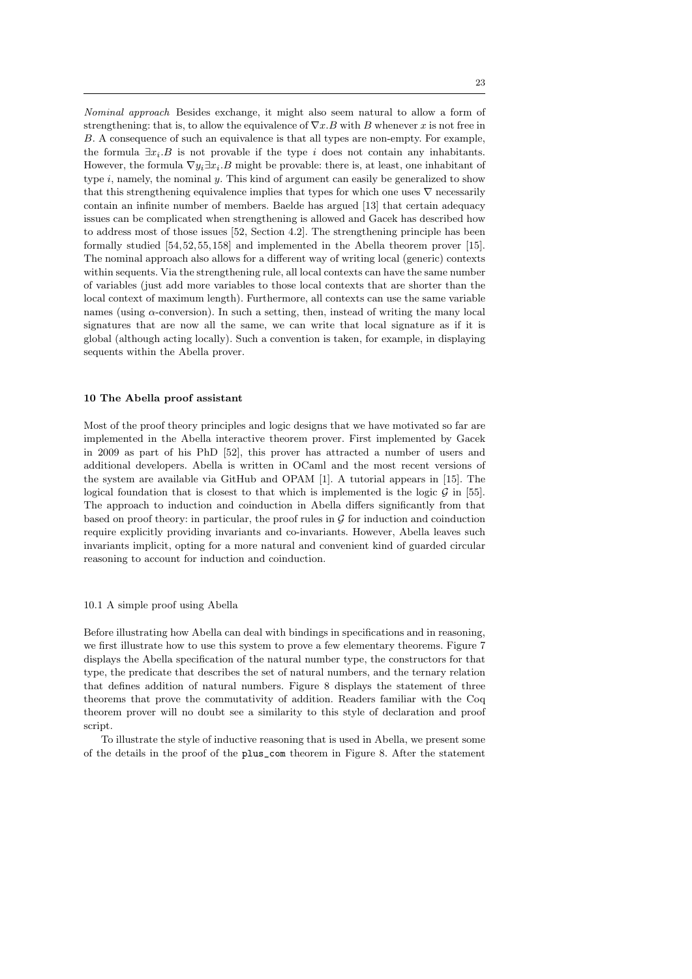Nominal approach Besides exchange, it might also seem natural to allow a form of strengthening: that is, to allow the equivalence of  $\nabla x.B$  with B whenever x is not free in B. A consequence of such an equivalence is that all types are non-empty. For example, the formula  $\exists x_i.B$  is not provable if the type i does not contain any inhabitants. However, the formula  $\nabla y_i \exists x_i B$  might be provable: there is, at least, one inhabitant of type  $i$ , namely, the nominal  $y$ . This kind of argument can easily be generalized to show that this strengthening equivalence implies that types for which one uses  $\nabla$  necessarily contain an infinite number of members. Baelde has argued [13] that certain adequacy issues can be complicated when strengthening is allowed and Gacek has described how to address most of those issues [52, Section 4.2]. The strengthening principle has been formally studied [54, 52,55, 158] and implemented in the Abella theorem prover [15]. The nominal approach also allows for a different way of writing local (generic) contexts within sequents. Via the strengthening rule, all local contexts can have the same number of variables (just add more variables to those local contexts that are shorter than the local context of maximum length). Furthermore, all contexts can use the same variable names (using  $\alpha$ -conversion). In such a setting, then, instead of writing the many local signatures that are now all the same, we can write that local signature as if it is global (although acting locally). Such a convention is taken, for example, in displaying sequents within the Abella prover.

### 10 The Abella proof assistant

Most of the proof theory principles and logic designs that we have motivated so far are implemented in the Abella interactive theorem prover. First implemented by Gacek in 2009 as part of his PhD [52], this prover has attracted a number of users and additional developers. Abella is written in OCaml and the most recent versions of the system are available via GitHub and OPAM [1]. A tutorial appears in [15]. The logical foundation that is closest to that which is implemented is the logic  $\mathcal G$  in [55]. The approach to induction and coinduction in Abella differs significantly from that based on proof theory: in particular, the proof rules in  $G$  for induction and coinduction require explicitly providing invariants and co-invariants. However, Abella leaves such invariants implicit, opting for a more natural and convenient kind of guarded circular reasoning to account for induction and coinduction.

#### 10.1 A simple proof using Abella

Before illustrating how Abella can deal with bindings in specifications and in reasoning, we first illustrate how to use this system to prove a few elementary theorems. Figure 7 displays the Abella specification of the natural number type, the constructors for that type, the predicate that describes the set of natural numbers, and the ternary relation that defines addition of natural numbers. Figure 8 displays the statement of three theorems that prove the commutativity of addition. Readers familiar with the Coq theorem prover will no doubt see a similarity to this style of declaration and proof script.

To illustrate the style of inductive reasoning that is used in Abella, we present some of the details in the proof of the plus\_com theorem in Figure 8. After the statement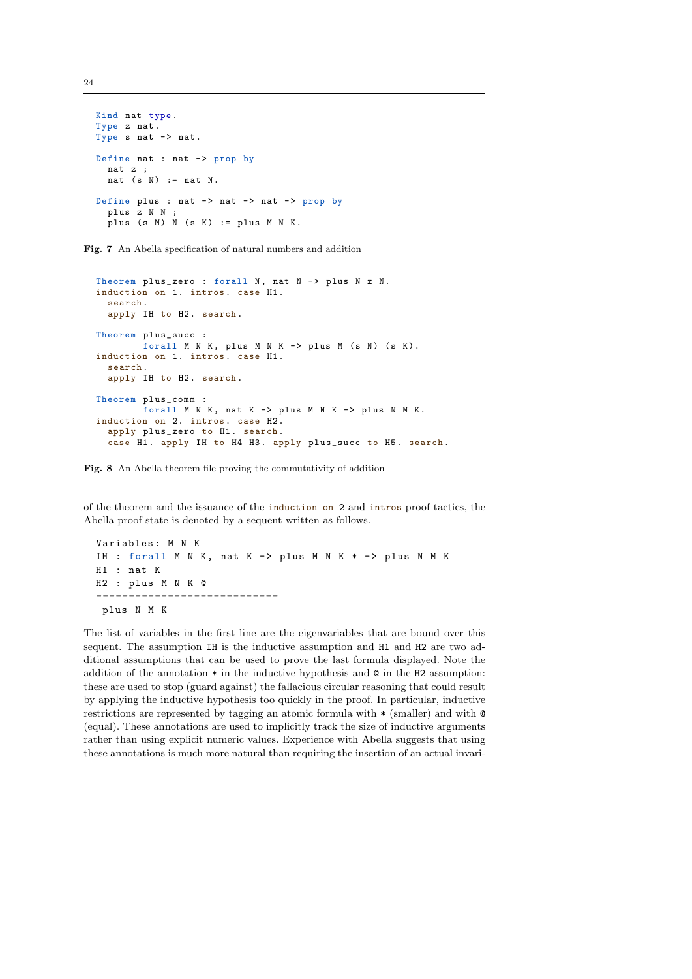```
Kind nat type .
Type z nat .
Type s nat \rightarrow nat.
Define nat : nat -> prop by
  nat z ;
  nat (s N) := nat N.
Define plus : nat \rightarrow nat \rightarrow nat \rightarrow prop by
  plus z N N ;
  plus (s M) N (s K) := plus M N K.
```
Fig. 7 An Abella specification of natural numbers and addition

```
Theorem plus_zero : forall N, nat N \rightarrow plus N z N.
induction on 1. intros. case H1.
  search .
  apply IH to H2. search.
Theorem plus_succ :
         forall M N K, plus M N K \rightarrow plus M (s N) (s K).
induction on 1. intros. case H1.
  search .
  apply IH to H2. search.
Theorem plus_comm :
         forall M N K, nat K \rightarrow plus M N K \rightarrow plus N M K.
induction on 2. intros. case H2.
  apply plus_zero to H1. search.
  case H1. apply IH to H4 H3. apply plus_succ to H5. search.
```
Fig. 8 An Abella theorem file proving the commutativity of addition

of the theorem and the issuance of the induction on 2 and intros proof tactics, the Abella proof state is denoted by a sequent written as follows.

```
Variables : M N K
IH : forall M N K, nat K -> plus M N K * -> plus N M K
H1 : nat K
H2 : plus M N K @
============================
 plus N M K
```
The list of variables in the first line are the eigenvariables that are bound over this sequent. The assumption IH is the inductive assumption and H1 and H2 are two additional assumptions that can be used to prove the last formula displayed. Note the addition of the annotation  $*$  in the inductive hypothesis and  $\mathcal Q$  in the H2 assumption: these are used to stop (guard against) the fallacious circular reasoning that could result by applying the inductive hypothesis too quickly in the proof. In particular, inductive restrictions are represented by tagging an atomic formula with \* (smaller) and with @ (equal). These annotations are used to implicitly track the size of inductive arguments rather than using explicit numeric values. Experience with Abella suggests that using these annotations is much more natural than requiring the insertion of an actual invari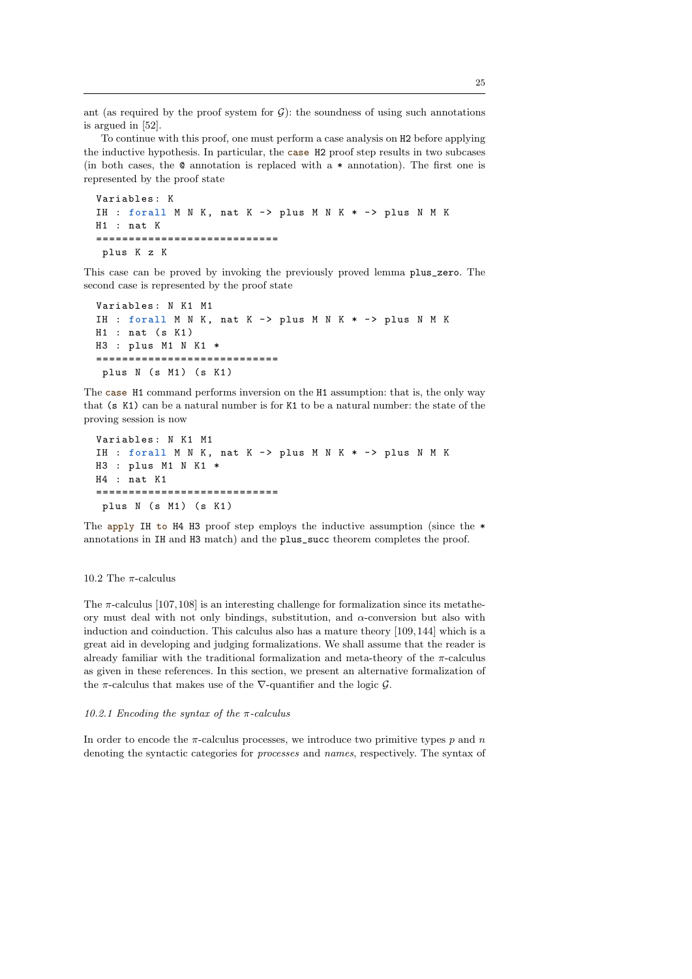ant (as required by the proof system for  $\mathcal{G}$ ): the soundness of using such annotations is argued in [52].

To continue with this proof, one must perform a case analysis on H2 before applying the inductive hypothesis. In particular, the case H2 proof step results in two subcases (in both cases, the @ annotation is replaced with a \* annotation). The first one is represented by the proof state

```
Variables: K
IH : forall M N K, nat K -> plus M N K * -> plus N M K
H1 : nat K
============================
 plus K z K
```
This case can be proved by invoking the previously proved lemma plus\_zero. The second case is represented by the proof state

```
Variables : N K1 M1
IH : forall M N K, nat K -> plus M N K * -> plus N M K
H1 : nat (s K1)
H3 : plus M1 N K1 *
============================
 plus N (s M1) (s K1)
```
The case H1 command performs inversion on the H1 assumption: that is, the only way that (s K1) can be a natural number is for K1 to be a natural number: the state of the proving session is now

```
Variables : N K1 M1
IH : forall M N K, nat K -> plus M N K * -> plus N M K
H3 : plus M1 N K1 *
H4 : nat K1
============================
 plus N (s M1) (s K1)
```
The apply IH to H4 H3 proof step employs the inductive assumption (since the  $*$ annotations in IH and H3 match) and the plus\_succ theorem completes the proof.

# 10.2 The  $\pi$ -calculus

The  $\pi$ -calculus [107, 108] is an interesting challenge for formalization since its metatheory must deal with not only bindings, substitution, and  $\alpha$ -conversion but also with induction and coinduction. This calculus also has a mature theory [109, 144] which is a great aid in developing and judging formalizations. We shall assume that the reader is already familiar with the traditional formalization and meta-theory of the  $\pi$ -calculus as given in these references. In this section, we present an alternative formalization of the  $\pi$ -calculus that makes use of the  $\nabla$ -quantifier and the logic  $\mathcal{G}$ .

#### 10.2.1 Encoding the syntax of the  $\pi$ -calculus

In order to encode the  $\pi$ -calculus processes, we introduce two primitive types p and n denoting the syntactic categories for processes and names, respectively. The syntax of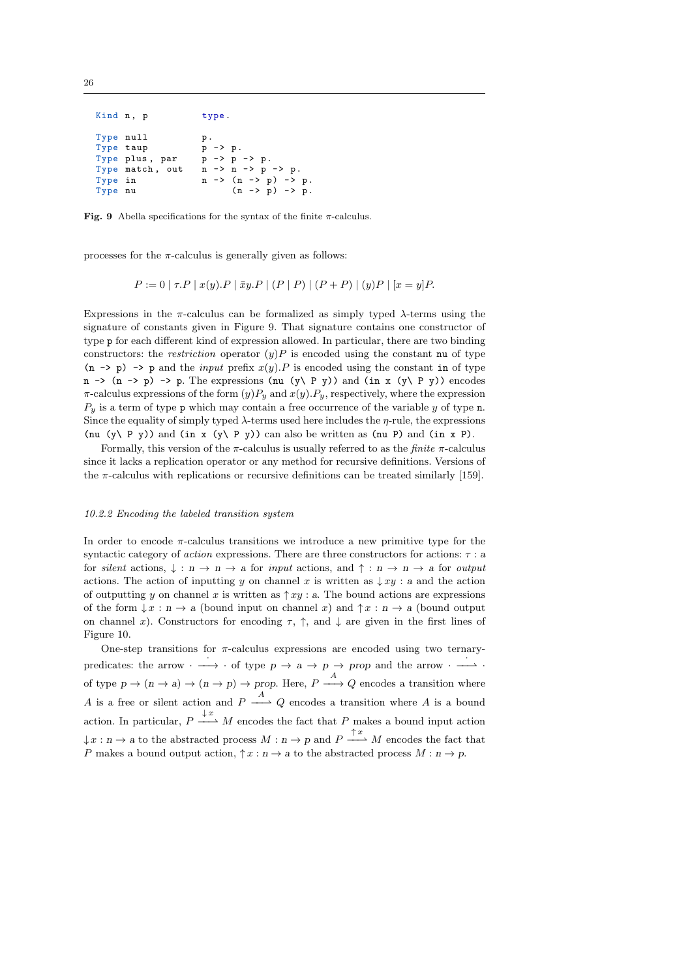```
Kind n, p type.
Type null <br>
Type taup <br>
p -> p.
Type taup p \rightarrow p<br>Type plus, par p \rightarrow pType plus, par p \rightarrow p \rightarrow p<br>Type match, out n \rightarrow n \rightarrow pType match, out n \rightarrow n \rightarrow p \rightarrow p.<br>Type in n \rightarrow (n \rightarrow p) \rightarrown \rightarrow (n \rightarrow p) \rightarrow p.
Type nu (n - > p) \rightarrow p.
```
Fig. 9 Abella specifications for the syntax of the finite  $\pi$ -calculus.

processes for the  $\pi$ -calculus is generally given as follows:

$$
P := 0 | \tau.P | x(y).P | \bar{x}y.P | (P | P) | (P + P) | (y)P | [x = y]P.
$$

Expressions in the  $\pi$ -calculus can be formalized as simply typed  $\lambda$ -terms using the signature of constants given in Figure 9. That signature contains one constructor of type p for each different kind of expression allowed. In particular, there are two binding constructors: the *restriction* operator  $(y)P$  is encoded using the constant nu of type  $(n \rightarrow p) \rightarrow p$  and the *input* prefix  $x(y)$ . P is encoded using the constant in of type n -> (n -> p) -> p. The expressions (nu  $(y \nvert p y)$ ) and (in x  $(y \nvert p y)$ ) encodes  $\pi$ -calculus expressions of the form  $(y)P_y$  and  $x(y)P_y$ , respectively, where the expression  $P_y$  is a term of type p which may contain a free occurrence of the variable y of type n. Since the equality of simply typed  $\lambda$ -terms used here includes the  $\eta$ -rule, the expressions (nu (y\ P y)) and (in x (y\ P y)) can also be written as (nu P) and (in x P).

Formally, this version of the  $\pi$ -calculus is usually referred to as the *finite*  $\pi$ -calculus since it lacks a replication operator or any method for recursive definitions. Versions of the  $\pi$ -calculus with replications or recursive definitions can be treated similarly [159].

### 10.2.2 Encoding the labeled transition system

In order to encode  $\pi$ -calculus transitions we introduce a new primitive type for the syntactic category of *action* expressions. There are three constructors for actions:  $\tau$ : a for silent actions,  $\downarrow : n \to n \to a$  for input actions, and  $\uparrow : n \to n \to a$  for output actions. The action of inputting y on channel x is written as  $\downarrow xy$ : a and the action of outputting y on channel x is written as  $\uparrow xy$  : a. The bound actions are expressions of the form  $\downarrow x : n \to a$  (bound input on channel x) and  $\uparrow x : n \to a$  (bound output on channel x). Constructors for encoding  $\tau$ ,  $\uparrow$ , and  $\downarrow$  are given in the first lines of Figure 10.

One-step transitions for  $\pi$ -calculus expressions are encoded using two ternarypredicates: the arrow · → · of type  $p \to a \to p \to prop$  and the arrow · → of type  $p \to (n \to a) \to (n \to p) \to prop$ . Here,  $P \xrightarrow{A} Q$  encodes a transition where A is a free or silent action and  $P \stackrel{A}{\longrightarrow} Q$  encodes a transition where A is a bound action. In particular,  $P \xrightarrow{\downarrow x} M$  encodes the fact that P makes a bound input action  $\downarrow x : n \to a$  to the abstracted process  $M : n \to p$  and  $P \stackrel{\uparrow x}{\longrightarrow} M$  encodes the fact that P makes a bound output action,  $\uparrow x : n \to a$  to the abstracted process  $M : n \to p$ .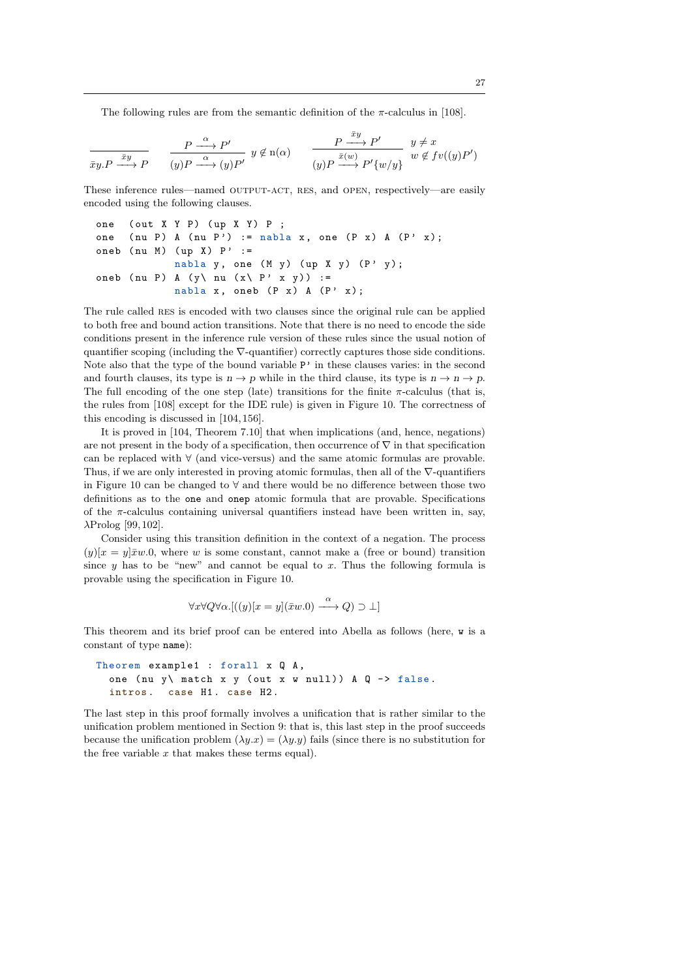The following rules are from the semantic definition of the  $\pi$ -calculus in [108].

$$
\frac{P \xrightarrow{\bar{x}y} P}{\bar{x}y.P \xrightarrow{\bar{x}y} P} \qquad \frac{P \xrightarrow{\alpha} P'}{(y)P \xrightarrow{\alpha} (y)P'} y \notin n(\alpha) \qquad \frac{P \xrightarrow{\bar{x}y} P'}{(y)P \xrightarrow{\bar{x}(w)} P'} y \neq x \qquad \qquad y \neq x \qquad \qquad y \neq f v((y)P')
$$

These inference rules—named output-act, res, and open, respectively—are easily encoded using the following clauses.

```
one ( out X Y P ) ( up X Y ) P ;
one (nu P) A (nu P') := nabla x, one (P x) A (P' x);
oneb (nu M) (up X) P' :=
            nabla y, one (M y) (up X y) (P' y);
oneb (nu P) A (y \midnu (x \mid P' x y)) :=
            nabla x, oneb (P x) A (P' x);
```
The rule called res is encoded with two clauses since the original rule can be applied to both free and bound action transitions. Note that there is no need to encode the side conditions present in the inference rule version of these rules since the usual notion of quantifier scoping (including the ∇-quantifier) correctly captures those side conditions. Note also that the type of the bound variable P' in these clauses varies: in the second and fourth clauses, its type is  $n \to p$  while in the third clause, its type is  $n \to n \to p$ . The full encoding of the one step (late) transitions for the finite  $\pi$ -calculus (that is, the rules from [108] except for the IDE rule) is given in Figure 10. The correctness of this encoding is discussed in [104, 156].

It is proved in [104, Theorem 7.10] that when implications (and, hence, negations) are not present in the body of a specification, then occurrence of  $\nabla$  in that specification can be replaced with ∀ (and vice-versus) and the same atomic formulas are provable. Thus, if we are only interested in proving atomic formulas, then all of the ∇-quantifiers in Figure 10 can be changed to ∀ and there would be no difference between those two definitions as to the one and onep atomic formula that are provable. Specifications of the  $\pi$ -calculus containing universal quantifiers instead have been written in, say,  $\lambda$ Prolog [99, 102].

Consider using this transition definition in the context of a negation. The process  $(y)[x = y]\overline{x}w.0$ , where w is some constant, cannot make a (free or bound) transition since  $y$  has to be "new" and cannot be equal to  $x$ . Thus the following formula is provable using the specification in Figure 10.

$$
\forall x \forall Q \forall \alpha . [((y)[x = y](\bar{x}w.0) \xrightarrow{\alpha} Q) \supset \bot]
$$

This theorem and its brief proof can be entered into Abella as follows (here, w is a constant of type name):

```
Theorem example1 : forall x Q A,
  one (nu y\ match x y (out x w null)) A Q -> false.
  intros. case H1. case H2.
```
The last step in this proof formally involves a unification that is rather similar to the unification problem mentioned in Section 9: that is, this last step in the proof succeeds because the unification problem  $(\lambda y.x) = (\lambda y.y)$  fails (since there is no substitution for the free variable  $x$  that makes these terms equal).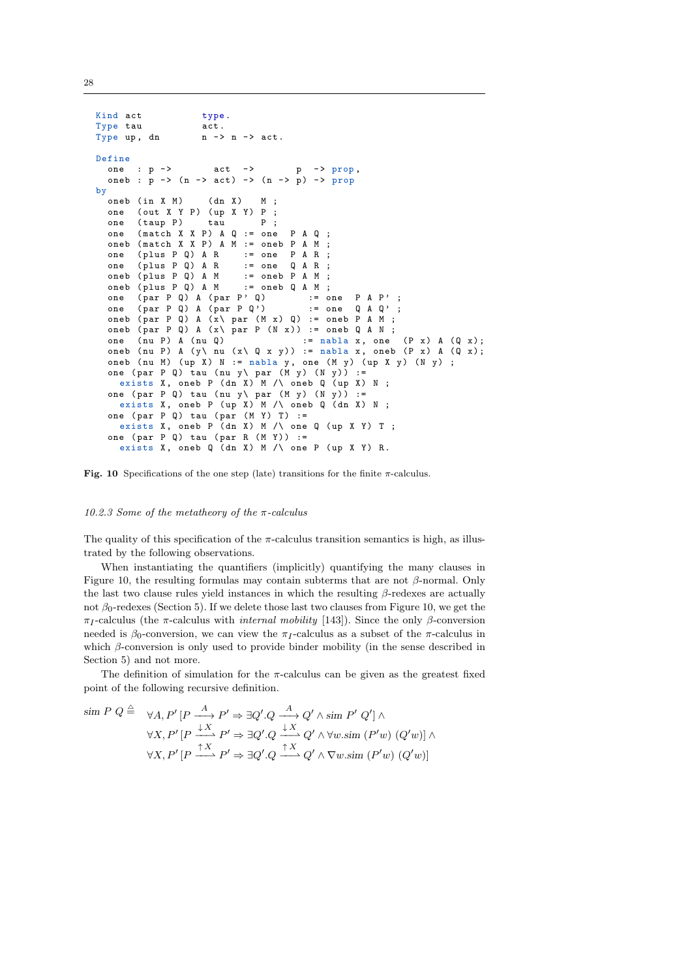```
Kind act type.
Type tau act .
                      n \rightarrow n \rightarrow act.
Define
        : p \rightarrow act -> p \rightarrow prop,
  oneb : p \rightarrow (n \rightarrow act) \rightarrow (n \rightarrow p) \rightarrow propby
  oneb (in X M) (dn X) M;
  one ( out X Y P) ( up X Y) P;<br>one ( taup P) tau P;
  one (taup P) tau P;
  one (match X X P) A Q := one P A Q;
  oneb (match X X P) A M := oneb P A M ;<br>one (plus P Q) A R := one P A R ;
  one ( plus P Q ) A \t R := one P A \t R ;<br>one ( plus P 0 ) A \t R := one 0 A \t R :
  one ( plus P Q ) A R := one Q A R ;<br>
oneb ( plus P Q ) A M := oneb P A M :
  oneb (plus P Q) A M := oneb P A M ; oneb Q A M ; = oneb Q A M ;
         (plus P Q) A M := oneb Q A M ;
  one (par P Q) A (par P' Q) := one P A P' ;<br>one (par P Q) A (par P Q') := one Q A Q' ;
   one ( par P Q ) A ( par P Q ' ) := one
  oneb (par P Q) A (x) par (M x) Q) := oneb P A M ;
  oneb (par P Q) A (x \rightarrow y P (N \times x) := oneb Q A N ;<br>one (nu P) A (nu Q) := nabla x, one
  one (nu P) A (nu Q) := nabla x, one (P x) A (Q x);
  oneb (nu P) A (y\ nu (x\qquad (x, y)) := nabla x, oneb (P x) A (Q x);
  oneb (nu M) (up X) N := nabla y, one (M y) (up X y) (N y) ;
   one ( par P Q) tau ( nu y\ par (M y) (N y)) :=
     exists X , oneb P ( dn X) M /\ oneb Q ( up X) N ;
   one ( par P Q) tau ( nu y\ par (M y) (N y)) :=
     exists X, oneb P (up X) M /\ oneb Q (dn X) N ;
   one (par P Q) tau (par (M Y) T) :=
     exists X, oneb P (dn X) M /\ one Q (up X Y) T ;
  one (par P Q) tau (par R (M Y)) :=
     exists X, oneb Q (dn X) M /\ one P (up X Y) R.
```
Fig. 10 Specifications of the one step (late) transitions for the finite  $\pi$ -calculus.

### 10.2.3 Some of the metatheory of the  $\pi$ -calculus

The quality of this specification of the  $\pi$ -calculus transition semantics is high, as illustrated by the following observations.

When instantiating the quantifiers (implicitly) quantifying the many clauses in Figure 10, the resulting formulas may contain subterms that are not  $\beta$ -normal. Only the last two clause rules yield instances in which the resulting  $\beta$ -redexes are actually not  $\beta_0$ -redexes (Section 5). If we delete those last two clauses from Figure 10, we get the  $\pi_I$ -calculus (the  $\pi$ -calculus with *internal mobility* [143]). Since the only  $\beta$ -conversion needed is  $\beta_0$ -conversion, we can view the  $\pi_I$ -calculus as a subset of the  $\pi$ -calculus in which  $\beta$ -conversion is only used to provide binder mobility (in the sense described in Section 5) and not more.

The definition of simulation for the  $\pi$ -calculus can be given as the greatest fixed point of the following recursive definition.

$$
\begin{array}{ll}\n\text{sim } P \ Q \triangleq & \forall A, P' \left[ P \xrightarrow{A} P' \Rightarrow \exists Q'.Q \xrightarrow{A} Q' \land \text{sim } P' \ Q' \right] \land \\
&\forall X, P' \left[ P \xrightarrow{\downarrow X} P' \Rightarrow \exists Q'.Q \xrightarrow{\downarrow X} Q' \land \forall w . \text{sim } (P'w) \ (Q'w) \right] \land \\
&\forall X, P' \left[ P \xrightarrow{\uparrow X} P' \Rightarrow \exists Q'.Q \xrightarrow{\uparrow X} Q' \land \nabla w . \text{sim } (P'w) \ (Q'w) \right]\n\end{array}
$$

28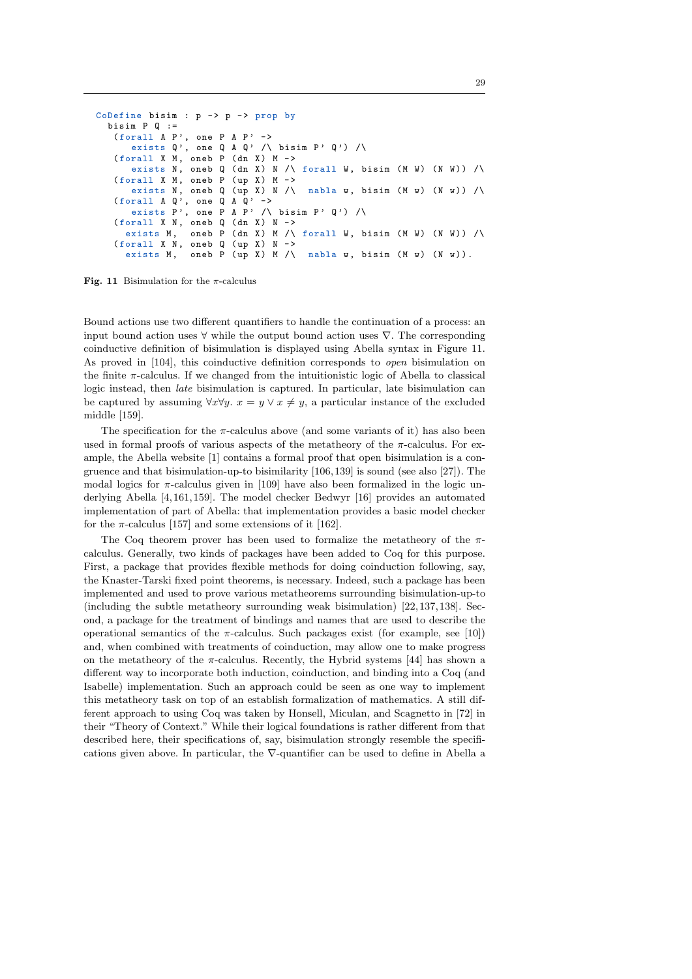```
CoDefine bisim : p \rightarrow p \rightarrow prop by
   bisim P Q :=(forall A P', one P A P' \rightarrow exists Q', one Q A Q' / \sqrt{2}A Q' /\ bisim P' Q') /\
    (forall X M, oneb P (dn X) M \rightarrow exists N, oneb Q (dn X) N /\
                                    (dn X) N /\ forall W, bisim (M W) (N W)) /\ (up X) M ->
    (for all X M, oneb P)exists N, oneb Q (up X) N /\ nabla w, bisim (M w) (N w)) /\
    (forall A \varphi', one Q \varphi A \varphi')<br>exists P', one P \varphi A \varphi', one P A P' /\ bisim P' Q') /\<br>oneb Q (dn X) N ->
    (for all X N, oneb Q)exists M, oneb P (dn X) M /\ forall W, bisim (M W) (N W)) /\ {\text{Normal } X \text{ N}}, oneb Q (up X) N ->
                         oneb Q (up X) N \rightarrow<br>oneb P (up X) M / \
        exists M, oneb P (up X) M \wedge nabla w, bisim (M w) (N w)).
```
Fig. 11 Bisimulation for the  $\pi$ -calculus

Bound actions use two different quantifiers to handle the continuation of a process: an input bound action uses  $\forall$  while the output bound action uses  $\nabla$ . The corresponding coinductive definition of bisimulation is displayed using Abella syntax in Figure 11. As proved in [104], this coinductive definition corresponds to *open* bisimulation on the finite  $\pi$ -calculus. If we changed from the intuitionistic logic of Abella to classical logic instead, then *late* bisimulation is captured. In particular, late bisimulation can be captured by assuming  $\forall x \forall y$ .  $x = y \lor x \neq y$ , a particular instance of the excluded middle [159].

The specification for the  $\pi$ -calculus above (and some variants of it) has also been used in formal proofs of various aspects of the metatheory of the  $\pi$ -calculus. For example, the Abella website [1] contains a formal proof that open bisimulation is a congruence and that bisimulation-up-to bisimilarity  $[106, 139]$  is sound (see also  $[27]$ ). The modal logics for  $\pi$ -calculus given in [109] have also been formalized in the logic underlying Abella [4,161, 159]. The model checker Bedwyr [16] provides an automated implementation of part of Abella: that implementation provides a basic model checker for the  $\pi$ -calculus [157] and some extensions of it [162].

The Coq theorem prover has been used to formalize the metatheory of the  $\pi$ calculus. Generally, two kinds of packages have been added to Coq for this purpose. First, a package that provides flexible methods for doing coinduction following, say, the Knaster-Tarski fixed point theorems, is necessary. Indeed, such a package has been implemented and used to prove various metatheorems surrounding bisimulation-up-to (including the subtle metatheory surrounding weak bisimulation) [22, 137,138]. Second, a package for the treatment of bindings and names that are used to describe the operational semantics of the  $\pi$ -calculus. Such packages exist (for example, see [10]) and, when combined with treatments of coinduction, may allow one to make progress on the metatheory of the  $\pi$ -calculus. Recently, the Hybrid systems [44] has shown a different way to incorporate both induction, coinduction, and binding into a Coq (and Isabelle) implementation. Such an approach could be seen as one way to implement this metatheory task on top of an establish formalization of mathematics. A still different approach to using Coq was taken by Honsell, Miculan, and Scagnetto in [72] in their "Theory of Context." While their logical foundations is rather different from that described here, their specifications of, say, bisimulation strongly resemble the specifications given above. In particular, the ∇-quantifier can be used to define in Abella a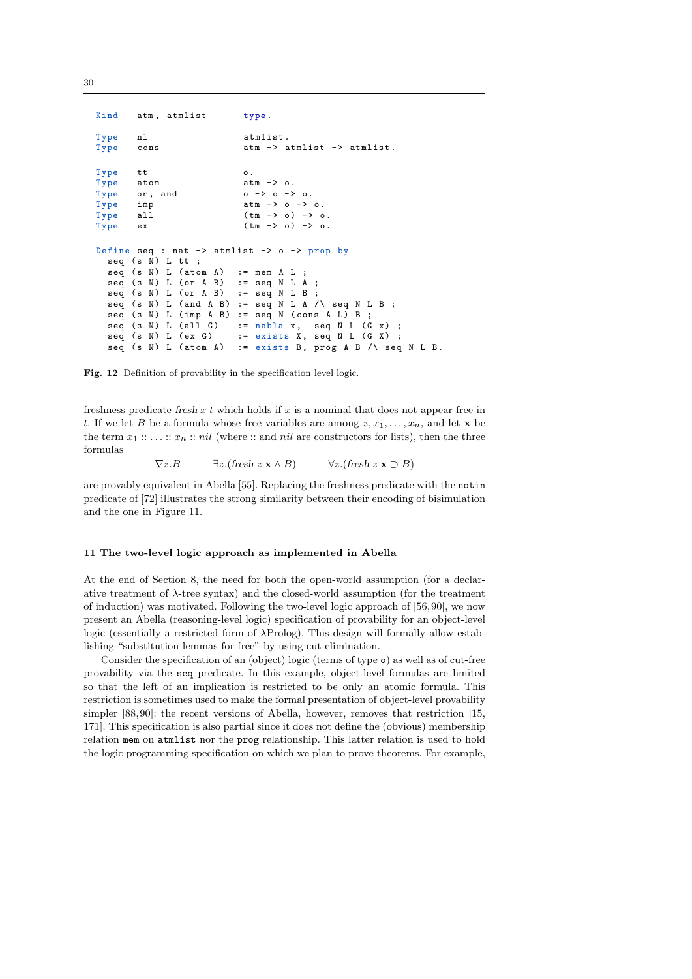```
Kind atm, atmlist type.
Type nl atmlist.
Type cons atm -> atmlist -> atmlist.
Type tt o.
Type atom \frac{1}{2} atm \rightarrow o.
Type or, and 0 \rightarrow 0 \rightarrow 0.
Type imp \qquad \qquad \text{atm} \to \text{o} \to \text{o}.\begin{array}{lll} \text{Type} & \text{all} & (\text{tm } \text{-> o}) \text{ -> o.} \\ \text{Type} & \text{ex} & (\text{tm } \text{-> o}) \text{ -> o.} \end{array}\begin{array}{ccc} \text{ex} & & \text{(tm -> 0) & \text{-> 0.} \end{array}Define seq : nat \rightarrow atmlist \rightarrow o \rightarrow prop by seq (s N) L tt;
   seq (s N)seq (s N) L (atom A) := mem A L ;
   seq (s N) L (or AB) := seq N L A ;<br>seq (s N) L (or AB) := seq N L B ;seq (s N) L (or A B) := seq N L B<br>seq (s N) L (and A B) := seq N L Aseq (s N) L (and A B) := seq N L A /\sqrt{ seq N L B ;<br>seq (s N) L (imp A B) := seq N (cons A L) B ;
         (s \ N) L (imp A B) := \text{seq} \ N (cons A L) B;<br>(s N) L (all G) := nabla x, \text{seq} \ N L (G)
   seq (s N) L (all G) := nabla x, seq N L (G x) ;<br>seq (s N) L (ex G) := exists X, seq N L (G X) ;
   seq (s N) L (ex G) := exists X, seq N L (G X) ;<br>seq (s N) L (atom A) := exists B, prog A B /\ seq
                                        s = exists B, prog A B /\ seq N L B.
```
Fig. 12 Definition of provability in the specification level logic.

freshness predicate fresh x t which holds if x is a nominal that does not appear free in t. If we let B be a formula whose free variables are among  $z, x_1, \ldots, x_n$ , and let x be the term  $x_1 :: \ldots :: x_n :: nil$  (where  $::$  and nil are constructors for lists), then the three formulas

 $\nabla z.B$   $\exists z.(\text{fresh } z \times \wedge B)$   $\forall z.(\text{fresh } z \times \supset B)$ 

are provably equivalent in Abella [55]. Replacing the freshness predicate with the notin predicate of [72] illustrates the strong similarity between their encoding of bisimulation and the one in Figure 11.

### 11 The two-level logic approach as implemented in Abella

At the end of Section 8, the need for both the open-world assumption (for a declarative treatment of  $\lambda$ -tree syntax) and the closed-world assumption (for the treatment of induction) was motivated. Following the two-level logic approach of [56, 90], we now present an Abella (reasoning-level logic) specification of provability for an object-level logic (essentially a restricted form of λProlog). This design will formally allow establishing "substitution lemmas for free" by using cut-elimination.

Consider the specification of an (object) logic (terms of type o) as well as of cut-free provability via the seq predicate. In this example, object-level formulas are limited so that the left of an implication is restricted to be only an atomic formula. This restriction is sometimes used to make the formal presentation of object-level provability simpler [88, 90]: the recent versions of Abella, however, removes that restriction [15, 171]. This specification is also partial since it does not define the (obvious) membership relation mem on atmlist nor the prog relationship. This latter relation is used to hold the logic programming specification on which we plan to prove theorems. For example,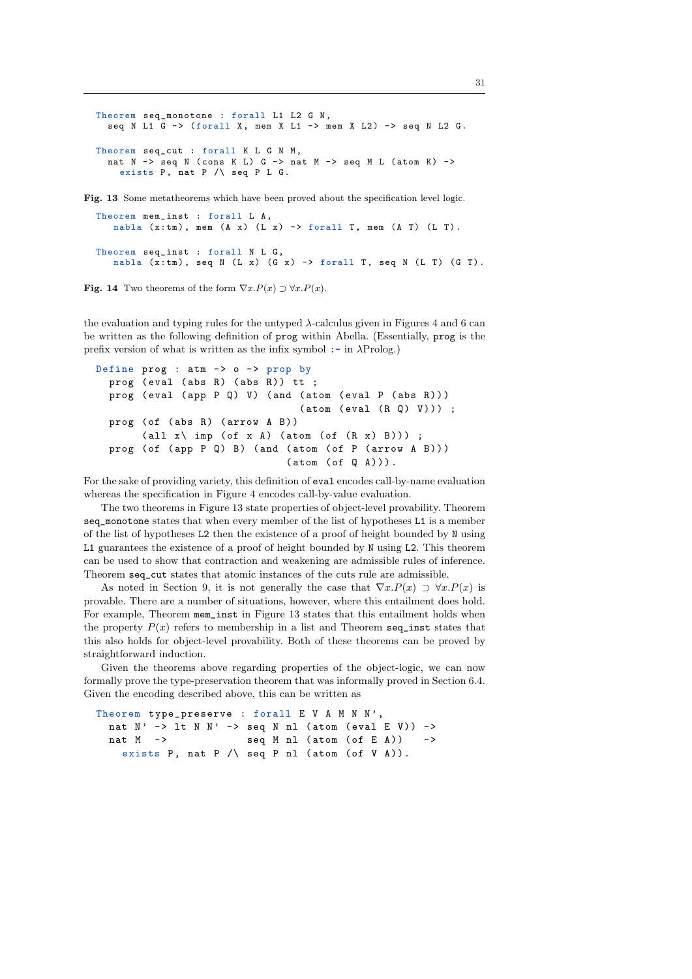```
Theorem seq_monotone : forall L1 L2 G N,
  seq N L1 G \rightarrow (forall X, mem X L1 \rightarrow mem X L2) \rightarrow seq N L2 G.
Theorem seq_cut : forall K L G N M,
  nat N \rightarrow seq N (cons K L) G \rightarrow nat M \rightarrow seq M L (atom K) \rightarrowexists P, nat P / seq P L G.
```
Fig. 13 Some metatheorems which have been proved about the specification level logic.

```
Theorem mem_inst : forall L A,
   nabla (x : tm), mem (A x) (L x) \rightarrow forall T, mem (A T) (L T).
Theorem seq_inst : forall N L G,
   nabla (x : tm), seq N (L x) (G x) -> forall T, seq N (L T) (G T).
```
Fig. 14 Two theorems of the form  $\nabla x.P(x) \supset \forall x.P(x)$ .

the evaluation and typing rules for the untyped  $\lambda$ -calculus given in Figures 4 and 6 can be written as the following definition of prog within Abella. (Essentially, prog is the prefix version of what is written as the infix symbol  $:-$  in  $\lambda$ Prolog.)

```
Define prog: atm \rightarrow o \rightarrow prop by
  prog ( eval ( abs R ) ( abs R ) ) tt ;
  prog ( eval ( app P Q ) V ) ( and ( atom ( eval P ( abs R ) ) )
                                              (\text{atom } (eval (R Q) V)));
  prog ( of ( abs R) ( arrow A B))
          \text{(all } x \in \text{imp } (\text{of } x A) \text{ (atom } (\text{of } (R x) B)));
  prog ( of ( app P Q ) B ) ( and ( atom ( of P ( arrow A B ) ) )
                                           (\text{atom} (\text{of } \mathbb{Q} \text{ A}))).
```
For the sake of providing variety, this definition of eval encodes call-by-name evaluation whereas the specification in Figure 4 encodes call-by-value evaluation.

The two theorems in Figure 13 state properties of object-level provability. Theorem seq\_monotone states that when every member of the list of hypotheses L1 is a member of the list of hypotheses L2 then the existence of a proof of height bounded by N using L1 guarantees the existence of a proof of height bounded by N using L2. This theorem can be used to show that contraction and weakening are admissible rules of inference. Theorem seq\_cut states that atomic instances of the cuts rule are admissible.

As noted in Section 9, it is not generally the case that  $\nabla x.P(x) \supset \forall x.P(x)$  is provable. There are a number of situations, however, where this entailment does hold. For example, Theorem mem\_inst in Figure 13 states that this entailment holds when the property  $P(x)$  refers to membership in a list and Theorem seq\_inst states that this also holds for object-level provability. Both of these theorems can be proved by straightforward induction.

Given the theorems above regarding properties of the object-logic, we can now formally prove the type-preservation theorem that was informally proved in Section 6.4. Given the encoding described above, this can be written as

```
Theorem type_preserve : forall E V A M N N',
  nat N' -> lt N N' -> seq N nl (atom (eval E V)) ->
  nat M \rightarrow seq M \text{ n} (atom (of E A)) ->
    exists P, nat P /\lor seq P nl (atom (of V A)).
```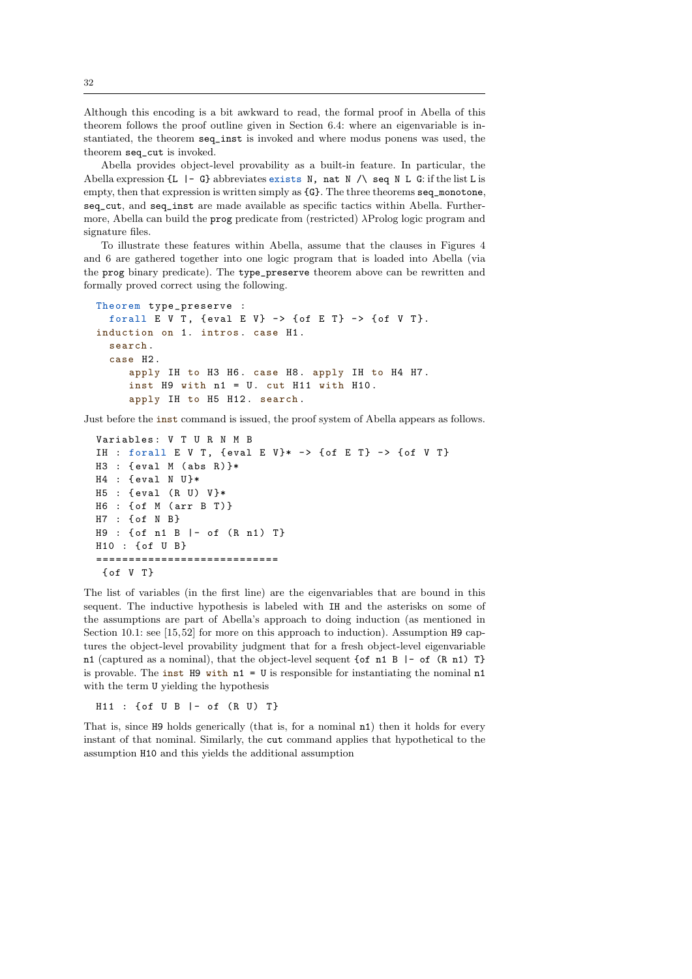Although this encoding is a bit awkward to read, the formal proof in Abella of this theorem follows the proof outline given in Section 6.4: where an eigenvariable is instantiated, the theorem seq\_inst is invoked and where modus ponens was used, the theorem seq\_cut is invoked.

Abella provides object-level provability as a built-in feature. In particular, the Abella expression  $\{L \mid -G\}$  abbreviates exists N, nat N  $\land$  seq N L G: if the list L is empty, then that expression is written simply as {G}. The three theorems seq\_monotone, seq\_cut, and seq\_inst are made available as specific tactics within Abella. Furthermore, Abella can build the **prog** predicate from (restricted)  $\lambda$ Prolog logic program and signature files.

To illustrate these features within Abella, assume that the clauses in Figures 4 and 6 are gathered together into one logic program that is loaded into Abella (via the prog binary predicate). The type\_preserve theorem above can be rewritten and formally proved correct using the following.

```
Theorem type_preserve :
  forall E V T, {eval E V} -> {of E T} -> {of V T}.
induction on 1. intros. case H1.
 search .
 case H2 .
     apply IH to H3 H6. case H8. apply IH to H4 H7.
     inst H9 with n1 = U. cut H11 with H10.
     apply IH to H5 H12. search.
```
Just before the inst command is issued, the proof system of Abella appears as follows.

```
Variables : V T U R N M B
IH : forall E V T, {eval E V}* -> { of E T} -> { of V T}
H3 : {eval M (abs R)}*
H4 : {eval N U}*
H5 : {eval (R U) V}*
HG : \{ of M (arr B T) \}H7 : { of N B }
H9 : { of n1 B |- of (R n1) T}
H10 : { of U B }
============================
 \{of V T\}
```
The list of variables (in the first line) are the eigenvariables that are bound in this sequent. The inductive hypothesis is labeled with IH and the asterisks on some of the assumptions are part of Abella's approach to doing induction (as mentioned in Section 10.1: see [15,52] for more on this approach to induction). Assumption H9 captures the object-level provability judgment that for a fresh object-level eigenvariable n1 (captured as a nominal), that the object-level sequent  $\{$  of  $n1 \text{ B } |-$  of  $(R \text{ n1}) \text{ T}\}$ is provable. The inst  $H9$  with  $n1 = U$  is responsible for instantiating the nominal  $n1$ with the term U yielding the hypothesis

 $H11$  : { of U B | - of (R U) T}

That is, since H9 holds generically (that is, for a nominal n1) then it holds for every instant of that nominal. Similarly, the cut command applies that hypothetical to the assumption H10 and this yields the additional assumption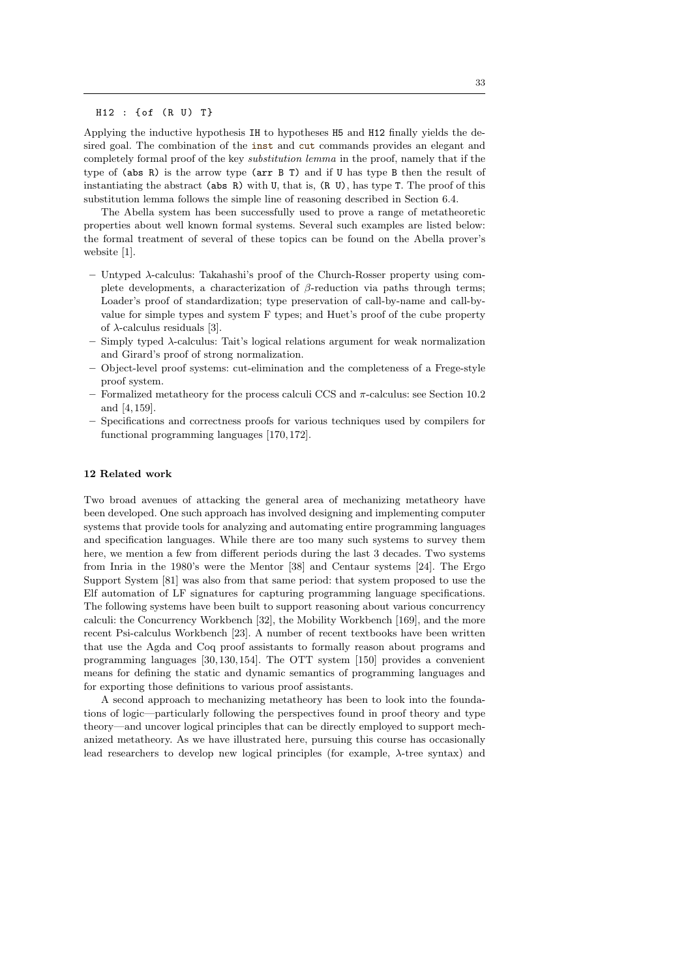# $H12 : \{ of (R U) T \}$

Applying the inductive hypothesis IH to hypotheses H5 and H12 finally yields the desired goal. The combination of the inst and cut commands provides an elegant and completely formal proof of the key substitution lemma in the proof, namely that if the type of (abs R) is the arrow type (arr B T) and if U has type B then the result of instantiating the abstract (abs  $R$ ) with U, that is,  $(R \cup I)$ , has type T. The proof of this substitution lemma follows the simple line of reasoning described in Section 6.4.

The Abella system has been successfully used to prove a range of metatheoretic properties about well known formal systems. Several such examples are listed below: the formal treatment of several of these topics can be found on the Abella prover's website [1].

- $-$  Untyped  $\lambda$ -calculus: Takahashi's proof of the Church-Rosser property using complete developments, a characterization of  $\beta$ -reduction via paths through terms; Loader's proof of standardization; type preservation of call-by-name and call-byvalue for simple types and system F types; and Huet's proof of the cube property of λ-calculus residuals [3].
- Simply typed λ-calculus: Tait's logical relations argument for weak normalization and Girard's proof of strong normalization.
- Object-level proof systems: cut-elimination and the completeness of a Frege-style proof system.
- Formalized metatheory for the process calculi CCS and  $\pi$ -calculus: see Section 10.2 and [4,159].
- Specifications and correctness proofs for various techniques used by compilers for functional programming languages [170, 172].

#### 12 Related work

Two broad avenues of attacking the general area of mechanizing metatheory have been developed. One such approach has involved designing and implementing computer systems that provide tools for analyzing and automating entire programming languages and specification languages. While there are too many such systems to survey them here, we mention a few from different periods during the last 3 decades. Two systems from Inria in the 1980's were the Mentor [38] and Centaur systems [24]. The Ergo Support System [81] was also from that same period: that system proposed to use the Elf automation of LF signatures for capturing programming language specifications. The following systems have been built to support reasoning about various concurrency calculi: the Concurrency Workbench [32], the Mobility Workbench [169], and the more recent Psi-calculus Workbench [23]. A number of recent textbooks have been written that use the Agda and Coq proof assistants to formally reason about programs and programming languages [30, 130, 154]. The OTT system [150] provides a convenient means for defining the static and dynamic semantics of programming languages and for exporting those definitions to various proof assistants.

A second approach to mechanizing metatheory has been to look into the foundations of logic—particularly following the perspectives found in proof theory and type theory—and uncover logical principles that can be directly employed to support mechanized metatheory. As we have illustrated here, pursuing this course has occasionally lead researchers to develop new logical principles (for example, λ-tree syntax) and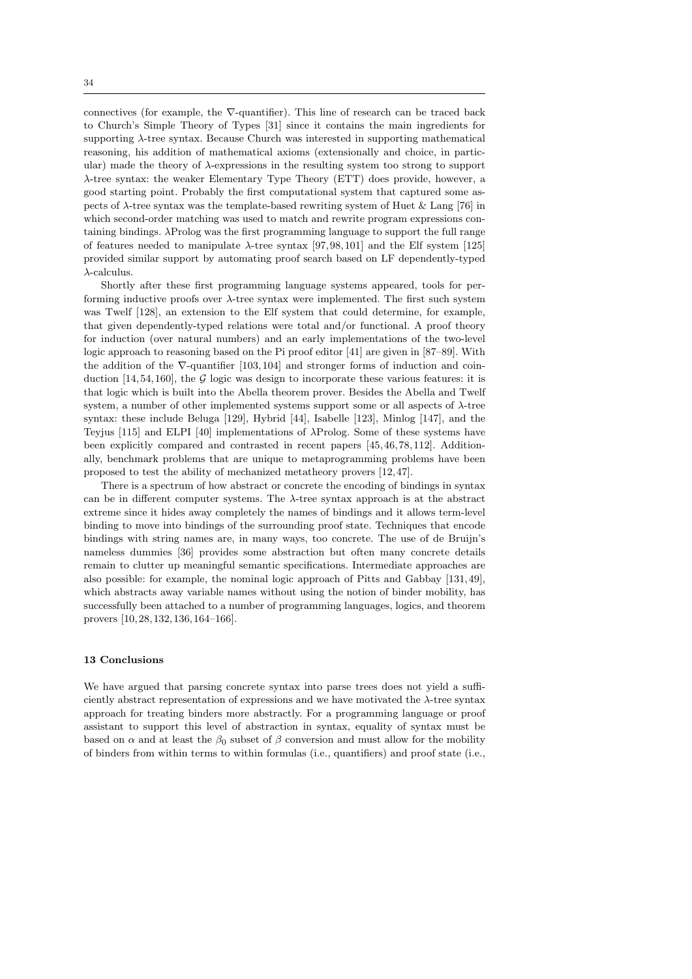connectives (for example, the ∇-quantifier). This line of research can be traced back to Church's Simple Theory of Types [31] since it contains the main ingredients for supporting  $\lambda$ -tree syntax. Because Church was interested in supporting mathematical reasoning, his addition of mathematical axioms (extensionally and choice, in particular) made the theory of  $\lambda$ -expressions in the resulting system too strong to support λ-tree syntax: the weaker Elementary Type Theory (ETT) does provide, however, a good starting point. Probably the first computational system that captured some aspects of  $\lambda$ -tree syntax was the template-based rewriting system of Huet & Lang [76] in which second-order matching was used to match and rewrite program expressions containing bindings. λProlog was the first programming language to support the full range of features needed to manipulate  $\lambda$ -tree syntax [97,98,101] and the Elf system [125] provided similar support by automating proof search based on LF dependently-typed λ-calculus.

Shortly after these first programming language systems appeared, tools for performing inductive proofs over  $\lambda$ -tree syntax were implemented. The first such system was Twelf [128], an extension to the Elf system that could determine, for example, that given dependently-typed relations were total and/or functional. A proof theory for induction (over natural numbers) and an early implementations of the two-level logic approach to reasoning based on the Pi proof editor [41] are given in [87–89]. With the addition of the  $\nabla$ -quantifier [103, 104] and stronger forms of induction and coinduction [14,54, 160], the G logic was design to incorporate these various features: it is that logic which is built into the Abella theorem prover. Besides the Abella and Twelf system, a number of other implemented systems support some or all aspects of  $\lambda$ -tree syntax: these include Beluga [129], Hybrid [44], Isabelle [123], Minlog [147], and the Teyjus [115] and ELPI [40] implementations of λProlog. Some of these systems have been explicitly compared and contrasted in recent papers [45, 46,78, 112]. Additionally, benchmark problems that are unique to metaprogramming problems have been proposed to test the ability of mechanized metatheory provers [12, 47].

There is a spectrum of how abstract or concrete the encoding of bindings in syntax can be in different computer systems. The  $\lambda$ -tree syntax approach is at the abstract extreme since it hides away completely the names of bindings and it allows term-level binding to move into bindings of the surrounding proof state. Techniques that encode bindings with string names are, in many ways, too concrete. The use of de Bruijn's nameless dummies [36] provides some abstraction but often many concrete details remain to clutter up meaningful semantic specifications. Intermediate approaches are also possible: for example, the nominal logic approach of Pitts and Gabbay [131,49], which abstracts away variable names without using the notion of binder mobility, has successfully been attached to a number of programming languages, logics, and theorem provers [10, 28, 132, 136,164–166].

### 13 Conclusions

We have argued that parsing concrete syntax into parse trees does not yield a sufficiently abstract representation of expressions and we have motivated the  $\lambda$ -tree syntax approach for treating binders more abstractly. For a programming language or proof assistant to support this level of abstraction in syntax, equality of syntax must be based on  $\alpha$  and at least the  $\beta_0$  subset of  $\beta$  conversion and must allow for the mobility of binders from within terms to within formulas (i.e., quantifiers) and proof state (i.e.,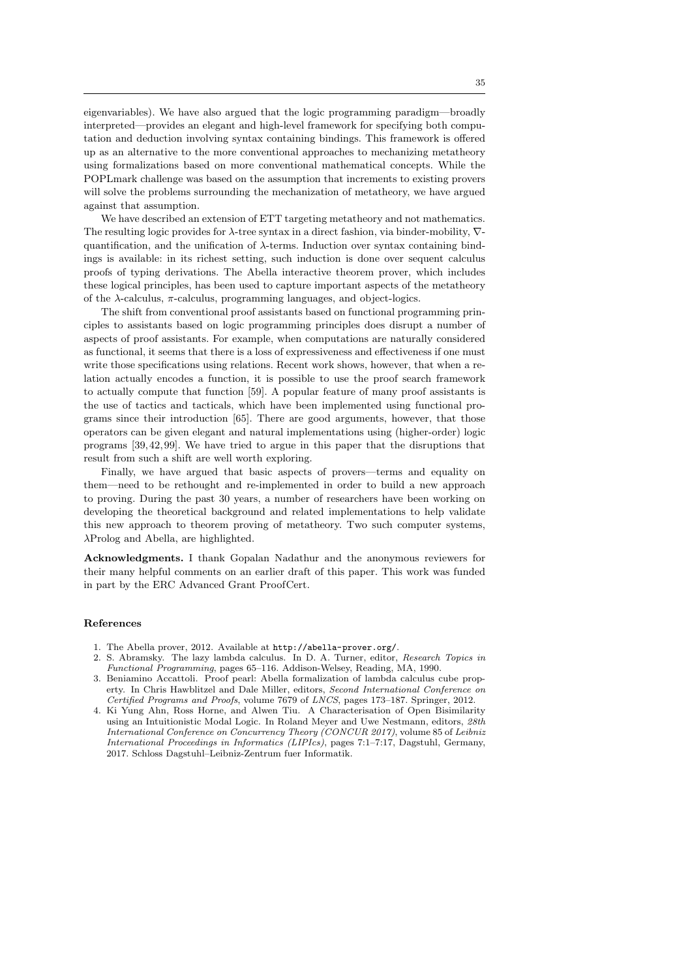eigenvariables). We have also argued that the logic programming paradigm—broadly interpreted—provides an elegant and high-level framework for specifying both computation and deduction involving syntax containing bindings. This framework is offered up as an alternative to the more conventional approaches to mechanizing metatheory using formalizations based on more conventional mathematical concepts. While the POPLmark challenge was based on the assumption that increments to existing provers will solve the problems surrounding the mechanization of metatheory, we have argued against that assumption.

We have described an extension of ETT targeting metatheory and not mathematics. The resulting logic provides for  $\lambda$ -tree syntax in a direct fashion, via binder-mobility,  $\nabla$ quantification, and the unification of  $\lambda$ -terms. Induction over syntax containing bindings is available: in its richest setting, such induction is done over sequent calculus proofs of typing derivations. The Abella interactive theorem prover, which includes these logical principles, has been used to capture important aspects of the metatheory of the  $\lambda$ -calculus,  $\pi$ -calculus, programming languages, and object-logics.

The shift from conventional proof assistants based on functional programming principles to assistants based on logic programming principles does disrupt a number of aspects of proof assistants. For example, when computations are naturally considered as functional, it seems that there is a loss of expressiveness and effectiveness if one must write those specifications using relations. Recent work shows, however, that when a relation actually encodes a function, it is possible to use the proof search framework to actually compute that function [59]. A popular feature of many proof assistants is the use of tactics and tacticals, which have been implemented using functional programs since their introduction [65]. There are good arguments, however, that those operators can be given elegant and natural implementations using (higher-order) logic programs [39, 42, 99]. We have tried to argue in this paper that the disruptions that result from such a shift are well worth exploring.

Finally, we have argued that basic aspects of provers—terms and equality on them—need to be rethought and re-implemented in order to build a new approach to proving. During the past 30 years, a number of researchers have been working on developing the theoretical background and related implementations to help validate this new approach to theorem proving of metatheory. Two such computer systems, λProlog and Abella, are highlighted.

Acknowledgments. I thank Gopalan Nadathur and the anonymous reviewers for their many helpful comments on an earlier draft of this paper. This work was funded in part by the ERC Advanced Grant ProofCert.

### References

- 1. The Abella prover, 2012. Available at http://abella-prover.org/.
- 2. S. Abramsky. The lazy lambda calculus. In D. A. Turner, editor, Research Topics in Functional Programming, pages 65–116. Addison-Welsey, Reading, MA, 1990.
- 3. Beniamino Accattoli. Proof pearl: Abella formalization of lambda calculus cube property. In Chris Hawblitzel and Dale Miller, editors, Second International Conference on Certified Programs and Proofs, volume 7679 of LNCS, pages 173–187. Springer, 2012.
- 4. Ki Yung Ahn, Ross Horne, and Alwen Tiu. A Characterisation of Open Bisimilarity using an Intuitionistic Modal Logic. In Roland Meyer and Uwe Nestmann, editors, 28th International Conference on Concurrency Theory (CONCUR 2017), volume 85 of Leibniz International Proceedings in Informatics (LIPIcs), pages 7:1–7:17, Dagstuhl, Germany, 2017. Schloss Dagstuhl–Leibniz-Zentrum fuer Informatik.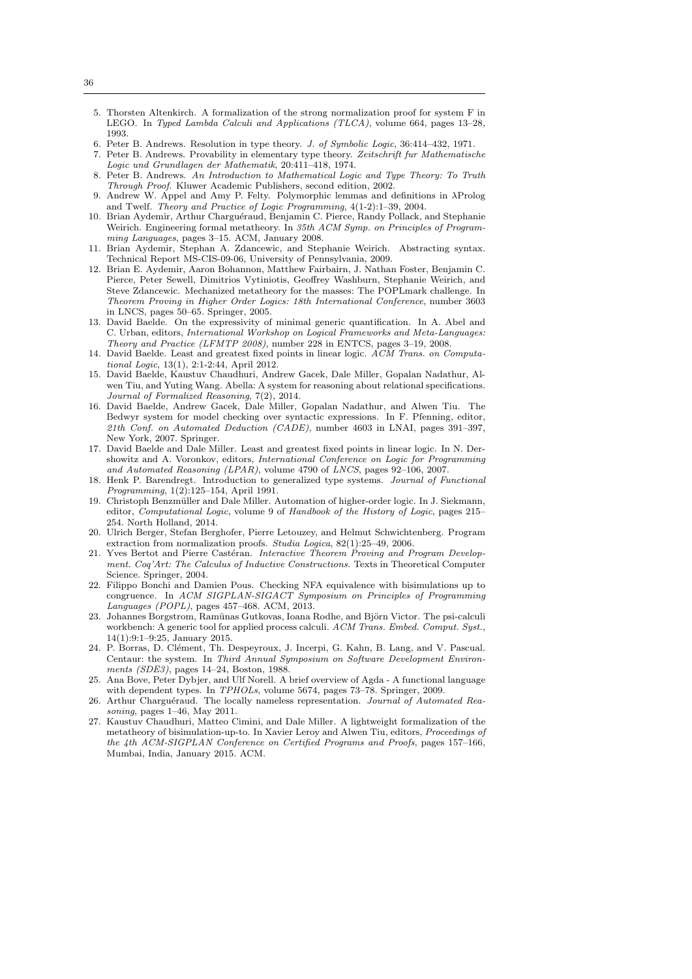- 5. Thorsten Altenkirch. A formalization of the strong normalization proof for system F in LEGO. In Typed Lambda Calculi and Applications (TLCA), volume 664, pages 13–28, 1993.
- 6. Peter B. Andrews. Resolution in type theory. J. of Symbolic Logic, 36:414–432, 1971.
- 7. Peter B. Andrews. Provability in elementary type theory. Zeitschrift fur Mathematische Logic und Grundlagen der Mathematik, 20:411–418, 1974.
- 8. Peter B. Andrews. An Introduction to Mathematical Logic and Type Theory: To Truth Through Proof. Kluwer Academic Publishers, second edition, 2002.
- 9. Andrew W. Appel and Amy P. Felty. Polymorphic lemmas and definitions in λProlog and Twelf. Theory and Practice of Logic Programming, 4(1-2):1–39, 2004.
- 10. Brian Aydemir, Arthur Charguéraud, Benjamin C. Pierce, Randy Pollack, and Stephanie Weirich. Engineering formal metatheory. In 35th ACM Symp. on Principles of Programming Languages, pages 3–15. ACM, January 2008.
- 11. Brian Aydemir, Stephan A. Zdancewic, and Stephanie Weirich. Abstracting syntax. Technical Report MS-CIS-09-06, University of Pennsylvania, 2009.
- 12. Brian E. Aydemir, Aaron Bohannon, Matthew Fairbairn, J. Nathan Foster, Benjamin C. Pierce, Peter Sewell, Dimitrios Vytiniotis, Geoffrey Washburn, Stephanie Weirich, and Steve Zdancewic. Mechanized metatheory for the masses: The POPLmark challenge. In Theorem Proving in Higher Order Logics: 18th International Conference, number 3603 in LNCS, pages 50–65. Springer, 2005.
- 13. David Baelde. On the expressivity of minimal generic quantification. In A. Abel and C. Urban, editors, International Workshop on Logical Frameworks and Meta-Languages: Theory and Practice (LFMTP 2008), number 228 in ENTCS, pages 3–19, 2008.
- 14. David Baelde. Least and greatest fixed points in linear logic. ACM Trans. on Computational Logic, 13(1), 2:1-2:44, April 2012.
- 15. David Baelde, Kaustuv Chaudhuri, Andrew Gacek, Dale Miller, Gopalan Nadathur, Alwen Tiu, and Yuting Wang. Abella: A system for reasoning about relational specifications. Journal of Formalized Reasoning, 7(2), 2014.
- 16. David Baelde, Andrew Gacek, Dale Miller, Gopalan Nadathur, and Alwen Tiu. The Bedwyr system for model checking over syntactic expressions. In F. Pfenning, editor, 21th Conf. on Automated Deduction (CADE), number 4603 in LNAI, pages 391–397, New York, 2007. Springer.
- 17. David Baelde and Dale Miller. Least and greatest fixed points in linear logic. In N. Dershowitz and A. Voronkov, editors, International Conference on Logic for Programming and Automated Reasoning (LPAR), volume 4790 of LNCS, pages 92–106, 2007.
- 18. Henk P. Barendregt. Introduction to generalized type systems. Journal of Functional Programming, 1(2):125–154, April 1991.
- 19. Christoph Benzmüller and Dale Miller. Automation of higher-order logic. In J. Siekmann, editor, Computational Logic, volume 9 of Handbook of the History of Logic, pages 215– 254. North Holland, 2014.
- 20. Ulrich Berger, Stefan Berghofer, Pierre Letouzey, and Helmut Schwichtenberg. Program extraction from normalization proofs. Studia Logica, 82(1):25–49, 2006.
- 21. Yves Bertot and Pierre Castéran. Interactive Theorem Proving and Program Development. Coq'Art: The Calculus of Inductive Constructions. Texts in Theoretical Computer Science. Springer, 2004.
- 22. Filippo Bonchi and Damien Pous. Checking NFA equivalence with bisimulations up to congruence. In ACM SIGPLAN-SIGACT Symposium on Principles of Programming Languages (POPL), pages 457–468. ACM, 2013.
- 23. Johannes Borgstrom, Ramūnas Gutkovas, Ioana Rodhe, and Björn Victor. The psi-calculi workbench: A generic tool for applied process calculi. ACM Trans. Embed. Comput. Syst., 14(1):9:1–9:25, January 2015.
- 24. P. Borras, D. Clément, Th. Despeyroux, J. Incerpi, G. Kahn, B. Lang, and V. Pascual. Centaur: the system. In Third Annual Symposium on Software Development Environments (SDE3), pages 14–24, Boston, 1988.
- 25. Ana Bove, Peter Dybjer, and Ulf Norell. A brief overview of Agda A functional language with dependent types. In TPHOLs, volume 5674, pages 73-78. Springer, 2009.
- 26. Arthur Charguéraud. The locally nameless representation. Journal of Automated Reasoning, pages 1–46, May 2011.
- 27. Kaustuv Chaudhuri, Matteo Cimini, and Dale Miller. A lightweight formalization of the metatheory of bisimulation-up-to. In Xavier Leroy and Alwen Tiu, editors, Proceedings of the 4th ACM-SIGPLAN Conference on Certified Programs and Proofs, pages 157–166, Mumbai, India, January 2015. ACM.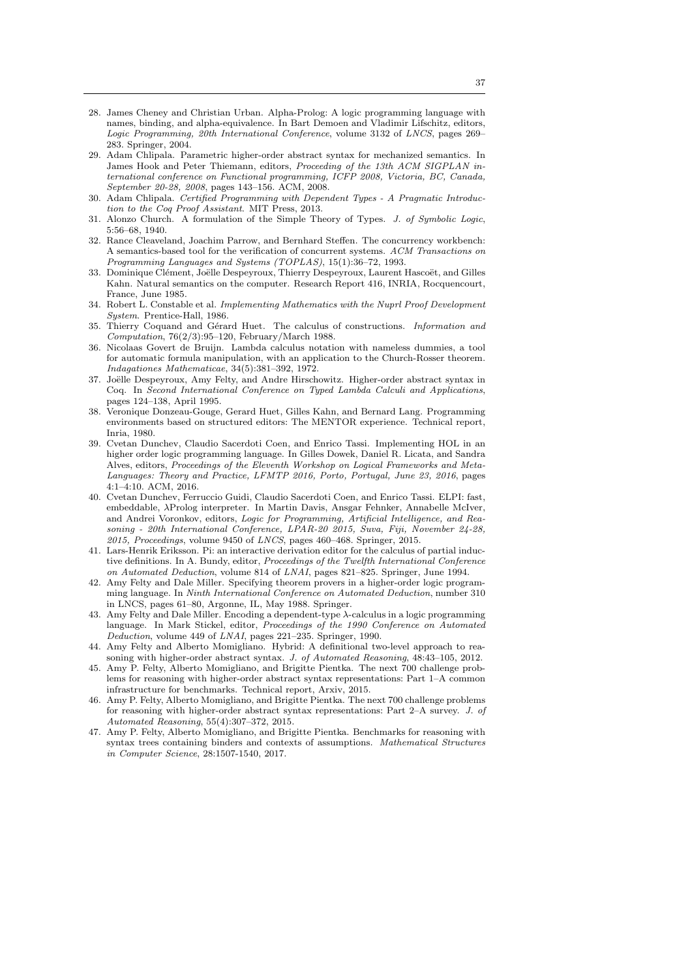- 28. James Cheney and Christian Urban. Alpha-Prolog: A logic programming language with names, binding, and alpha-equivalence. In Bart Demoen and Vladimir Lifschitz, editors, Logic Programming, 20th International Conference, volume 3132 of LNCS, pages 269– 283. Springer, 2004.
- 29. Adam Chlipala. Parametric higher-order abstract syntax for mechanized semantics. In James Hook and Peter Thiemann, editors, Proceeding of the 13th ACM SIGPLAN international conference on Functional programming, ICFP 2008, Victoria, BC, Canada, September 20-28, 2008, pages 143–156. ACM, 2008.
- 30. Adam Chlipala. Certified Programming with Dependent Types A Pragmatic Introduction to the Coq Proof Assistant. MIT Press, 2013.
- 31. Alonzo Church. A formulation of the Simple Theory of Types. J. of Symbolic Logic, 5:56–68, 1940.
- 32. Rance Cleaveland, Joachim Parrow, and Bernhard Steffen. The concurrency workbench: A semantics-based tool for the verification of concurrent systems. ACM Transactions on Programming Languages and Systems (TOPLAS), 15(1):36–72, 1993.
- 33. Dominique Clément, Joëlle Despeyroux, Thierry Despeyroux, Laurent Hascoët, and Gilles Kahn. Natural semantics on the computer. Research Report 416, INRIA, Rocquencourt, France, June 1985.
- 34. Robert L. Constable et al. Implementing Mathematics with the Nuprl Proof Development System. Prentice-Hall, 1986.
- 35. Thierry Coquand and Gérard Huet. The calculus of constructions. Information and Computation, 76(2/3):95–120, February/March 1988.
- 36. Nicolaas Govert de Bruijn. Lambda calculus notation with nameless dummies, a tool for automatic formula manipulation, with an application to the Church-Rosser theorem. Indagationes Mathematicae, 34(5):381–392, 1972.
- 37. Joëlle Despeyroux, Amy Felty, and Andre Hirschowitz. Higher-order abstract syntax in Coq. In Second International Conference on Typed Lambda Calculi and Applications, pages 124–138, April 1995.
- 38. Veronique Donzeau-Gouge, Gerard Huet, Gilles Kahn, and Bernard Lang. Programming environments based on structured editors: The MENTOR experience. Technical report, Inria, 1980.
- 39. Cvetan Dunchev, Claudio Sacerdoti Coen, and Enrico Tassi. Implementing HOL in an higher order logic programming language. In Gilles Dowek, Daniel R. Licata, and Sandra Alves, editors, Proceedings of the Eleventh Workshop on Logical Frameworks and Meta-Languages: Theory and Practice, LFMTP 2016, Porto, Portugal, June 23, 2016, pages 4:1–4:10. ACM, 2016.
- 40. Cvetan Dunchev, Ferruccio Guidi, Claudio Sacerdoti Coen, and Enrico Tassi. ELPI: fast, embeddable, λProlog interpreter. In Martin Davis, Ansgar Fehnker, Annabelle McIver, and Andrei Voronkov, editors, Logic for Programming, Artificial Intelligence, and Reasoning - 20th International Conference, LPAR-20 2015, Suva, Fiji, November 24-28,  $2015$ , Proceedings, volume 9450 of  $LNCS$ , pages 460–468. Springer, 2015.
- 41. Lars-Henrik Eriksson. Pi: an interactive derivation editor for the calculus of partial inductive definitions. In A. Bundy, editor, Proceedings of the Twelfth International Conference on Automated Deduction, volume 814 of LNAI, pages 821–825. Springer, June 1994.
- 42. Amy Felty and Dale Miller. Specifying theorem provers in a higher-order logic programming language. In Ninth International Conference on Automated Deduction, number 310 in LNCS, pages 61–80, Argonne, IL, May 1988. Springer.
- 43. Amy Felty and Dale Miller. Encoding a dependent-type λ-calculus in a logic programming language. In Mark Stickel, editor, Proceedings of the 1990 Conference on Automated Deduction, volume 449 of LNAI, pages 221–235. Springer, 1990.
- 44. Amy Felty and Alberto Momigliano. Hybrid: A definitional two-level approach to reasoning with higher-order abstract syntax. J. of Automated Reasoning, 48:43–105, 2012.
- 45. Amy P. Felty, Alberto Momigliano, and Brigitte Pientka. The next 700 challenge problems for reasoning with higher-order abstract syntax representations: Part 1–A common infrastructure for benchmarks. Technical report, Arxiv, 2015.
- 46. Amy P. Felty, Alberto Momigliano, and Brigitte Pientka. The next 700 challenge problems for reasoning with higher-order abstract syntax representations: Part 2–A survey. J. of Automated Reasoning, 55(4):307–372, 2015.
- 47. Amy P. Felty, Alberto Momigliano, and Brigitte Pientka. Benchmarks for reasoning with syntax trees containing binders and contexts of assumptions. Mathematical Structures in Computer Science, 28:1507-1540, 2017.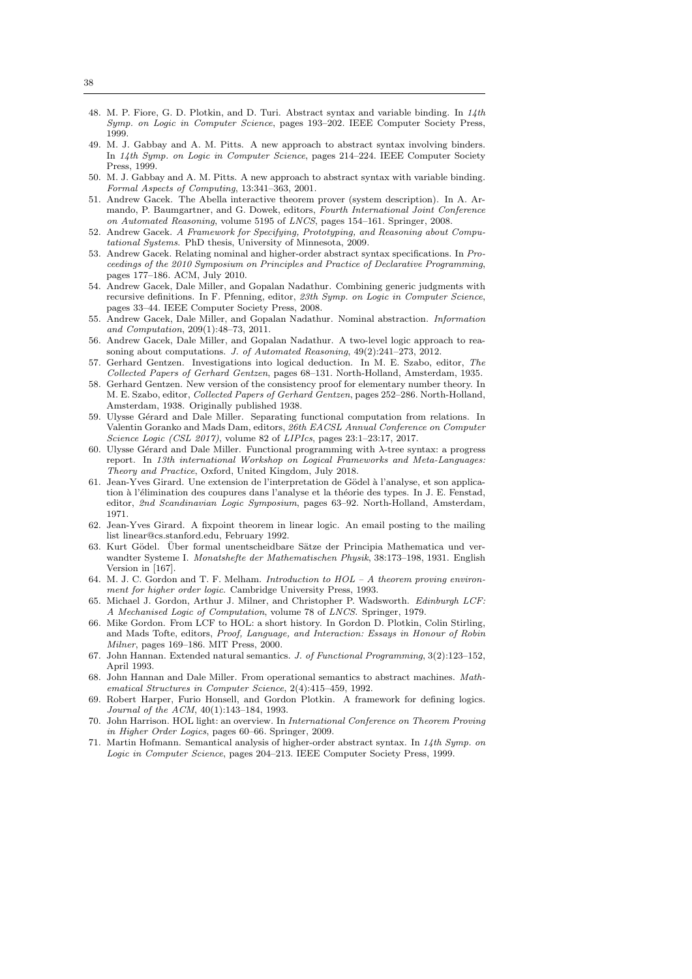- 48. M. P. Fiore, G. D. Plotkin, and D. Turi. Abstract syntax and variable binding. In 14th Symp. on Logic in Computer Science, pages 193–202. IEEE Computer Society Press, 1999.
- 49. M. J. Gabbay and A. M. Pitts. A new approach to abstract syntax involving binders. In 14th Symp. on Logic in Computer Science, pages 214–224. IEEE Computer Society Press, 1999.
- 50. M. J. Gabbay and A. M. Pitts. A new approach to abstract syntax with variable binding. Formal Aspects of Computing, 13:341–363, 2001.
- 51. Andrew Gacek. The Abella interactive theorem prover (system description). In A. Armando, P. Baumgartner, and G. Dowek, editors, Fourth International Joint Conference on Automated Reasoning, volume 5195 of LNCS, pages 154–161. Springer, 2008.
- 52. Andrew Gacek. A Framework for Specifying, Prototyping, and Reasoning about Computational Systems. PhD thesis, University of Minnesota, 2009.
- 53. Andrew Gacek. Relating nominal and higher-order abstract syntax specifications. In Proceedings of the 2010 Symposium on Principles and Practice of Declarative Programming, pages 177–186. ACM, July 2010.
- 54. Andrew Gacek, Dale Miller, and Gopalan Nadathur. Combining generic judgments with recursive definitions. In F. Pfenning, editor, 23th Symp. on Logic in Computer Science, pages 33–44. IEEE Computer Society Press, 2008.
- 55. Andrew Gacek, Dale Miller, and Gopalan Nadathur. Nominal abstraction. Information and Computation, 209(1):48–73, 2011.
- 56. Andrew Gacek, Dale Miller, and Gopalan Nadathur. A two-level logic approach to reasoning about computations. J. of Automated Reasoning, 49(2):241–273, 2012.
- 57. Gerhard Gentzen. Investigations into logical deduction. In M. E. Szabo, editor, The Collected Papers of Gerhard Gentzen, pages 68–131. North-Holland, Amsterdam, 1935.
- 58. Gerhard Gentzen. New version of the consistency proof for elementary number theory. In M. E. Szabo, editor, Collected Papers of Gerhard Gentzen, pages 252–286. North-Holland, Amsterdam, 1938. Originally published 1938.
- 59. Ulysse Gérard and Dale Miller. Separating functional computation from relations. In Valentin Goranko and Mads Dam, editors, 26th EACSL Annual Conference on Computer Science Logic (CSL 2017), volume 82 of LIPIcs, pages 23:1–23:17, 2017.
- 60. Ulysse G´erard and Dale Miller. Functional programming with λ-tree syntax: a progress report. In 13th international Workshop on Logical Frameworks and Meta-Languages: Theory and Practice, Oxford, United Kingdom, July 2018.
- 61. Jean-Yves Girard. Une extension de l'interpretation de Gödel à l'analyse, et son application à l'élimination des coupures dans l'analyse et la théorie des types. In J. E. Fenstad, editor, 2nd Scandinavian Logic Symposium, pages 63–92. North-Holland, Amsterdam, 1971.
- 62. Jean-Yves Girard. A fixpoint theorem in linear logic. An email posting to the mailing list linear@cs.stanford.edu, February 1992.
- 63. Kurt Gödel. Uber formal unentscheidbare Sätze der Principia Mathematica und verwandter Systeme I. Monatshefte der Mathematischen Physik, 38:173–198, 1931. English Version in [167].
- 64. M. J. C. Gordon and T. F. Melham. Introduction to HOL A theorem proving environment for higher order logic. Cambridge University Press, 1993.
- 65. Michael J. Gordon, Arthur J. Milner, and Christopher P. Wadsworth. Edinburgh LCF: A Mechanised Logic of Computation, volume 78 of LNCS. Springer, 1979.
- 66. Mike Gordon. From LCF to HOL: a short history. In Gordon D. Plotkin, Colin Stirling, and Mads Tofte, editors, Proof, Language, and Interaction: Essays in Honour of Robin Milner, pages 169–186. MIT Press, 2000.
- 67. John Hannan. Extended natural semantics. J. of Functional Programming, 3(2):123–152, April 1993.
- 68. John Hannan and Dale Miller. From operational semantics to abstract machines. Mathematical Structures in Computer Science, 2(4):415–459, 1992.
- 69. Robert Harper, Furio Honsell, and Gordon Plotkin. A framework for defining logics. Journal of the ACM, 40(1):143–184, 1993.
- 70. John Harrison. HOL light: an overview. In International Conference on Theorem Proving in Higher Order Logics, pages 60–66. Springer, 2009.
- 71. Martin Hofmann. Semantical analysis of higher-order abstract syntax. In 14th Symp. on Logic in Computer Science, pages 204–213. IEEE Computer Society Press, 1999.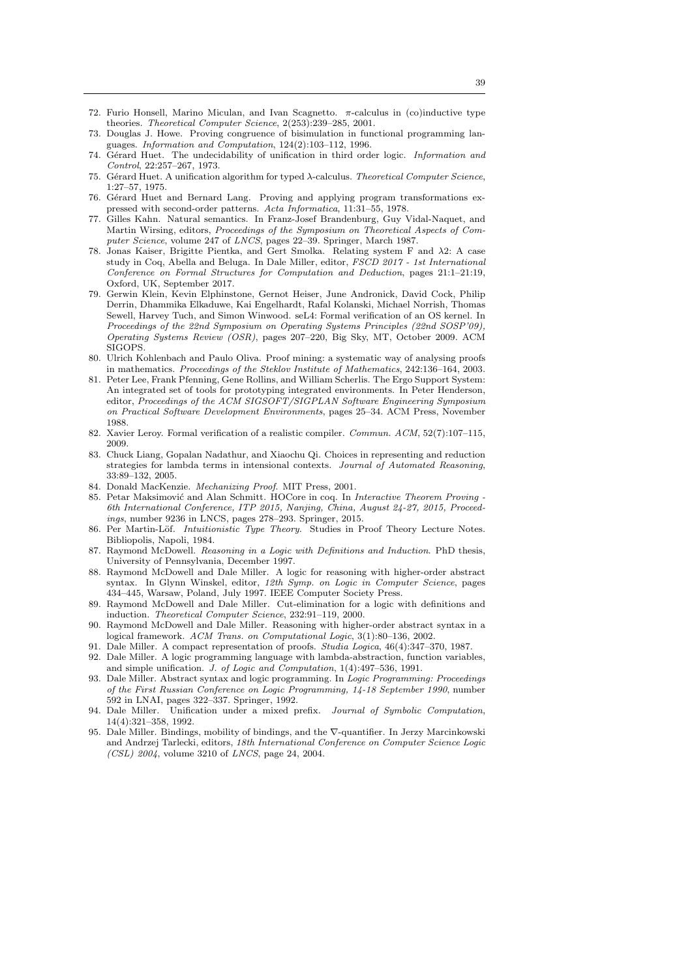- 72. Furio Honsell, Marino Miculan, and Ivan Scagnetto.  $\pi$ -calculus in (co)inductive type theories. Theoretical Computer Science, 2(253):239–285, 2001.
- 73. Douglas J. Howe. Proving congruence of bisimulation in functional programming languages. Information and Computation, 124(2):103–112, 1996.
- 74. Gérard Huet. The undecidability of unification in third order logic. Information and Control, 22:257–267, 1973.
- 75. Gérard Huet. A unification algorithm for typed  $\lambda$ -calculus. Theoretical Computer Science, 1:27–57, 1975.
- 76. Gérard Huet and Bernard Lang. Proving and applying program transformations expressed with second-order patterns. Acta Informatica, 11:31–55, 1978.
- 77. Gilles Kahn. Natural semantics. In Franz-Josef Brandenburg, Guy Vidal-Naquet, and Martin Wirsing, editors, Proceedings of the Symposium on Theoretical Aspects of Computer Science, volume 247 of LNCS, pages 22–39. Springer, March 1987.
- 78. Jonas Kaiser, Brigitte Pientka, and Gert Smolka. Relating system F and  $\lambda$ 2: A case study in Coq, Abella and Beluga. In Dale Miller, editor, FSCD 2017 - 1st International Conference on Formal Structures for Computation and Deduction, pages 21:1–21:19, Oxford, UK, September 2017.
- 79. Gerwin Klein, Kevin Elphinstone, Gernot Heiser, June Andronick, David Cock, Philip Derrin, Dhammika Elkaduwe, Kai Engelhardt, Rafal Kolanski, Michael Norrish, Thomas Sewell, Harvey Tuch, and Simon Winwood. seL4: Formal verification of an OS kernel. In Proceedings of the 22nd Symposium on Operating Systems Principles (22nd SOSP'09), Operating Systems Review (OSR), pages 207–220, Big Sky, MT, October 2009. ACM SIGOPS.
- 80. Ulrich Kohlenbach and Paulo Oliva. Proof mining: a systematic way of analysing proofs in mathematics. Proceedings of the Steklov Institute of Mathematics, 242:136–164, 2003.
- 81. Peter Lee, Frank Pfenning, Gene Rollins, and William Scherlis. The Ergo Support System: An integrated set of tools for prototyping integrated environments. In Peter Henderson, editor, Proceedings of the ACM SIGSOFT/SIGPLAN Software Engineering Symposium on Practical Software Development Environments, pages 25–34. ACM Press, November 1988.
- 82. Xavier Leroy. Formal verification of a realistic compiler. Commun. ACM, 52(7):107–115, 2009.
- 83. Chuck Liang, Gopalan Nadathur, and Xiaochu Qi. Choices in representing and reduction strategies for lambda terms in intensional contexts. Journal of Automated Reasoning, 33:89–132, 2005.
- 84. Donald MacKenzie. Mechanizing Proof. MIT Press, 2001.
- 85. Petar Maksimović and Alan Schmitt. HOCore in coq. In Interactive Theorem Proving -6th International Conference, ITP 2015, Nanjing, China, August 24-27, 2015, Proceedings, number 9236 in LNCS, pages 278–293. Springer, 2015.
- 86. Per Martin-Löf. Intuitionistic Type Theory. Studies in Proof Theory Lecture Notes. Bibliopolis, Napoli, 1984.
- 87. Raymond McDowell. Reasoning in a Logic with Definitions and Induction. PhD thesis, University of Pennsylvania, December 1997.
- 88. Raymond McDowell and Dale Miller. A logic for reasoning with higher-order abstract syntax. In Glynn Winskel, editor, 12th Symp. on Logic in Computer Science, pages 434–445, Warsaw, Poland, July 1997. IEEE Computer Society Press.
- 89. Raymond McDowell and Dale Miller. Cut-elimination for a logic with definitions and induction. Theoretical Computer Science, 232:91–119, 2000.
- 90. Raymond McDowell and Dale Miller. Reasoning with higher-order abstract syntax in a logical framework. ACM Trans. on Computational Logic, 3(1):80–136, 2002.
- 91. Dale Miller. A compact representation of proofs. Studia Logica, 46(4):347–370, 1987.
- 92. Dale Miller. A logic programming language with lambda-abstraction, function variables, and simple unification. J. of Logic and Computation, 1(4):497–536, 1991.
- 93. Dale Miller. Abstract syntax and logic programming. In Logic Programming: Proceedings of the First Russian Conference on Logic Programming, 14-18 September 1990, number 592 in LNAI, pages 322–337. Springer, 1992.
- 94. Dale Miller. Unification under a mixed prefix. Journal of Symbolic Computation, 14(4):321–358, 1992.
- 95. Dale Miller. Bindings, mobility of bindings, and the  $\nabla$ -quantifier. In Jerzy Marcinkowski and Andrzej Tarlecki, editors, 18th International Conference on Computer Science Logic (CSL) 2004, volume 3210 of LNCS, page 24, 2004.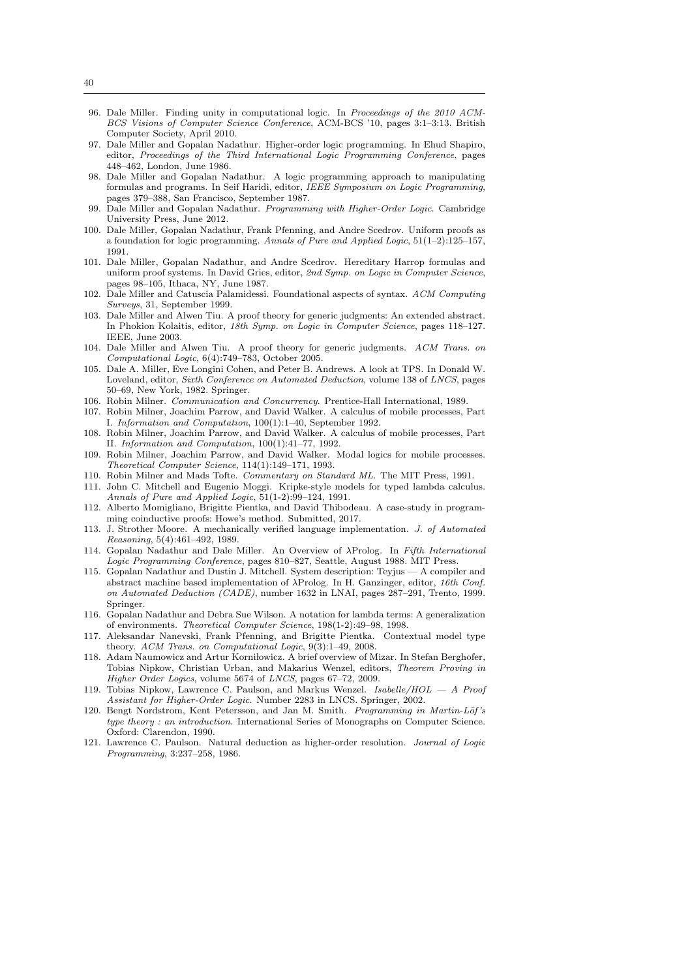- 96. Dale Miller. Finding unity in computational logic. In Proceedings of the 2010 ACM-BCS Visions of Computer Science Conference, ACM-BCS '10, pages 3:1–3:13. British Computer Society, April 2010.
- 97. Dale Miller and Gopalan Nadathur. Higher-order logic programming. In Ehud Shapiro, editor, Proceedings of the Third International Logic Programming Conference, pages 448–462, London, June 1986.
- 98. Dale Miller and Gopalan Nadathur. A logic programming approach to manipulating formulas and programs. In Seif Haridi, editor, IEEE Symposium on Logic Programming, pages 379–388, San Francisco, September 1987.
- 99. Dale Miller and Gopalan Nadathur. Programming with Higher-Order Logic. Cambridge University Press, June 2012.
- 100. Dale Miller, Gopalan Nadathur, Frank Pfenning, and Andre Scedrov. Uniform proofs as a foundation for logic programming. Annals of Pure and Applied Logic, 51(1–2):125–157, 1991.
- 101. Dale Miller, Gopalan Nadathur, and Andre Scedrov. Hereditary Harrop formulas and uniform proof systems. In David Gries, editor, 2nd Symp. on Logic in Computer Science, pages 98–105, Ithaca, NY, June 1987.
- 102. Dale Miller and Catuscia Palamidessi. Foundational aspects of syntax. ACM Computing Surveys, 31, September 1999.
- 103. Dale Miller and Alwen Tiu. A proof theory for generic judgments: An extended abstract. In Phokion Kolaitis, editor, 18th Symp. on Logic in Computer Science, pages 118–127. IEEE, June 2003.
- 104. Dale Miller and Alwen Tiu. A proof theory for generic judgments. ACM Trans. on Computational Logic, 6(4):749–783, October 2005.
- 105. Dale A. Miller, Eve Longini Cohen, and Peter B. Andrews. A look at TPS. In Donald W. Loveland, editor, Sixth Conference on Automated Deduction, volume 138 of LNCS, pages 50–69, New York, 1982. Springer.
- 106. Robin Milner. Communication and Concurrency. Prentice-Hall International, 1989.
- 107. Robin Milner, Joachim Parrow, and David Walker. A calculus of mobile processes, Part I. Information and Computation, 100(1):1–40, September 1992.
- 108. Robin Milner, Joachim Parrow, and David Walker. A calculus of mobile processes, Part II. Information and Computation, 100(1):41–77, 1992.
- 109. Robin Milner, Joachim Parrow, and David Walker. Modal logics for mobile processes. Theoretical Computer Science, 114(1):149–171, 1993.
- 110. Robin Milner and Mads Tofte. Commentary on Standard ML. The MIT Press, 1991.
- 111. John C. Mitchell and Eugenio Moggi. Kripke-style models for typed lambda calculus. Annals of Pure and Applied Logic, 51(1-2):99–124, 1991.
- 112. Alberto Momigliano, Brigitte Pientka, and David Thibodeau. A case-study in programming coinductive proofs: Howe's method. Submitted, 2017.
- 113. J. Strother Moore. A mechanically verified language implementation. J. of Automated Reasoning, 5(4):461–492, 1989.
- 114. Gopalan Nadathur and Dale Miller. An Overview of λProlog. In Fifth International Logic Programming Conference, pages 810–827, Seattle, August 1988. MIT Press.
- 115. Gopalan Nadathur and Dustin J. Mitchell. System description: Teyjus A compiler and abstract machine based implementation of λProlog. In H. Ganzinger, editor, 16th Conf. on Automated Deduction (CADE), number 1632 in LNAI, pages 287–291, Trento, 1999. Springer.
- 116. Gopalan Nadathur and Debra Sue Wilson. A notation for lambda terms: A generalization of environments. Theoretical Computer Science, 198(1-2):49–98, 1998.
- 117. Aleksandar Nanevski, Frank Pfenning, and Brigitte Pientka. Contextual model type theory. ACM Trans. on Computational Logic, 9(3):1–49, 2008.
- 118. Adam Naumowicz and Artur Korniłowicz. A brief overview of Mizar. In Stefan Berghofer, Tobias Nipkow, Christian Urban, and Makarius Wenzel, editors, Theorem Proving in Higher Order Logics, volume 5674 of LNCS, pages 67–72, 2009.
- 119. Tobias Nipkow, Lawrence C. Paulson, and Markus Wenzel. Isabelle/HOL A Proof Assistant for Higher-Order Logic. Number 2283 in LNCS. Springer, 2002.
- 120. Bengt Nordstrom, Kent Petersson, and Jan M. Smith. *Programming in Martin-Löf's* type theory : an introduction. International Series of Monographs on Computer Science. Oxford: Clarendon, 1990.
- 121. Lawrence C. Paulson. Natural deduction as higher-order resolution. Journal of Logic Programming, 3:237–258, 1986.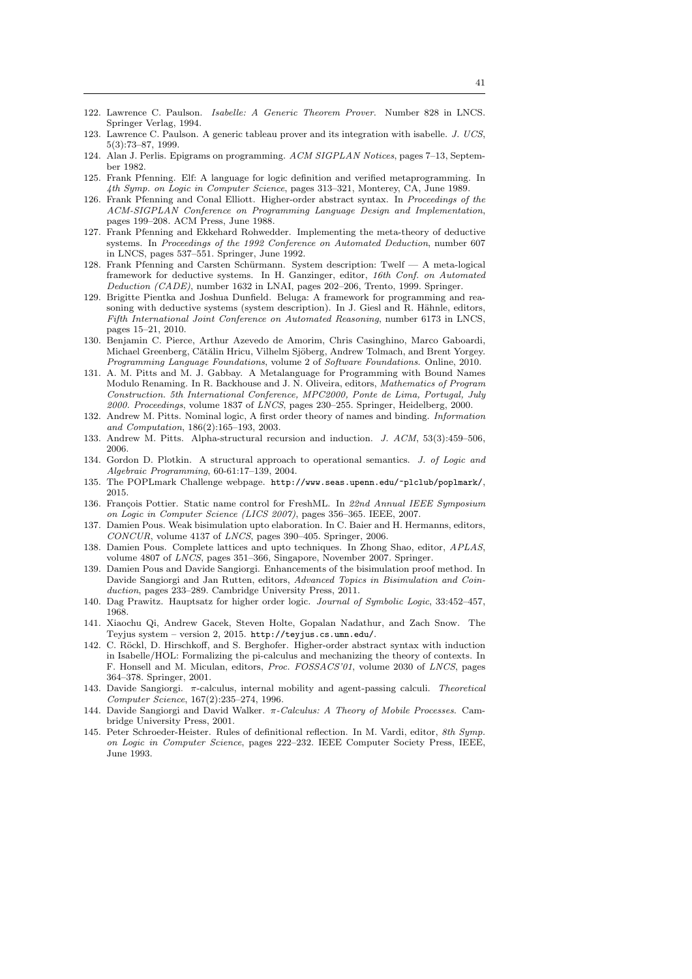- 122. Lawrence C. Paulson. Isabelle: A Generic Theorem Prover. Number 828 in LNCS. Springer Verlag, 1994.
- 123. Lawrence C. Paulson. A generic tableau prover and its integration with isabelle. J. UCS, 5(3):73–87, 1999.
- 124. Alan J. Perlis. Epigrams on programming. ACM SIGPLAN Notices, pages 7–13, September 1982.
- 125. Frank Pfenning. Elf: A language for logic definition and verified metaprogramming. In 4th Symp. on Logic in Computer Science, pages 313–321, Monterey, CA, June 1989.
- 126. Frank Pfenning and Conal Elliott. Higher-order abstract syntax. In Proceedings of the ACM-SIGPLAN Conference on Programming Language Design and Implementation, pages 199–208. ACM Press, June 1988.
- 127. Frank Pfenning and Ekkehard Rohwedder. Implementing the meta-theory of deductive systems. In Proceedings of the 1992 Conference on Automated Deduction, number 607 in LNCS, pages 537–551. Springer, June 1992.
- 128. Frank Pfenning and Carsten Schürmann. System description: Twelf  $-$  A meta-logical framework for deductive systems. In H. Ganzinger, editor, 16th Conf. on Automated Deduction (CADE), number 1632 in LNAI, pages 202–206, Trento, 1999. Springer.
- 129. Brigitte Pientka and Joshua Dunfield. Beluga: A framework for programming and reasoning with deductive systems (system description). In J. Giesl and R. Hähnle, editors, Fifth International Joint Conference on Automated Reasoning, number 6173 in LNCS, pages 15–21, 2010.
- 130. Benjamin C. Pierce, Arthur Azevedo de Amorim, Chris Casinghino, Marco Gaboardi, Michael Greenberg, Cătălin Hricu, Vilhelm Sjöberg, Andrew Tolmach, and Brent Yorgey. Programming Language Foundations, volume 2 of Software Foundations. Online, 2010.
- 131. A. M. Pitts and M. J. Gabbay. A Metalanguage for Programming with Bound Names Modulo Renaming. In R. Backhouse and J. N. Oliveira, editors, Mathematics of Program Construction. 5th International Conference, MPC2000, Ponte de Lima, Portugal, July 2000. Proceedings, volume 1837 of LNCS, pages 230–255. Springer, Heidelberg, 2000.
- 132. Andrew M. Pitts. Nominal logic, A first order theory of names and binding. Information and Computation, 186(2):165–193, 2003.
- 133. Andrew M. Pitts. Alpha-structural recursion and induction. J. ACM, 53(3):459–506, 2006.
- 134. Gordon D. Plotkin. A structural approach to operational semantics. J. of Logic and Algebraic Programming, 60-61:17–139, 2004.
- 135. The POPLmark Challenge webpage. http://www.seas.upenn.edu/~plclub/poplmark/, 2015.
- 136. François Pottier. Static name control for FreshML. In 22nd Annual IEEE Symposium on Logic in Computer Science (LICS 2007), pages 356–365. IEEE, 2007.
- 137. Damien Pous. Weak bisimulation upto elaboration. In C. Baier and H. Hermanns, editors, CONCUR, volume 4137 of LNCS, pages 390–405. Springer, 2006.
- 138. Damien Pous. Complete lattices and upto techniques. In Zhong Shao, editor, APLAS, volume 4807 of LNCS, pages 351–366, Singapore, November 2007. Springer.
- 139. Damien Pous and Davide Sangiorgi. Enhancements of the bisimulation proof method. In Davide Sangiorgi and Jan Rutten, editors, Advanced Topics in Bisimulation and Coinduction, pages 233–289. Cambridge University Press, 2011.
- 140. Dag Prawitz. Hauptsatz for higher order logic. Journal of Symbolic Logic, 33:452–457, 1968.
- 141. Xiaochu Qi, Andrew Gacek, Steven Holte, Gopalan Nadathur, and Zach Snow. The Teyjus system – version 2, 2015. http://teyjus.cs.umn.edu/.
- 142. C. Röckl, D. Hirschkoff, and S. Berghofer. Higher-order abstract syntax with induction in Isabelle/HOL: Formalizing the pi-calculus and mechanizing the theory of contexts. In F. Honsell and M. Miculan, editors, Proc. FOSSACS'01, volume 2030 of LNCS, pages 364–378. Springer, 2001.
- 143. Davide Sangiorgi. π-calculus, internal mobility and agent-passing calculi. Theoretical Computer Science, 167(2):235–274, 1996.
- 144. Davide Sangiorgi and David Walker. π-Calculus: A Theory of Mobile Processes. Cambridge University Press, 2001.
- 145. Peter Schroeder-Heister. Rules of definitional reflection. In M. Vardi, editor, 8th Symp. on Logic in Computer Science, pages 222–232. IEEE Computer Society Press, IEEE, June 1993.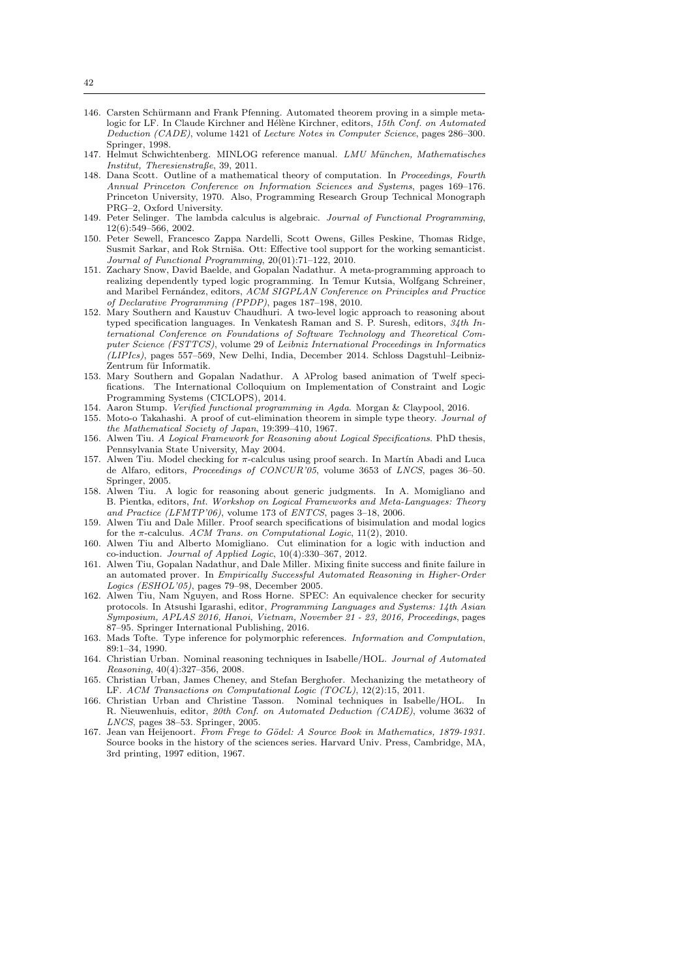- 146. Carsten Schürmann and Frank Pfenning. Automated theorem proving in a simple metalogic for LF. In Claude Kirchner and Hélène Kirchner, editors, 15th Conf. on Automated Deduction (CADE), volume 1421 of Lecture Notes in Computer Science, pages 286–300. Springer, 1998.
- 147. Helmut Schwichtenberg. MINLOG reference manual. LMU München, Mathematisches Institut, Theresienstraße, 39, 2011.
- 148. Dana Scott. Outline of a mathematical theory of computation. In Proceedings, Fourth Annual Princeton Conference on Information Sciences and Systems, pages 169–176. Princeton University, 1970. Also, Programming Research Group Technical Monograph PRG–2, Oxford University.
- 149. Peter Selinger. The lambda calculus is algebraic. Journal of Functional Programming, 12(6):549–566, 2002.
- 150. Peter Sewell, Francesco Zappa Nardelli, Scott Owens, Gilles Peskine, Thomas Ridge, Susmit Sarkar, and Rok Strniša. Ott: Effective tool support for the working semanticist. Journal of Functional Programming, 20(01):71–122, 2010.
- 151. Zachary Snow, David Baelde, and Gopalan Nadathur. A meta-programming approach to realizing dependently typed logic programming. In Temur Kutsia, Wolfgang Schreiner, and Maribel Fernández, editors, ACM SIGPLAN Conference on Principles and Practice of Declarative Programming (PPDP), pages 187–198, 2010.
- 152. Mary Southern and Kaustuv Chaudhuri. A two-level logic approach to reasoning about typed specification languages. In Venkatesh Raman and S. P. Suresh, editors, 34th International Conference on Foundations of Software Technology and Theoretical Computer Science (FSTTCS), volume 29 of Leibniz International Proceedings in Informatics (LIPIcs), pages 557–569, New Delhi, India, December 2014. Schloss Dagstuhl–Leibniz-Zentrum für Informatik.
- 153. Mary Southern and Gopalan Nadathur. A λProlog based animation of Twelf specifications. The International Colloquium on Implementation of Constraint and Logic Programming Systems (CICLOPS), 2014.
- 154. Aaron Stump. Verified functional programming in Agda. Morgan & Claypool, 2016.
- 155. Moto-o Takahashi. A proof of cut-elimination theorem in simple type theory. Journal of the Mathematical Society of Japan, 19:399–410, 1967.
- 156. Alwen Tiu. A Logical Framework for Reasoning about Logical Specifications. PhD thesis, Pennsylvania State University, May 2004.
- 157. Alwen Tiu. Model checking for  $\pi$ -calculus using proof search. In Martín Abadi and Luca de Alfaro, editors, *Proceedings of CONCUR'05*, volume 3653 of *LNCS*, pages 36–50. Springer, 2005.
- 158. Alwen Tiu. A logic for reasoning about generic judgments. In A. Momigliano and B. Pientka, editors, Int. Workshop on Logical Frameworks and Meta-Languages: Theory and Practice (LFMTP'06), volume 173 of ENTCS, pages 3–18, 2006.
- 159. Alwen Tiu and Dale Miller. Proof search specifications of bisimulation and modal logics for the  $\pi$ -calculus. ACM Trans. on Computational Logic, 11(2), 2010.
- 160. Alwen Tiu and Alberto Momigliano. Cut elimination for a logic with induction and co-induction. Journal of Applied Logic, 10(4):330–367, 2012.
- 161. Alwen Tiu, Gopalan Nadathur, and Dale Miller. Mixing finite success and finite failure in an automated prover. In Empirically Successful Automated Reasoning in Higher-Order Logics (ESHOL'05), pages 79–98, December 2005.
- 162. Alwen Tiu, Nam Nguyen, and Ross Horne. SPEC: An equivalence checker for security protocols. In Atsushi Igarashi, editor, Programming Languages and Systems: 14th Asian Symposium, APLAS 2016, Hanoi, Vietnam, November 21 - 23, 2016, Proceedings, pages 87–95. Springer International Publishing, 2016.
- 163. Mads Tofte. Type inference for polymorphic references. Information and Computation, 89:1–34, 1990.
- 164. Christian Urban. Nominal reasoning techniques in Isabelle/HOL. Journal of Automated Reasoning, 40(4):327–356, 2008.
- 165. Christian Urban, James Cheney, and Stefan Berghofer. Mechanizing the metatheory of LF. ACM Transactions on Computational Logic (TOCL), 12(2):15, 2011.
- 166. Christian Urban and Christine Tasson. Nominal techniques in Isabelle/HOL. In R. Nieuwenhuis, editor, 20th Conf. on Automated Deduction (CADE), volume 3632 of LNCS, pages 38–53. Springer, 2005.
- 167. Jean van Heijenoort. From Frege to Gödel: A Source Book in Mathematics, 1879-1931. Source books in the history of the sciences series. Harvard Univ. Press, Cambridge, MA, 3rd printing, 1997 edition, 1967.